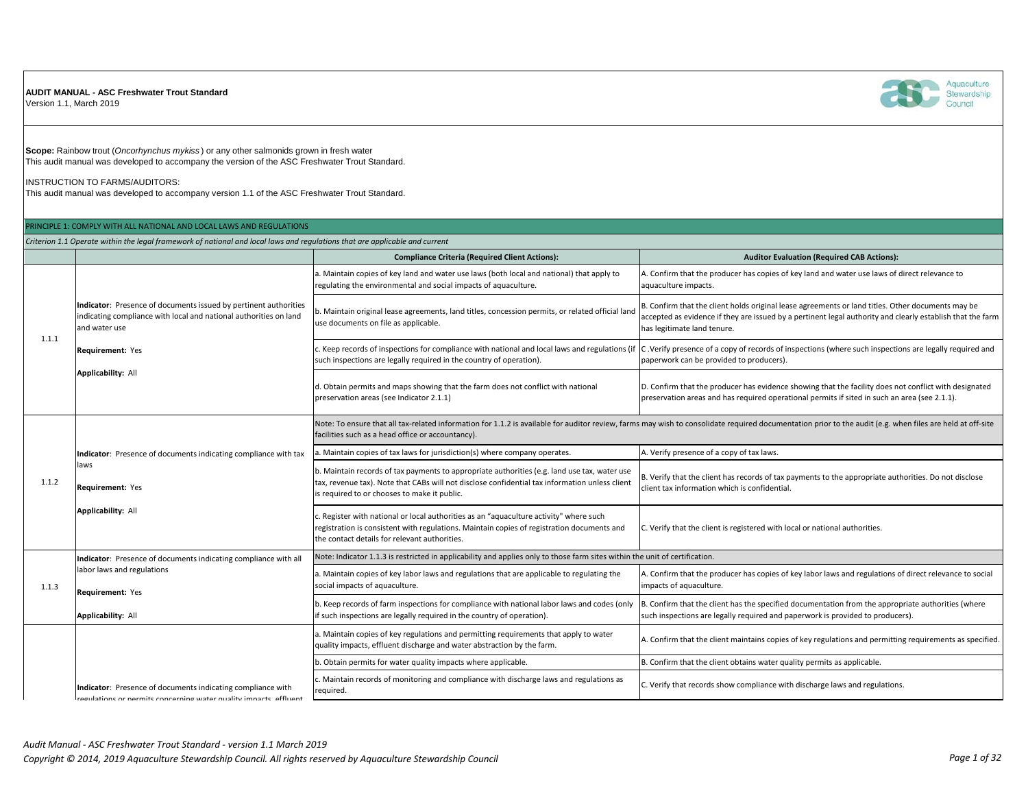## **AUDIT MANUAL - ASC Freshwater Trout Standard**

Version 1.1, March 2019



**Scope:** Rainbow trout (*Oncorhynchus mykiss* ) or any other salmonids grown in fresh water This audit manual was developed to accompany the version of the ASC Freshwater Trout Standard.

INSTRUCTION TO FARMS/AUDITORS:

This audit manual was developed to accompany version 1.1 of the ASC Freshwater Trout Standard.

## PRINCIPLE 1: COMPLY WITH ALL NATIONAL AND LOCAL LAWS AND REGULATIONS

*Criterion 1.1 Operate within the legal framework of national and local laws and regulations that are applicable and current*

|       |                                                                                                                                                        | <b>Compliance Criteria (Required Client Actions):</b>                                                                                                                                                                                          | <b>Auditor Evaluation (Required CAB Actions):</b>                                                                                                                                                                                              |
|-------|--------------------------------------------------------------------------------------------------------------------------------------------------------|------------------------------------------------------------------------------------------------------------------------------------------------------------------------------------------------------------------------------------------------|------------------------------------------------------------------------------------------------------------------------------------------------------------------------------------------------------------------------------------------------|
| 1.1.1 | Indicator: Presence of documents issued by pertinent authorities<br>indicating compliance with local and national authorities on land<br>and water use | a. Maintain copies of key land and water use laws (both local and national) that apply to<br>regulating the environmental and social impacts of aquaculture.                                                                                   | A. Confirm that the producer has copies of key land and water use laws of direct relevance to<br>aquaculture impacts.                                                                                                                          |
|       |                                                                                                                                                        | b. Maintain original lease agreements, land titles, concession permits, or related official land<br>use documents on file as applicable.                                                                                                       | B. Confirm that the client holds original lease agreements or land titles. Other documents may be<br>accepted as evidence if they are issued by a pertinent legal authority and clearly establish that the farm<br>has legitimate land tenure. |
|       | Requirement: Yes                                                                                                                                       | c. Keep records of inspections for compliance with national and local laws and regulations (if<br>such inspections are legally required in the country of operation).                                                                          | C. Verify presence of a copy of records of inspections (where such inspections are legally required and<br>paperwork can be provided to producers).                                                                                            |
|       | <b>Applicability: All</b>                                                                                                                              | d. Obtain permits and maps showing that the farm does not conflict with national<br>preservation areas (see Indicator 2.1.1)                                                                                                                   | D. Confirm that the producer has evidence showing that the facility does not conflict with designated<br>preservation areas and has required operational permits if sited in such an area (see 2.1.1).                                         |
|       |                                                                                                                                                        | facilities such as a head office or accountancy).                                                                                                                                                                                              | Note: To ensure that all tax-related information for 1.1.2 is available for auditor review, farms may wish to consolidate required documentation prior to the audit (e.g. when files are held at off-site                                      |
|       | Indicator: Presence of documents indicating compliance with tax                                                                                        | . Maintain copies of tax laws for jurisdiction(s) where company operates.                                                                                                                                                                      | A. Verify presence of a copy of tax laws.                                                                                                                                                                                                      |
| 1.1.2 | laws<br>Requirement: Yes                                                                                                                               | b. Maintain records of tax payments to appropriate authorities (e.g. land use tax, water use<br>tax, revenue tax). Note that CABs will not disclose confidential tax information unless client<br>is required to or chooses to make it public. | B. Verify that the client has records of tax payments to the appropriate authorities. Do not disclose<br>client tax information which is confidential.                                                                                         |
|       | Applicability: All                                                                                                                                     | . Register with national or local authorities as an "aquaculture activity" where such<br>registration is consistent with regulations. Maintain copies of registration documents and<br>the contact details for relevant authorities.           | C. Verify that the client is registered with local or national authorities.                                                                                                                                                                    |
|       | Indicator: Presence of documents indicating compliance with all                                                                                        | Note: Indicator 1.1.3 is restricted in applicability and applies only to those farm sites within the unit of certification.                                                                                                                    |                                                                                                                                                                                                                                                |
| 1.1.3 | labor laws and regulations<br>Requirement: Yes                                                                                                         | a. Maintain copies of key labor laws and regulations that are applicable to regulating the<br>social impacts of aquaculture.                                                                                                                   | A. Confirm that the producer has copies of key labor laws and regulations of direct relevance to social<br>impacts of aquaculture.                                                                                                             |
|       | <b>Applicability: All</b>                                                                                                                              | b. Keep records of farm inspections for compliance with national labor laws and codes (only<br>if such inspections are legally required in the country of operation).                                                                          | B. Confirm that the client has the specified documentation from the appropriate authorities (where<br>such inspections are legally required and paperwork is provided to producers).                                                           |
|       |                                                                                                                                                        | a. Maintain copies of key regulations and permitting requirements that apply to water<br>quality impacts, effluent discharge and water abstraction by the farm.                                                                                | A. Confirm that the client maintains copies of key regulations and permitting requirements as specified.                                                                                                                                       |
|       |                                                                                                                                                        | b. Obtain permits for water quality impacts where applicable.                                                                                                                                                                                  | B. Confirm that the client obtains water quality permits as applicable.                                                                                                                                                                        |
|       | Indicator: Presence of documents indicating compliance with<br>paulations as normits concerning water quality impacts, offluont                        | c. Maintain records of monitoring and compliance with discharge laws and regulations as<br>required.                                                                                                                                           | C. Verify that records show compliance with discharge laws and regulations.                                                                                                                                                                    |

re ar narmite concerning water quality impacte af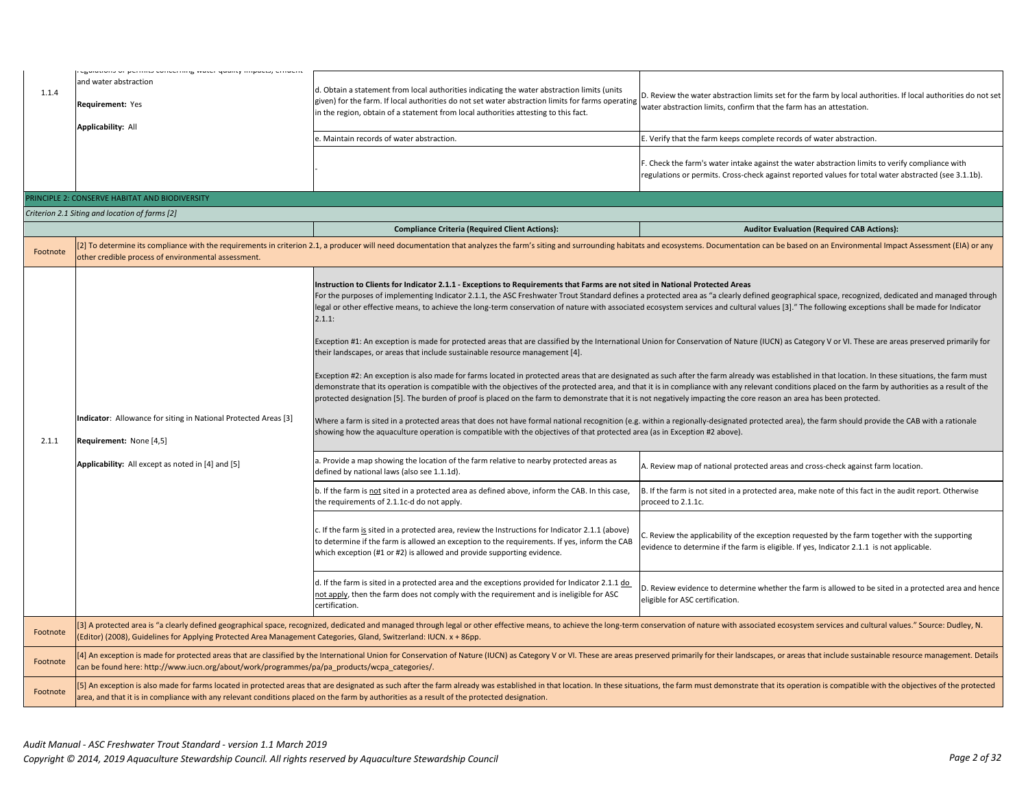| 1.1.4    | eguiditorio or permito concerning water quanty impacto, emuent<br>and water abstraction<br>Requirement: Yes<br>Applicability: All<br>PRINCIPLE 2: CONSERVE HABITAT AND BIODIVERSITY<br>Criterion 2.1 Siting and location of farms [2]                                                                                                                                         | d. Obtain a statement from local authorities indicating the water abstraction limits (units<br>given) for the farm. If local authorities do not set water abstraction limits for farms operating<br>in the region, obtain of a statement from local authorities attesting to this fact.<br>e. Maintain records of water abstraction.<br><b>Compliance Criteria (Required Client Actions):</b>                                                                                                                                                                                                                                                                                                                                                                                                                                                                                                                                                                                                                                                                                                                                                                                                          | D. Review the water abstraction limits set for the farm by local authorities. If local authorities do not set<br>water abstraction limits, confirm that the farm has an attestation.<br>E. Verify that the farm keeps complete records of water abstraction.<br>F. Check the farm's water intake against the water abstraction limits to verify compliance with<br>regulations or permits. Cross-check against reported values for total water abstracted (see 3.1.1b).<br><b>Auditor Evaluation (Required CAB Actions):</b>                                                                                                                                                                                                                                                                                                                                                                                                                                                                                                                                                                                                                                                                                                                                                                                                                                                                                                                                                                                                                                                                                                                           |
|----------|-------------------------------------------------------------------------------------------------------------------------------------------------------------------------------------------------------------------------------------------------------------------------------------------------------------------------------------------------------------------------------|--------------------------------------------------------------------------------------------------------------------------------------------------------------------------------------------------------------------------------------------------------------------------------------------------------------------------------------------------------------------------------------------------------------------------------------------------------------------------------------------------------------------------------------------------------------------------------------------------------------------------------------------------------------------------------------------------------------------------------------------------------------------------------------------------------------------------------------------------------------------------------------------------------------------------------------------------------------------------------------------------------------------------------------------------------------------------------------------------------------------------------------------------------------------------------------------------------|--------------------------------------------------------------------------------------------------------------------------------------------------------------------------------------------------------------------------------------------------------------------------------------------------------------------------------------------------------------------------------------------------------------------------------------------------------------------------------------------------------------------------------------------------------------------------------------------------------------------------------------------------------------------------------------------------------------------------------------------------------------------------------------------------------------------------------------------------------------------------------------------------------------------------------------------------------------------------------------------------------------------------------------------------------------------------------------------------------------------------------------------------------------------------------------------------------------------------------------------------------------------------------------------------------------------------------------------------------------------------------------------------------------------------------------------------------------------------------------------------------------------------------------------------------------------------------------------------------------------------------------------------------|
| Footnote | other credible process of environmental assessment.                                                                                                                                                                                                                                                                                                                           |                                                                                                                                                                                                                                                                                                                                                                                                                                                                                                                                                                                                                                                                                                                                                                                                                                                                                                                                                                                                                                                                                                                                                                                                        | [2] To determine its compliance with the requirements in criterion 2.1, a producer will need documentation that analyzes the farm's siting and surrounding habitats and ecosystems. Documentation can be based on an Environme                                                                                                                                                                                                                                                                                                                                                                                                                                                                                                                                                                                                                                                                                                                                                                                                                                                                                                                                                                                                                                                                                                                                                                                                                                                                                                                                                                                                                         |
| 2.1.1    | Indicator: Allowance for siting in National Protected Areas [3]<br>Requirement: None [4,5]<br>Applicability: All except as noted in [4] and [5]                                                                                                                                                                                                                               | Instruction to Clients for Indicator 2.1.1 - Exceptions to Requirements that Farms are not sited in National Protected Areas<br>2.1.1:<br>their landscapes, or areas that include sustainable resource management [4].<br>protected designation [5]. The burden of proof is placed on the farm to demonstrate that it is not negatively impacting the core reason an area has been protected.<br>showing how the aquaculture operation is compatible with the objectives of that protected area (as in Exception #2 above).<br>a. Provide a map showing the location of the farm relative to nearby protected areas as<br>defined by national laws (also see 1.1.1d).<br>b. If the farm is not sited in a protected area as defined above, inform the CAB. In this case,<br>the requirements of 2.1.1c-d do not apply.<br>c. If the farm is sited in a protected area, review the Instructions for Indicator 2.1.1 (above)<br>to determine if the farm is allowed an exception to the requirements. If yes, inform the CAB<br>which exception (#1 or #2) is allowed and provide supporting evidence.<br>d. If the farm is sited in a protected area and the exceptions provided for Indicator 2.1.1 do | For the purposes of implementing Indicator 2.1.1, the ASC Freshwater Trout Standard defines a protected area as "a clearly defined geographical space, recognized, dedicated and managed through<br>legal or other effective means, to achieve the long-term conservation of nature with associated ecosystem services and cultural values [3]." The following exceptions shall be made for Indicator<br>Exception #1: An exception is made for protected areas that are classified by the International Union for Conservation of Nature (IUCN) as Category V or VI. These are areas preserved primarily for<br>Exception #2: An exception is also made for farms located in protected areas that are designated as such after the farm already was established in that location. In these situations, the farm must<br>demonstrate that its operation is compatible with the objectives of the protected area, and that it is in compliance with any relevant conditions placed on the farm by authorities as a result of the<br>Where a farm is sited in a protected areas that does not have formal national recognition (e.g. within a regionally-designated protected area), the farm should provide the CAB with a rationale<br>A. Review map of national protected areas and cross-check against farm location.<br>B. If the farm is not sited in a protected area, make note of this fact in the audit report. Otherwise<br>proceed to 2.1.1c.<br>. Review the applicability of the exception requested by the farm together with the supporting<br>evidence to determine if the farm is eligible. If yes, Indicator 2.1.1 is not applicable. |
|          |                                                                                                                                                                                                                                                                                                                                                                               | not apply, then the farm does not comply with the requirement and is ineligible for ASC<br>certification.                                                                                                                                                                                                                                                                                                                                                                                                                                                                                                                                                                                                                                                                                                                                                                                                                                                                                                                                                                                                                                                                                              | D. Review evidence to determine whether the farm is allowed to be sited in a protected area and hence<br>eligible for ASC certification.                                                                                                                                                                                                                                                                                                                                                                                                                                                                                                                                                                                                                                                                                                                                                                                                                                                                                                                                                                                                                                                                                                                                                                                                                                                                                                                                                                                                                                                                                                               |
| Footnote | (Editor) (2008), Guidelines for Applying Protected Area Management Categories, Gland, Switzerland: IUCN. x + 86pp.                                                                                                                                                                                                                                                            |                                                                                                                                                                                                                                                                                                                                                                                                                                                                                                                                                                                                                                                                                                                                                                                                                                                                                                                                                                                                                                                                                                                                                                                                        | 3] A protected area is "a clearly defined geographical space, recognized, dedicated and managed through legal or other effective means, to achieve the long-term conservation of nature with associated ecosystem services and                                                                                                                                                                                                                                                                                                                                                                                                                                                                                                                                                                                                                                                                                                                                                                                                                                                                                                                                                                                                                                                                                                                                                                                                                                                                                                                                                                                                                         |
| Footnote | ./can be found here: http://www.iucn.org/about/work/programmes/pa/pa_products/wcpa_categories                                                                                                                                                                                                                                                                                 |                                                                                                                                                                                                                                                                                                                                                                                                                                                                                                                                                                                                                                                                                                                                                                                                                                                                                                                                                                                                                                                                                                                                                                                                        | 4] An exception is made for protected areas that are classified by the International Union for Conservation of Nature (IUCN) as Category V or VI. These are areas preserved primarily for their landscapes, or areas that incl                                                                                                                                                                                                                                                                                                                                                                                                                                                                                                                                                                                                                                                                                                                                                                                                                                                                                                                                                                                                                                                                                                                                                                                                                                                                                                                                                                                                                         |
| Footnote | [5] An exception is also made for farms located in protected areas that are designated as such after the farm already was established in that location. In these situations, the farm must demonstrate that its operation is c<br>area, and that it is in compliance with any relevant conditions placed on the farm by authorities as a result of the protected designation. |                                                                                                                                                                                                                                                                                                                                                                                                                                                                                                                                                                                                                                                                                                                                                                                                                                                                                                                                                                                                                                                                                                                                                                                                        |                                                                                                                                                                                                                                                                                                                                                                                                                                                                                                                                                                                                                                                                                                                                                                                                                                                                                                                                                                                                                                                                                                                                                                                                                                                                                                                                                                                                                                                                                                                                                                                                                                                        |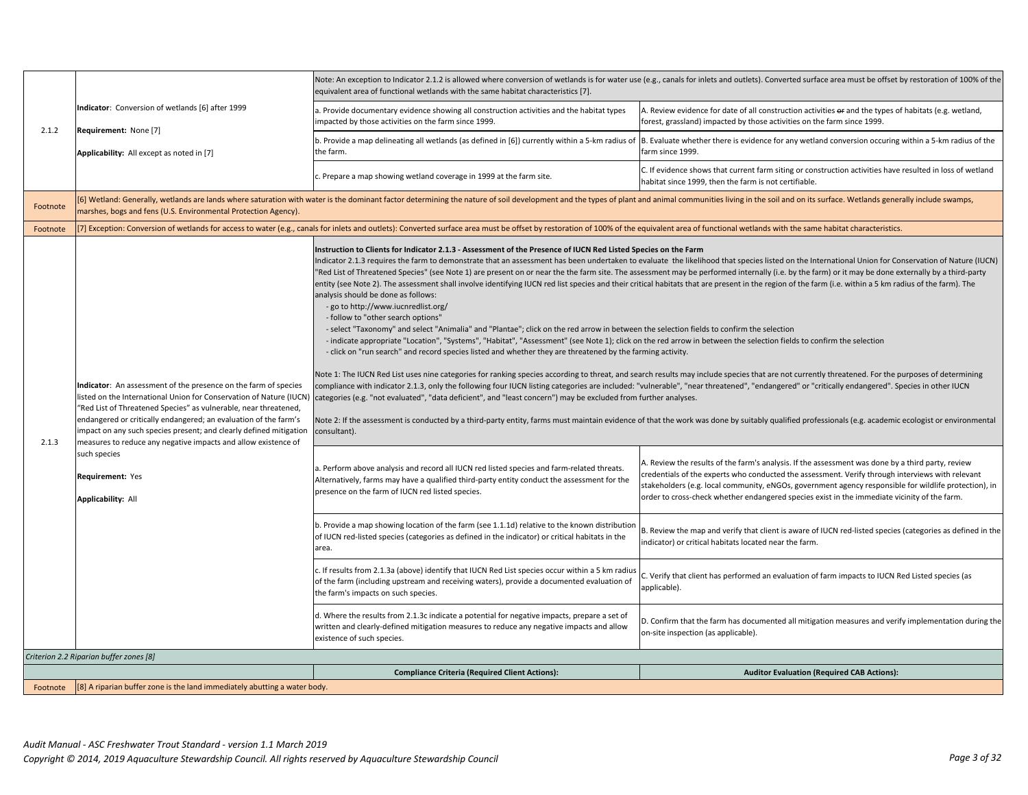|          |                                                                                                                                                                                                                                                                                                                                                 | Note: An exception to Indicator 2.1.2 is allowed where conversion of wetlands is for water use (e.g., canals for inlets and outlets). Converted surface area must be offset by restoration of 100% of the<br>equivalent area of functional wetlands with the same habitat characteristics [7].                                                                                                                                                                                                                                                                                                                                                                                                                                                                                                                                                                                                                                                                                                                                                                                                                                                                                                                                                                                                                                                                                                                                                                                                                                                                                                                                                                                                                                                                                                                                                                                                                                                                                                                                                                                                                     |                                                                                                                                                                                                                                                                                                                                                                                                                |
|----------|-------------------------------------------------------------------------------------------------------------------------------------------------------------------------------------------------------------------------------------------------------------------------------------------------------------------------------------------------|--------------------------------------------------------------------------------------------------------------------------------------------------------------------------------------------------------------------------------------------------------------------------------------------------------------------------------------------------------------------------------------------------------------------------------------------------------------------------------------------------------------------------------------------------------------------------------------------------------------------------------------------------------------------------------------------------------------------------------------------------------------------------------------------------------------------------------------------------------------------------------------------------------------------------------------------------------------------------------------------------------------------------------------------------------------------------------------------------------------------------------------------------------------------------------------------------------------------------------------------------------------------------------------------------------------------------------------------------------------------------------------------------------------------------------------------------------------------------------------------------------------------------------------------------------------------------------------------------------------------------------------------------------------------------------------------------------------------------------------------------------------------------------------------------------------------------------------------------------------------------------------------------------------------------------------------------------------------------------------------------------------------------------------------------------------------------------------------------------------------|----------------------------------------------------------------------------------------------------------------------------------------------------------------------------------------------------------------------------------------------------------------------------------------------------------------------------------------------------------------------------------------------------------------|
| 2.1.2    | Indicator: Conversion of wetlands [6] after 1999                                                                                                                                                                                                                                                                                                | a. Provide documentary evidence showing all construction activities and the habitat types<br>impacted by those activities on the farm since 1999.                                                                                                                                                                                                                                                                                                                                                                                                                                                                                                                                                                                                                                                                                                                                                                                                                                                                                                                                                                                                                                                                                                                                                                                                                                                                                                                                                                                                                                                                                                                                                                                                                                                                                                                                                                                                                                                                                                                                                                  | A. Review evidence for date of all construction activities or and the types of habitats (e.g. wetland,<br>forest, grassland) impacted by those activities on the farm since 1999.                                                                                                                                                                                                                              |
|          | Requirement: None [7]<br>Applicability: All except as noted in [7]                                                                                                                                                                                                                                                                              | b. Provide a map delineating all wetlands (as defined in [6]) currently within a 5-km radius of<br>the farm.                                                                                                                                                                                                                                                                                                                                                                                                                                                                                                                                                                                                                                                                                                                                                                                                                                                                                                                                                                                                                                                                                                                                                                                                                                                                                                                                                                                                                                                                                                                                                                                                                                                                                                                                                                                                                                                                                                                                                                                                       | B. Evaluate whether there is evidence for any wetland conversion occuring within a 5-km radius of the<br>farm since 1999.                                                                                                                                                                                                                                                                                      |
|          |                                                                                                                                                                                                                                                                                                                                                 | c. Prepare a map showing wetland coverage in 1999 at the farm site.                                                                                                                                                                                                                                                                                                                                                                                                                                                                                                                                                                                                                                                                                                                                                                                                                                                                                                                                                                                                                                                                                                                                                                                                                                                                                                                                                                                                                                                                                                                                                                                                                                                                                                                                                                                                                                                                                                                                                                                                                                                | C. If evidence shows that current farm siting or construction activities have resulted in loss of wetland<br>habitat since 1999, then the farm is not certifiable.                                                                                                                                                                                                                                             |
| Footnote | marshes, bogs and fens (U.S. Environmental Protection Agency).                                                                                                                                                                                                                                                                                  |                                                                                                                                                                                                                                                                                                                                                                                                                                                                                                                                                                                                                                                                                                                                                                                                                                                                                                                                                                                                                                                                                                                                                                                                                                                                                                                                                                                                                                                                                                                                                                                                                                                                                                                                                                                                                                                                                                                                                                                                                                                                                                                    | [6] Wetland: Generally, wetlands are lands where saturation with water is the dominant factor determining the nature of soil development and the types of plant and animal communities living in the soil and on its surface.                                                                                                                                                                                  |
| Footnote |                                                                                                                                                                                                                                                                                                                                                 | [7] Exception: Conversion of wetlands for access to water (e.g., canals for inlets and outlets): Converted surface area must be offset by restoration of 100% of the equivalent area of functional wetlands with the same habi                                                                                                                                                                                                                                                                                                                                                                                                                                                                                                                                                                                                                                                                                                                                                                                                                                                                                                                                                                                                                                                                                                                                                                                                                                                                                                                                                                                                                                                                                                                                                                                                                                                                                                                                                                                                                                                                                     |                                                                                                                                                                                                                                                                                                                                                                                                                |
| 2.1.3    | Indicator: An assessment of the presence on the farm of species<br>"Red List of Threatened Species" as vulnerable, near threatened,<br>endangered or critically endangered; an evaluation of the farm's<br>impact on any such species present; and clearly defined mitigation<br>measures to reduce any negative impacts and allow existence of | Instruction to Clients for Indicator 2.1.3 - Assessment of the Presence of IUCN Red Listed Species on the Farm<br>Indicator 2.1.3 requires the farm to demonstrate that an assessment has been undertaken to evaluate the likelihood that species listed on the International Union for Conservation of Nature (IUCN)<br>"Red List of Threatened Species" (see Note 1) are present on or near the the farm site. The assessment may be performed internally (i.e. by the farm) or it may be done externally by a third-party<br>entity (see Note 2). The assessment shall involve identifying IUCN red list species and their critical habitats that are present in the region of the farm (i.e. within a 5 km radius of the farm). The<br>analysis should be done as follows:<br>- go to http://www.iucnredlist.org/<br>- follow to "other search options"<br>- select "Taxonomy" and select "Animalia" and "Plantae"; click on the red arrow in between the selection fields to confirm the selection<br>- indicate appropriate "Location", "Systems", "Habitat", "Assessment" (see Note 1); click on the red arrow in between the selection fields to confirm the selection<br>- click on "run search" and record species listed and whether they are threatened by the farming activity.<br>Note 1: The IUCN Red List uses nine categories for ranking species according to threat, and search results may include species that are not currently threatened. For the purposes of determining<br>compliance with indicator 2.1.3, only the following four IUCN listing categories are included: "vulnerable", "near threatened", "endangered" or "critically endangered". Species in other IUCN<br>listed on the International Union for Conservation of Nature (IUCN) categories (e.g. "not evaluated", "data deficient", and "least concern") may be excluded from further analyses.<br>Note 2: If the assessment is conducted by a third-party entity, farms must maintain evidence of that the work was done by suitably qualified professionals (e.g. academic ecologist or environmental<br>consultant). |                                                                                                                                                                                                                                                                                                                                                                                                                |
|          | such species<br>Requirement: Yes<br><b>Applicability: All</b>                                                                                                                                                                                                                                                                                   | a. Perform above analysis and record all IUCN red listed species and farm-related threats.<br>Alternatively, farms may have a qualified third-party entity conduct the assessment for the<br>presence on the farm of IUCN red listed species.                                                                                                                                                                                                                                                                                                                                                                                                                                                                                                                                                                                                                                                                                                                                                                                                                                                                                                                                                                                                                                                                                                                                                                                                                                                                                                                                                                                                                                                                                                                                                                                                                                                                                                                                                                                                                                                                      | A. Review the results of the farm's analysis. If the assessment was done by a third party, review<br>credentials of the experts who conducted the assessment. Verify through interviews with relevant<br>stakeholders (e.g. local community, eNGOs, government agency responsible for wildlife protection), in<br>order to cross-check whether endangered species exist in the immediate vicinity of the farm. |
|          |                                                                                                                                                                                                                                                                                                                                                 | b. Provide a map showing location of the farm (see 1.1.1d) relative to the known distribution<br>of IUCN red-listed species (categories as defined in the indicator) or critical habitats in the<br>area.                                                                                                                                                                                                                                                                                                                                                                                                                                                                                                                                                                                                                                                                                                                                                                                                                                                                                                                                                                                                                                                                                                                                                                                                                                                                                                                                                                                                                                                                                                                                                                                                                                                                                                                                                                                                                                                                                                          | B. Review the map and verify that client is aware of IUCN red-listed species (categories as defined in the<br>ndicator) or critical habitats located near the farm.                                                                                                                                                                                                                                            |
|          |                                                                                                                                                                                                                                                                                                                                                 | c. If results from 2.1.3a (above) identify that IUCN Red List species occur within a 5 km radius<br>of the farm (including upstream and receiving waters), provide a documented evaluation of<br>the farm's impacts on such species.                                                                                                                                                                                                                                                                                                                                                                                                                                                                                                                                                                                                                                                                                                                                                                                                                                                                                                                                                                                                                                                                                                                                                                                                                                                                                                                                                                                                                                                                                                                                                                                                                                                                                                                                                                                                                                                                               | . Verify that client has performed an evaluation of farm impacts to IUCN Red Listed species (as<br>applicable).                                                                                                                                                                                                                                                                                                |
|          |                                                                                                                                                                                                                                                                                                                                                 | d. Where the results from 2.1.3c indicate a potential for negative impacts, prepare a set of<br>written and clearly-defined mitigation measures to reduce any negative impacts and allow<br>existence of such species.                                                                                                                                                                                                                                                                                                                                                                                                                                                                                                                                                                                                                                                                                                                                                                                                                                                                                                                                                                                                                                                                                                                                                                                                                                                                                                                                                                                                                                                                                                                                                                                                                                                                                                                                                                                                                                                                                             | D. Confirm that the farm has documented all mitigation measures and verify implementation during the<br>on-site inspection (as applicable).                                                                                                                                                                                                                                                                    |
|          | Criterion 2.2 Riparian buffer zones [8]                                                                                                                                                                                                                                                                                                         |                                                                                                                                                                                                                                                                                                                                                                                                                                                                                                                                                                                                                                                                                                                                                                                                                                                                                                                                                                                                                                                                                                                                                                                                                                                                                                                                                                                                                                                                                                                                                                                                                                                                                                                                                                                                                                                                                                                                                                                                                                                                                                                    |                                                                                                                                                                                                                                                                                                                                                                                                                |
|          |                                                                                                                                                                                                                                                                                                                                                 | <b>Compliance Criteria (Required Client Actions):</b>                                                                                                                                                                                                                                                                                                                                                                                                                                                                                                                                                                                                                                                                                                                                                                                                                                                                                                                                                                                                                                                                                                                                                                                                                                                                                                                                                                                                                                                                                                                                                                                                                                                                                                                                                                                                                                                                                                                                                                                                                                                              | <b>Auditor Evaluation (Required CAB Actions):</b>                                                                                                                                                                                                                                                                                                                                                              |
| Footnote | [8] A riparian buffer zone is the land immediately abutting a water body.                                                                                                                                                                                                                                                                       |                                                                                                                                                                                                                                                                                                                                                                                                                                                                                                                                                                                                                                                                                                                                                                                                                                                                                                                                                                                                                                                                                                                                                                                                                                                                                                                                                                                                                                                                                                                                                                                                                                                                                                                                                                                                                                                                                                                                                                                                                                                                                                                    |                                                                                                                                                                                                                                                                                                                                                                                                                |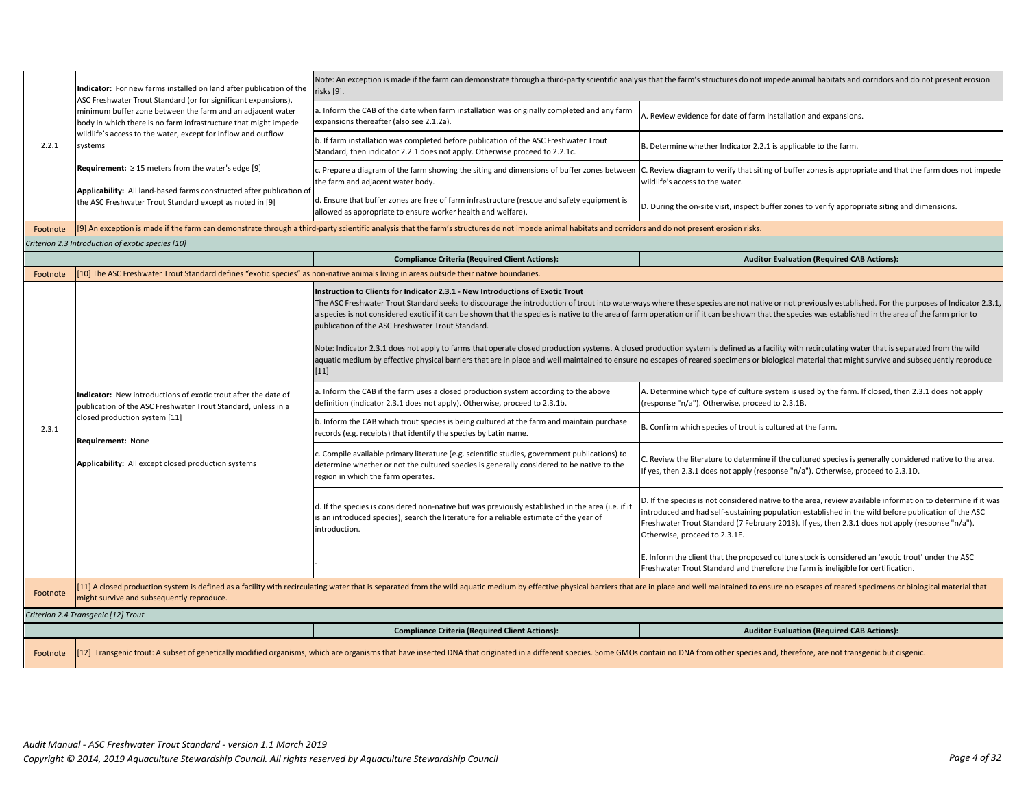|          | Indicator: For new farms installed on land after publication of the<br>ASC Freshwater Trout Standard (or for significant expansions),                                                                                                                                      | isks [9].                                                                                                                                                                                                                                                                                                                                                                                                                                                                                                                                                                                                                                                                                                                                                                                                                                                                                                                                                                   | Note: An exception is made if the farm can demonstrate through a third-party scientific analysis that the farm's structures do not impede animal habitats and corridors and do not present erosion                                                                                                                                                      |
|----------|----------------------------------------------------------------------------------------------------------------------------------------------------------------------------------------------------------------------------------------------------------------------------|-----------------------------------------------------------------------------------------------------------------------------------------------------------------------------------------------------------------------------------------------------------------------------------------------------------------------------------------------------------------------------------------------------------------------------------------------------------------------------------------------------------------------------------------------------------------------------------------------------------------------------------------------------------------------------------------------------------------------------------------------------------------------------------------------------------------------------------------------------------------------------------------------------------------------------------------------------------------------------|---------------------------------------------------------------------------------------------------------------------------------------------------------------------------------------------------------------------------------------------------------------------------------------------------------------------------------------------------------|
|          | minimum buffer zone between the farm and an adjacent water<br>body in which there is no farm infrastructure that might impede                                                                                                                                              | a. Inform the CAB of the date when farm installation was originally completed and any farm<br>expansions thereafter (also see 2.1.2a).                                                                                                                                                                                                                                                                                                                                                                                                                                                                                                                                                                                                                                                                                                                                                                                                                                      | A. Review evidence for date of farm installation and expansions.                                                                                                                                                                                                                                                                                        |
| 2.2.1    | wildlife's access to the water, except for inflow and outflow<br>systems                                                                                                                                                                                                   | b. If farm installation was completed before publication of the ASC Freshwater Trout<br>Standard, then indicator 2.2.1 does not apply. Otherwise proceed to 2.2.1c.                                                                                                                                                                                                                                                                                                                                                                                                                                                                                                                                                                                                                                                                                                                                                                                                         | B. Determine whether Indicator 2.2.1 is applicable to the farm.                                                                                                                                                                                                                                                                                         |
|          | Requirement: $\geq$ 15 meters from the water's edge [9]                                                                                                                                                                                                                    | c. Prepare a diagram of the farm showing the siting and dimensions of buffer zones between<br>the farm and adjacent water body.                                                                                                                                                                                                                                                                                                                                                                                                                                                                                                                                                                                                                                                                                                                                                                                                                                             | C. Review diagram to verify that siting of buffer zones is appropriate and that the farm does not impede<br>wildlife's access to the water.                                                                                                                                                                                                             |
|          | Applicability: All land-based farms constructed after publication of<br>the ASC Freshwater Trout Standard except as noted in [9]                                                                                                                                           | d. Ensure that buffer zones are free of farm infrastructure (rescue and safety equipment is<br>allowed as appropriate to ensure worker health and welfare).                                                                                                                                                                                                                                                                                                                                                                                                                                                                                                                                                                                                                                                                                                                                                                                                                 | D. During the on-site visit, inspect buffer zones to verify appropriate siting and dimensions.                                                                                                                                                                                                                                                          |
| Footnote |                                                                                                                                                                                                                                                                            | [9] An exception is made if the farm can demonstrate through a third-party scientific analysis that the farm's structures do not impede animal habitats and corridors and do not present erosion risks.                                                                                                                                                                                                                                                                                                                                                                                                                                                                                                                                                                                                                                                                                                                                                                     |                                                                                                                                                                                                                                                                                                                                                         |
|          | Criterion 2.3 Introduction of exotic species [10]                                                                                                                                                                                                                          |                                                                                                                                                                                                                                                                                                                                                                                                                                                                                                                                                                                                                                                                                                                                                                                                                                                                                                                                                                             |                                                                                                                                                                                                                                                                                                                                                         |
|          |                                                                                                                                                                                                                                                                            | <b>Compliance Criteria (Required Client Actions):</b>                                                                                                                                                                                                                                                                                                                                                                                                                                                                                                                                                                                                                                                                                                                                                                                                                                                                                                                       | <b>Auditor Evaluation (Required CAB Actions):</b>                                                                                                                                                                                                                                                                                                       |
| Footnote | [10] The ASC Freshwater Trout Standard defines "exotic species" as non-native animals living in areas outside their native boundaries.                                                                                                                                     |                                                                                                                                                                                                                                                                                                                                                                                                                                                                                                                                                                                                                                                                                                                                                                                                                                                                                                                                                                             |                                                                                                                                                                                                                                                                                                                                                         |
|          |                                                                                                                                                                                                                                                                            | Instruction to Clients for Indicator 2.3.1 - New Introductions of Exotic Trout<br>The ASC Freshwater Trout Standard seeks to discourage the introduction of trout into waterways where these species are not native or not previously established. For the purposes of Indicator 2.3.1,<br>a species is not considered exotic if it can be shown that the species is native to the area of farm operation or if it can be shown that the species was established in the area of the farm prior to<br>oublication of the ASC Freshwater Trout Standard.<br>Note: Indicator 2.3.1 does not apply to farms that operate closed production systems. A closed production system is defined as a facility with recirculating water that is separated from the wild<br>aquatic medium by effective physical barriers that are in place and well maintained to ensure no escapes of reared specimens or biological material that might survive and subsequently reproduce<br>$[11]$ |                                                                                                                                                                                                                                                                                                                                                         |
|          | Indicator: New introductions of exotic trout after the date of<br>publication of the ASC Freshwater Trout Standard, unless in a                                                                                                                                            | a. Inform the CAB if the farm uses a closed production system according to the above<br>definition (indicator 2.3.1 does not apply). Otherwise, proceed to 2.3.1b.                                                                                                                                                                                                                                                                                                                                                                                                                                                                                                                                                                                                                                                                                                                                                                                                          | A. Determine which type of culture system is used by the farm. If closed, then 2.3.1 does not apply<br>(response "n/a"). Otherwise, proceed to 2.3.1B.                                                                                                                                                                                                  |
| 2.3.1    | closed production system [11]<br>Requirement: None                                                                                                                                                                                                                         | b. Inform the CAB which trout species is being cultured at the farm and maintain purchase<br>records (e.g. receipts) that identify the species by Latin name.                                                                                                                                                                                                                                                                                                                                                                                                                                                                                                                                                                                                                                                                                                                                                                                                               | B. Confirm which species of trout is cultured at the farm.                                                                                                                                                                                                                                                                                              |
|          | Applicability: All except closed production systems                                                                                                                                                                                                                        | c. Compile available primary literature (e.g. scientific studies, government publications) to<br>determine whether or not the cultured species is generally considered to be native to the<br>region in which the farm operates.                                                                                                                                                                                                                                                                                                                                                                                                                                                                                                                                                                                                                                                                                                                                            | . Review the literature to determine if the cultured species is generally considered native to the area.<br>If yes, then 2.3.1 does not apply (response "n/a"). Otherwise, proceed to 2.3.1D.                                                                                                                                                           |
|          |                                                                                                                                                                                                                                                                            | d. If the species is considered non-native but was previously established in the area (i.e. if it<br>is an introduced species), search the literature for a reliable estimate of the year of<br>ntroduction.                                                                                                                                                                                                                                                                                                                                                                                                                                                                                                                                                                                                                                                                                                                                                                | D. If the species is not considered native to the area, review available information to determine if it was<br>introduced and had self-sustaining population established in the wild before publication of the ASC<br>Freshwater Trout Standard (7 February 2013). If yes, then 2.3.1 does not apply (response "n/a").<br>Otherwise, proceed to 2.3.1E. |
|          |                                                                                                                                                                                                                                                                            |                                                                                                                                                                                                                                                                                                                                                                                                                                                                                                                                                                                                                                                                                                                                                                                                                                                                                                                                                                             | E. Inform the client that the proposed culture stock is considered an 'exotic trout' under the ASC<br>Freshwater Trout Standard and therefore the farm is ineligible for certification.                                                                                                                                                                 |
| Footnote | [11] A closed production system is defined as a facility with recirculating water that is separated from the wild aquatic medium by effective physical barriers that are in place and well maintained to ensure no escapes of<br>might survive and subsequently reproduce. |                                                                                                                                                                                                                                                                                                                                                                                                                                                                                                                                                                                                                                                                                                                                                                                                                                                                                                                                                                             |                                                                                                                                                                                                                                                                                                                                                         |
|          | Criterion 2.4 Transgenic [12] Trout                                                                                                                                                                                                                                        |                                                                                                                                                                                                                                                                                                                                                                                                                                                                                                                                                                                                                                                                                                                                                                                                                                                                                                                                                                             |                                                                                                                                                                                                                                                                                                                                                         |
|          |                                                                                                                                                                                                                                                                            | <b>Compliance Criteria (Required Client Actions):</b>                                                                                                                                                                                                                                                                                                                                                                                                                                                                                                                                                                                                                                                                                                                                                                                                                                                                                                                       | <b>Auditor Evaluation (Required CAB Actions):</b>                                                                                                                                                                                                                                                                                                       |
| Footnote | [12] Transgenic trout: A subset of genetically modified organisms, which are organisms that have inserted DNA that originated in a different species. Some GMOs contain no DNA from other species and, therefore, are not tran                                             |                                                                                                                                                                                                                                                                                                                                                                                                                                                                                                                                                                                                                                                                                                                                                                                                                                                                                                                                                                             |                                                                                                                                                                                                                                                                                                                                                         |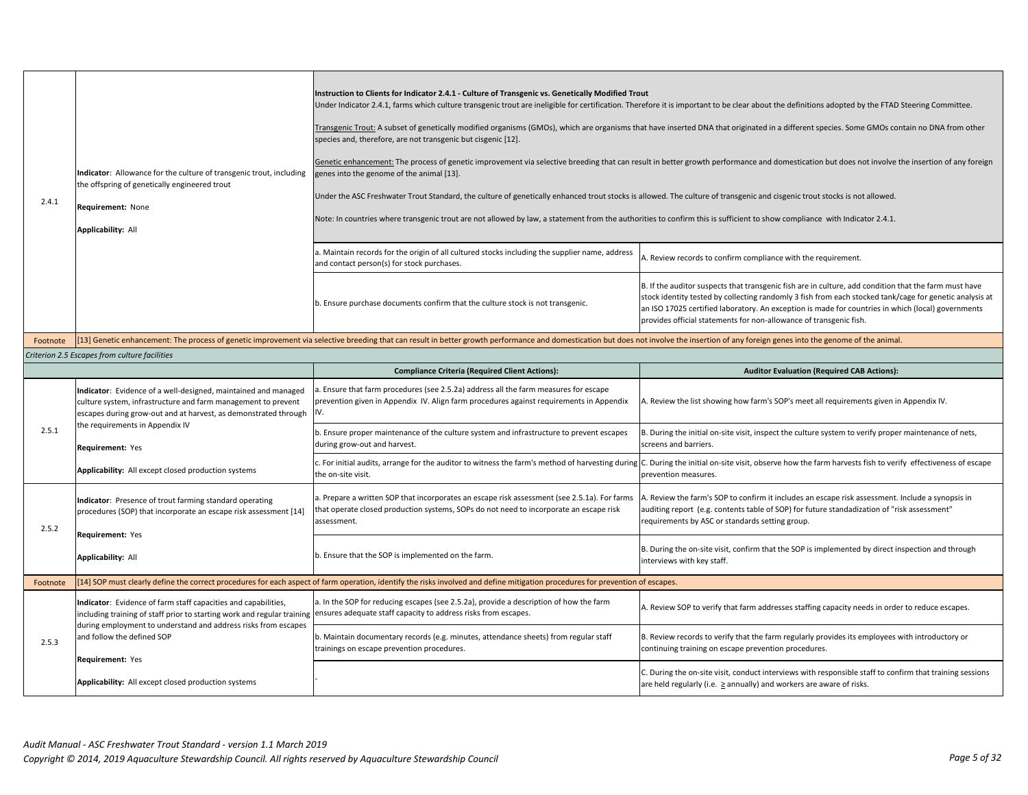| 2.4.1 | Indicator: Allowance for the culture of transgenic trout, including<br>the offspring of genetically engineered trout<br>Requirement: None<br><b>Applicability: All</b>                                                         | Instruction to Clients for Indicator 2.4.1 - Culture of Transgenic vs. Genetically Modified Trout<br>Under Indicator 2.4.1, farms which culture transgenic trout are ineligible for certification. Therefore it is important to be clear about the definitions adopted by the FTAD Steering Committee.<br>Transgenic Trout: A subset of genetically modified organisms (GMOs), which are organisms that have inserted DNA that originated in a different species. Some GMOs contain no DNA from other<br>species and, therefore, are not transgenic but cisgenic [12].<br>Genetic enhancement: The process of genetic improvement via selective breeding that can result in better growth performance and domestication but does not involve the insertion of any foreign<br>genes into the genome of the animal [13].<br>Under the ASC Freshwater Trout Standard, the culture of genetically enhanced trout stocks is allowed. The culture of transgenic and cisgenic trout stocks is not allowed.<br>Note: In countries where transgenic trout are not allowed by law, a statement from the authorities to confirm this is sufficient to show compliance with Indicator 2.4.1. |                                                                                                                                                                                                                                                                                                                                                                                              |
|-------|--------------------------------------------------------------------------------------------------------------------------------------------------------------------------------------------------------------------------------|----------------------------------------------------------------------------------------------------------------------------------------------------------------------------------------------------------------------------------------------------------------------------------------------------------------------------------------------------------------------------------------------------------------------------------------------------------------------------------------------------------------------------------------------------------------------------------------------------------------------------------------------------------------------------------------------------------------------------------------------------------------------------------------------------------------------------------------------------------------------------------------------------------------------------------------------------------------------------------------------------------------------------------------------------------------------------------------------------------------------------------------------------------------------------------|----------------------------------------------------------------------------------------------------------------------------------------------------------------------------------------------------------------------------------------------------------------------------------------------------------------------------------------------------------------------------------------------|
|       |                                                                                                                                                                                                                                | a. Maintain records for the origin of all cultured stocks including the supplier name, address<br>and contact person(s) for stock purchases.                                                                                                                                                                                                                                                                                                                                                                                                                                                                                                                                                                                                                                                                                                                                                                                                                                                                                                                                                                                                                                     | A. Review records to confirm compliance with the requirement.                                                                                                                                                                                                                                                                                                                                |
|       |                                                                                                                                                                                                                                | b. Ensure purchase documents confirm that the culture stock is not transgenic.                                                                                                                                                                                                                                                                                                                                                                                                                                                                                                                                                                                                                                                                                                                                                                                                                                                                                                                                                                                                                                                                                                   | B. If the auditor suspects that transgenic fish are in culture, add condition that the farm must have<br>stock identity tested by collecting randomly 3 fish from each stocked tank/cage for genetic analysis at<br>an ISO 17025 certified laboratory. An exception is made for countries in which (local) governments<br>provides official statements for non-allowance of transgenic fish. |
|       | Footnote [13] Genetic enhancement: The process of genetic improvement via selective breeding that can result in better growth performance and domestication but does not involve the insertion of any foreign genes into the g |                                                                                                                                                                                                                                                                                                                                                                                                                                                                                                                                                                                                                                                                                                                                                                                                                                                                                                                                                                                                                                                                                                                                                                                  |                                                                                                                                                                                                                                                                                                                                                                                              |

## *Criterion 2.5 Escapes from culture facilities*

|          |                                                                                                                                                                                                                                                                            | <b>Compliance Criteria (Required Client Actions):</b>                                                                                                                                                 | <b>Auditor Evaluation (Required CAB Actions):</b>                                                                                                                                                                                                  |
|----------|----------------------------------------------------------------------------------------------------------------------------------------------------------------------------------------------------------------------------------------------------------------------------|-------------------------------------------------------------------------------------------------------------------------------------------------------------------------------------------------------|----------------------------------------------------------------------------------------------------------------------------------------------------------------------------------------------------------------------------------------------------|
| 2.5.1    | Indicator: Evidence of a well-designed, maintained and managed<br>culture system, infrastructure and farm management to prevent<br>escapes during grow-out and at harvest, as demonstrated through                                                                         | . Ensure that farm procedures (see 2.5.2a) address all the farm measures for escape<br>prevention given in Appendix IV. Align farm procedures against requirements in Appendix                        | A. Review the list showing how farm's SOP's meet all requirements given in Appendix IV.                                                                                                                                                            |
|          | the requirements in Appendix IV<br>Requirement: Yes                                                                                                                                                                                                                        | . Ensure proper maintenance of the culture system and infrastructure to prevent escapes<br>during grow-out and harvest.                                                                               | B. During the initial on-site visit, inspect the culture system to verify proper maintenance of nets,<br>screens and barriers.                                                                                                                     |
|          | Applicability: All except closed production systems                                                                                                                                                                                                                        | the on-site visit.                                                                                                                                                                                    | c. For initial audits, arrange for the auditor to witness the farm's method of harvesting during IC. During the initial on-site visit, observe how the farm harvests fish to verify effectiveness of escape<br>prevention measures.                |
| 2.5.2    | Indicator: Presence of trout farming standard operating<br>procedures (SOP) that incorporate an escape risk assessment [14]<br>Requirement: Yes                                                                                                                            | a. Prepare a written SOP that incorporates an escape risk assessment (see 2.5.1a). For farms<br>that operate closed production systems, SOPs do not need to incorporate an escape risk<br>assessment. | A. Review the farm's SOP to confirm it includes an escape risk assessment. Include a synopsis in<br>auditing report (e.g. contents table of SOP) for future standadization of "risk assessment"<br>requirements by ASC or standards setting group. |
|          | <b>Applicability: All</b>                                                                                                                                                                                                                                                  | p. Ensure that the SOP is implemented on the farm.                                                                                                                                                    | B. During the on-site visit, confirm that the SOP is implemented by direct inspection and through<br>interviews with key staff.                                                                                                                    |
| Footnote |                                                                                                                                                                                                                                                                            | [14] SOP must clearly define the correct procedures for each aspect of farm operation, identify the risks involved and define mitigation procedures for prevention of escapes.                        |                                                                                                                                                                                                                                                    |
|          | Indicator: Evidence of farm staff capacities and capabilities,<br>including training of staff prior to starting work and regular training ensures adequate staff capacity to address risks from escapes.<br>during employment to understand and address risks from escapes | a. In the SOP for reducing escapes (see 2.5.2a), provide a description of how the farm                                                                                                                | A. Review SOP to verify that farm addresses staffing capacity needs in order to reduce escapes.                                                                                                                                                    |
| 2.5.3    | and follow the defined SOP<br>Requirement: Yes                                                                                                                                                                                                                             | . Maintain documentary records (e.g. minutes, attendance sheets) from regular staff<br>trainings on escape prevention procedures.                                                                     | B. Review records to verify that the farm regularly provides its employees with introductory or<br>continuing training on escape prevention procedures.                                                                                            |
|          | Applicability: All except closed production systems                                                                                                                                                                                                                        |                                                                                                                                                                                                       | . During the on-site visit, conduct interviews with responsible staff to confirm that training sessions<br>are held regularly (i.e. $\geq$ annually) and workers are aware of risks.                                                               |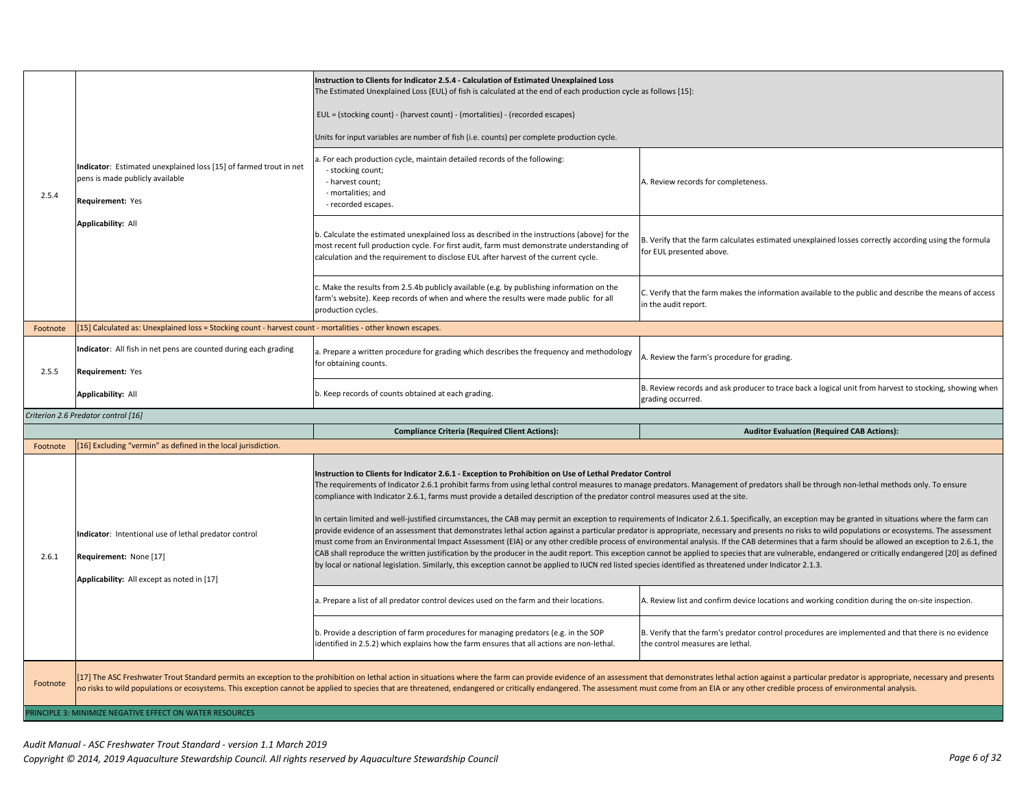| 2.5.4    | Indicator: Estimated unexplained loss [15] of farmed trout in net<br>pens is made publicly available<br>Requirement: Yes      | Instruction to Clients for Indicator 2.5.4 - Calculation of Estimated Unexplained Loss<br>The Estimated Unexplained Loss (EUL) of fish is calculated at the end of each production cycle as follows [15]:<br>EUL = (stocking count) - (harvest count) - (mortalities) - (recorded escapes)<br>Units for input variables are number of fish (i.e. counts) per complete production cycle.<br>. For each production cycle, maintain detailed records of the following:<br>- stocking count;<br>- harvest count;<br>- mortalities; and<br>- recorded escapes.                                                                                                                                                                                                                                                                                                                                                                                                                                                                                                                                                                                                                                                                                                                                                                                                                                                                | A. Review records for completeness.                                                                                                                                                                                            |
|----------|-------------------------------------------------------------------------------------------------------------------------------|--------------------------------------------------------------------------------------------------------------------------------------------------------------------------------------------------------------------------------------------------------------------------------------------------------------------------------------------------------------------------------------------------------------------------------------------------------------------------------------------------------------------------------------------------------------------------------------------------------------------------------------------------------------------------------------------------------------------------------------------------------------------------------------------------------------------------------------------------------------------------------------------------------------------------------------------------------------------------------------------------------------------------------------------------------------------------------------------------------------------------------------------------------------------------------------------------------------------------------------------------------------------------------------------------------------------------------------------------------------------------------------------------------------------------|--------------------------------------------------------------------------------------------------------------------------------------------------------------------------------------------------------------------------------|
|          | Applicability: All                                                                                                            | b. Calculate the estimated unexplained loss as described in the instructions (above) for the<br>most recent full production cycle. For first audit, farm must demonstrate understanding of<br>calculation and the requirement to disclose EUL after harvest of the current cycle.                                                                                                                                                                                                                                                                                                                                                                                                                                                                                                                                                                                                                                                                                                                                                                                                                                                                                                                                                                                                                                                                                                                                        | B. Verify that the farm calculates estimated unexplained losses correctly according using the formula<br>for EUL presented above.                                                                                              |
|          |                                                                                                                               | Make the results from 2.5.4b publicly available (e.g. by publishing information on the<br>farm's website). Keep records of when and where the results were made public for all<br>production cycles.                                                                                                                                                                                                                                                                                                                                                                                                                                                                                                                                                                                                                                                                                                                                                                                                                                                                                                                                                                                                                                                                                                                                                                                                                     | C. Verify that the farm makes the information available to the public and describe the means of access<br>in the audit report.                                                                                                 |
| Footnote | [15] Calculated as: Unexplained loss = Stocking count - harvest count - mortalities - other known escapes.                    |                                                                                                                                                                                                                                                                                                                                                                                                                                                                                                                                                                                                                                                                                                                                                                                                                                                                                                                                                                                                                                                                                                                                                                                                                                                                                                                                                                                                                          |                                                                                                                                                                                                                                |
| 2.5.5    | Indicator: All fish in net pens are counted during each grading<br>Requirement: Yes                                           | . Prepare a written procedure for grading which describes the frequency and methodology<br>for obtaining counts.                                                                                                                                                                                                                                                                                                                                                                                                                                                                                                                                                                                                                                                                                                                                                                                                                                                                                                                                                                                                                                                                                                                                                                                                                                                                                                         | A. Review the farm's procedure for grading.                                                                                                                                                                                    |
|          | <b>Applicability: All</b>                                                                                                     | b. Keep records of counts obtained at each grading.                                                                                                                                                                                                                                                                                                                                                                                                                                                                                                                                                                                                                                                                                                                                                                                                                                                                                                                                                                                                                                                                                                                                                                                                                                                                                                                                                                      | B. Review records and ask producer to trace back a logical unit from harvest to stocking, showing when<br>grading occurred.                                                                                                    |
|          | Criterion 2.6 Predator control [16]                                                                                           |                                                                                                                                                                                                                                                                                                                                                                                                                                                                                                                                                                                                                                                                                                                                                                                                                                                                                                                                                                                                                                                                                                                                                                                                                                                                                                                                                                                                                          |                                                                                                                                                                                                                                |
|          |                                                                                                                               | <b>Compliance Criteria (Required Client Actions):</b>                                                                                                                                                                                                                                                                                                                                                                                                                                                                                                                                                                                                                                                                                                                                                                                                                                                                                                                                                                                                                                                                                                                                                                                                                                                                                                                                                                    | <b>Auditor Evaluation (Required CAB Actions):</b>                                                                                                                                                                              |
| Footnote | [16] Excluding "vermin" as defined in the local jurisdiction.                                                                 |                                                                                                                                                                                                                                                                                                                                                                                                                                                                                                                                                                                                                                                                                                                                                                                                                                                                                                                                                                                                                                                                                                                                                                                                                                                                                                                                                                                                                          |                                                                                                                                                                                                                                |
|          |                                                                                                                               | Instruction to Clients for Indicator 2.6.1 - Exception to Prohibition on Use of Lethal Predator Control<br>The requirements of Indicator 2.6.1 prohibit farms from using lethal control measures to manage predators. Management of predators shall be through non-lethal methods only. To ensure<br>compliance with Indicator 2.6.1, farms must provide a detailed description of the predator control measures used at the site.<br>In certain limited and well-justified circumstances, the CAB may permit an exception to requirements of Indicator 2.6.1. Specifically, an exception may be granted in situations where the farm can<br>provide evidence of an assessment that demonstrates lethal action against a particular predator is appropriate, necessary and presents no risks to wild populations or ecosystems. The assessment<br>must come from an Environmental Impact Assessment (EIA) or any other credible process of environmental analysis. If the CAB determines that a farm should be allowed an exception to 2.6.1, the<br>CAB shall reproduce the written justification by the producer in the audit report. This exception cannot be applied to species that are vulnerable, endangered or critically endangered [20] as defined<br>by local or national legislation. Similarly, this exception cannot be applied to IUCN red listed species identified as threatened under Indicator 2.1.3. |                                                                                                                                                                                                                                |
| 2.6.1    | Indicator: Intentional use of lethal predator control<br>Requirement: None [17]<br>Applicability: All except as noted in [17] |                                                                                                                                                                                                                                                                                                                                                                                                                                                                                                                                                                                                                                                                                                                                                                                                                                                                                                                                                                                                                                                                                                                                                                                                                                                                                                                                                                                                                          |                                                                                                                                                                                                                                |
|          |                                                                                                                               | a. Prepare a list of all predator control devices used on the farm and their locations.                                                                                                                                                                                                                                                                                                                                                                                                                                                                                                                                                                                                                                                                                                                                                                                                                                                                                                                                                                                                                                                                                                                                                                                                                                                                                                                                  | A. Review list and confirm device locations and working condition during the on-site inspection.                                                                                                                               |
|          |                                                                                                                               | b. Provide a description of farm procedures for managing predators (e.g. in the SOP<br>identified in 2.5.2) which explains how the farm ensures that all actions are non-lethal.                                                                                                                                                                                                                                                                                                                                                                                                                                                                                                                                                                                                                                                                                                                                                                                                                                                                                                                                                                                                                                                                                                                                                                                                                                         | B. Verify that the farm's predator control procedures are implemented and that there is no evidence<br>the control measures are lethal.                                                                                        |
| Footnote |                                                                                                                               | no risks to wild populations or ecosystems. This exception cannot be applied to species that are threatened, endangered or critically endangered. The assessment must come from an EIA or any other credible process of enviro                                                                                                                                                                                                                                                                                                                                                                                                                                                                                                                                                                                                                                                                                                                                                                                                                                                                                                                                                                                                                                                                                                                                                                                           | [17] The ASC Freshwater Trout Standard permits an exception to the prohibition on lethal action in situations where the farm can provide evidence of an assessment that demonstrates lethal action against a particular predat |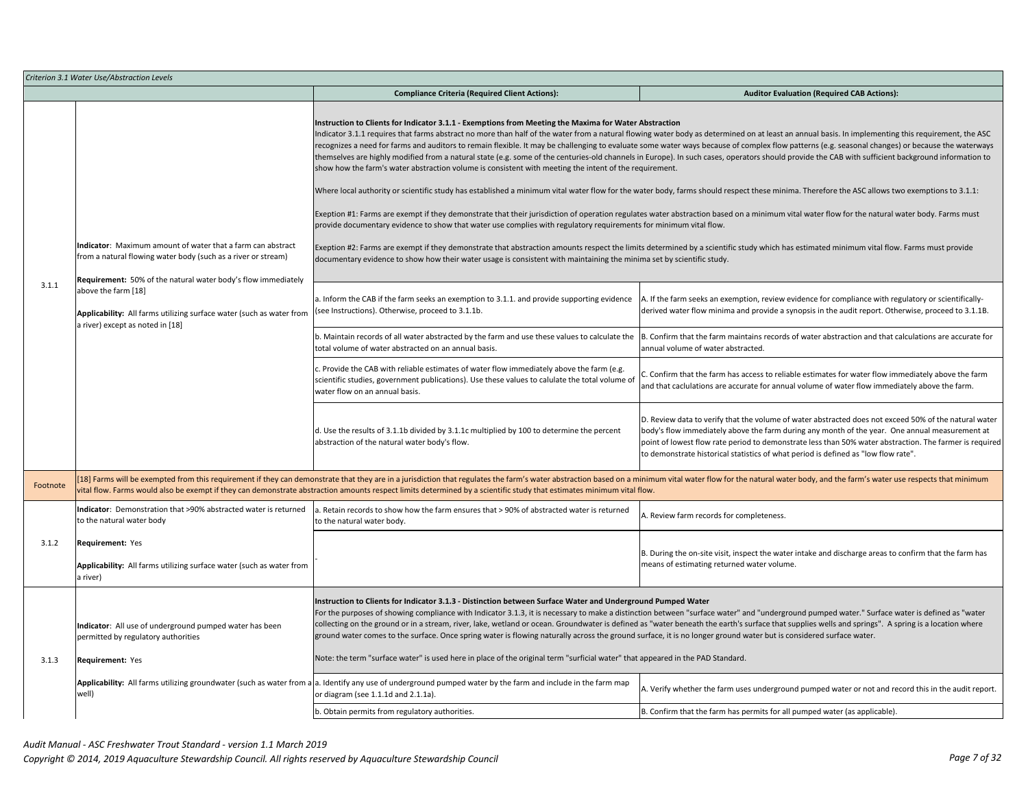|          | Criterion 3.1 Water Use/Abstraction Levels                                                                                                                                                    |                                                                                                                                                                                                                                                                                                                                                                                                                                                                                                                                                                                                                                                                                                                                                                                                                             |                                                                                                                                                                                                                                                                                                                                                                                                                                                                                                                                                                                                                                                                                                                                                                                                                                                                                                                                                                                                              |  |
|----------|-----------------------------------------------------------------------------------------------------------------------------------------------------------------------------------------------|-----------------------------------------------------------------------------------------------------------------------------------------------------------------------------------------------------------------------------------------------------------------------------------------------------------------------------------------------------------------------------------------------------------------------------------------------------------------------------------------------------------------------------------------------------------------------------------------------------------------------------------------------------------------------------------------------------------------------------------------------------------------------------------------------------------------------------|--------------------------------------------------------------------------------------------------------------------------------------------------------------------------------------------------------------------------------------------------------------------------------------------------------------------------------------------------------------------------------------------------------------------------------------------------------------------------------------------------------------------------------------------------------------------------------------------------------------------------------------------------------------------------------------------------------------------------------------------------------------------------------------------------------------------------------------------------------------------------------------------------------------------------------------------------------------------------------------------------------------|--|
|          |                                                                                                                                                                                               | <b>Compliance Criteria (Required Client Actions):</b>                                                                                                                                                                                                                                                                                                                                                                                                                                                                                                                                                                                                                                                                                                                                                                       | <b>Auditor Evaluation (Required CAB Actions):</b>                                                                                                                                                                                                                                                                                                                                                                                                                                                                                                                                                                                                                                                                                                                                                                                                                                                                                                                                                            |  |
|          |                                                                                                                                                                                               | Instruction to Clients for Indicator 3.1.1 - Exemptions from Meeting the Maxima for Water Abstraction<br>show how the farm's water abstraction volume is consistent with meeting the intent of the requirement.<br>provide documentary evidence to show that water use complies with regulatory requirements for minimum vital flow.                                                                                                                                                                                                                                                                                                                                                                                                                                                                                        | Indicator 3.1.1 requires that farms abstract no more than half of the water from a natural flowing water body as determined on at least an annual basis. In implementing this requirement, the ASC<br>ecognizes a need for farms and auditors to remain flexible. It may be challenging to evaluate some water ways because of complex flow patterns (e.g. seasonal changes) or because the waterways<br>hemselves are highly modified from a natural state (e.g. some of the centuries-old channels in Europe). In such cases, operators should provide the CAB with sufficient background information to<br>Where local authority or scientific study has established a minimum vital water flow for the water body, farms should respect these minima. Therefore the ASC allows two exemptions to 3.1.1:<br>Exeption #1: Farms are exempt if they demonstrate that their jurisdiction of operation regulates water abstraction based on a minimum vital water flow for the natural water body. Farms must |  |
|          | Indicator: Maximum amount of water that a farm can abstract<br>from a natural flowing water body (such as a river or stream)<br>Requirement: 50% of the natural water body's flow immediately | documentary evidence to show how their water usage is consistent with maintaining the minima set by scientific study.                                                                                                                                                                                                                                                                                                                                                                                                                                                                                                                                                                                                                                                                                                       | Exeption #2: Farms are exempt if they demonstrate that abstraction amounts respect the limits determined by a scientific study which has estimated minimum vital flow. Farms must provide                                                                                                                                                                                                                                                                                                                                                                                                                                                                                                                                                                                                                                                                                                                                                                                                                    |  |
| 3.1.1    | above the farm [18]<br>Applicability: All farms utilizing surface water (such as water from<br>a river) except as noted in [18]                                                               | a. Inform the CAB if the farm seeks an exemption to 3.1.1. and provide supporting evidence<br>see Instructions). Otherwise, proceed to 3.1.1b.                                                                                                                                                                                                                                                                                                                                                                                                                                                                                                                                                                                                                                                                              | A. If the farm seeks an exemption, review evidence for compliance with regulatory or scientifically-<br>derived water flow minima and provide a synopsis in the audit report. Otherwise, proceed to 3.1.1B.                                                                                                                                                                                                                                                                                                                                                                                                                                                                                                                                                                                                                                                                                                                                                                                                  |  |
|          |                                                                                                                                                                                               | . Maintain records of all water abstracted by the farm and use these values to calculate the<br>total volume of water abstracted on an annual basis.                                                                                                                                                                                                                                                                                                                                                                                                                                                                                                                                                                                                                                                                        | B. Confirm that the farm maintains records of water abstraction and that calculations are accurate for<br>annual volume of water abstracted.                                                                                                                                                                                                                                                                                                                                                                                                                                                                                                                                                                                                                                                                                                                                                                                                                                                                 |  |
|          |                                                                                                                                                                                               | c. Provide the CAB with reliable estimates of water flow immediately above the farm (e.g.<br>scientific studies, government publications). Use these values to calulate the total volume of<br>water flow on an annual basis.                                                                                                                                                                                                                                                                                                                                                                                                                                                                                                                                                                                               | C. Confirm that the farm has access to reliable estimates for water flow immediately above the farm<br>and that caclulations are accurate for annual volume of water flow immediately above the farm.                                                                                                                                                                                                                                                                                                                                                                                                                                                                                                                                                                                                                                                                                                                                                                                                        |  |
|          |                                                                                                                                                                                               | d. Use the results of 3.1.1b divided by 3.1.1c multiplied by 100 to determine the percent<br>abstraction of the natural water body's flow.                                                                                                                                                                                                                                                                                                                                                                                                                                                                                                                                                                                                                                                                                  | D. Review data to verify that the volume of water abstracted does not exceed 50% of the natural water<br>body's flow immediately above the farm during any month of the year. One annual measurement at<br>point of lowest flow rate period to demonstrate less than 50% water abstraction. The farmer is required<br>to demonstrate historical statistics of what period is defined as "low flow rate".                                                                                                                                                                                                                                                                                                                                                                                                                                                                                                                                                                                                     |  |
| Footnote |                                                                                                                                                                                               | vital flow. Farms would also be exempt if they can demonstrate abstraction amounts respect limits determined by a scientific study that estimates minimum vital flow.                                                                                                                                                                                                                                                                                                                                                                                                                                                                                                                                                                                                                                                       | [18] Farms will be exempted from this requirement if they can demonstrate that they are in a jurisdiction that regulates the farm's water abstraction based on a minimum vital water flow for the natural water body, and the                                                                                                                                                                                                                                                                                                                                                                                                                                                                                                                                                                                                                                                                                                                                                                                |  |
|          | Indicator: Demonstration that >90% abstracted water is returned<br>to the natural water body                                                                                                  | a. Retain records to show how the farm ensures that > 90% of abstracted water is returned<br>o the natural water body.                                                                                                                                                                                                                                                                                                                                                                                                                                                                                                                                                                                                                                                                                                      | A. Review farm records for completeness.                                                                                                                                                                                                                                                                                                                                                                                                                                                                                                                                                                                                                                                                                                                                                                                                                                                                                                                                                                     |  |
| 3.1.2    | <b>Requirement: Yes</b><br>Applicability: All farms utilizing surface water (such as water from<br>a river)                                                                                   |                                                                                                                                                                                                                                                                                                                                                                                                                                                                                                                                                                                                                                                                                                                                                                                                                             | B. During the on-site visit, inspect the water intake and discharge areas to confirm that the farm has<br>means of estimating returned water volume.                                                                                                                                                                                                                                                                                                                                                                                                                                                                                                                                                                                                                                                                                                                                                                                                                                                         |  |
| 3.1.3    | Indicator: All use of underground pumped water has been<br>permitted by regulatory authorities<br>Requirement: Yes                                                                            | Instruction to Clients for Indicator 3.1.3 - Distinction between Surface Water and Underground Pumped Water<br>For the purposes of showing compliance with Indicator 3.1.3, it is necessary to make a distinction between "surface water" and "underground pumped water." Surface water is defined as "water<br>collecting on the ground or in a stream, river, lake, wetland or ocean. Groundwater is defined as "water beneath the earth's surface that supplies wells and springs". A spring is a location where<br>ground water comes to the surface. Once spring water is flowing naturally across the ground surface, it is no longer ground water but is considered surface water.<br>Note: the term "surface water" is used here in place of the original term "surficial water" that appeared in the PAD Standard. |                                                                                                                                                                                                                                                                                                                                                                                                                                                                                                                                                                                                                                                                                                                                                                                                                                                                                                                                                                                                              |  |
|          | well)                                                                                                                                                                                         | Applicability: All farms utilizing groundwater (such as water from a a. Identify any use of underground pumped water by the farm and include in the farm map<br>or diagram (see 1.1.1d and 2.1.1a).                                                                                                                                                                                                                                                                                                                                                                                                                                                                                                                                                                                                                         | A. Verify whether the farm uses underground pumped water or not and record this in the audit report.                                                                                                                                                                                                                                                                                                                                                                                                                                                                                                                                                                                                                                                                                                                                                                                                                                                                                                         |  |
|          |                                                                                                                                                                                               | . Obtain permits from regulatory authorities.                                                                                                                                                                                                                                                                                                                                                                                                                                                                                                                                                                                                                                                                                                                                                                               | B. Confirm that the farm has permits for all pumped water (as applicable).                                                                                                                                                                                                                                                                                                                                                                                                                                                                                                                                                                                                                                                                                                                                                                                                                                                                                                                                   |  |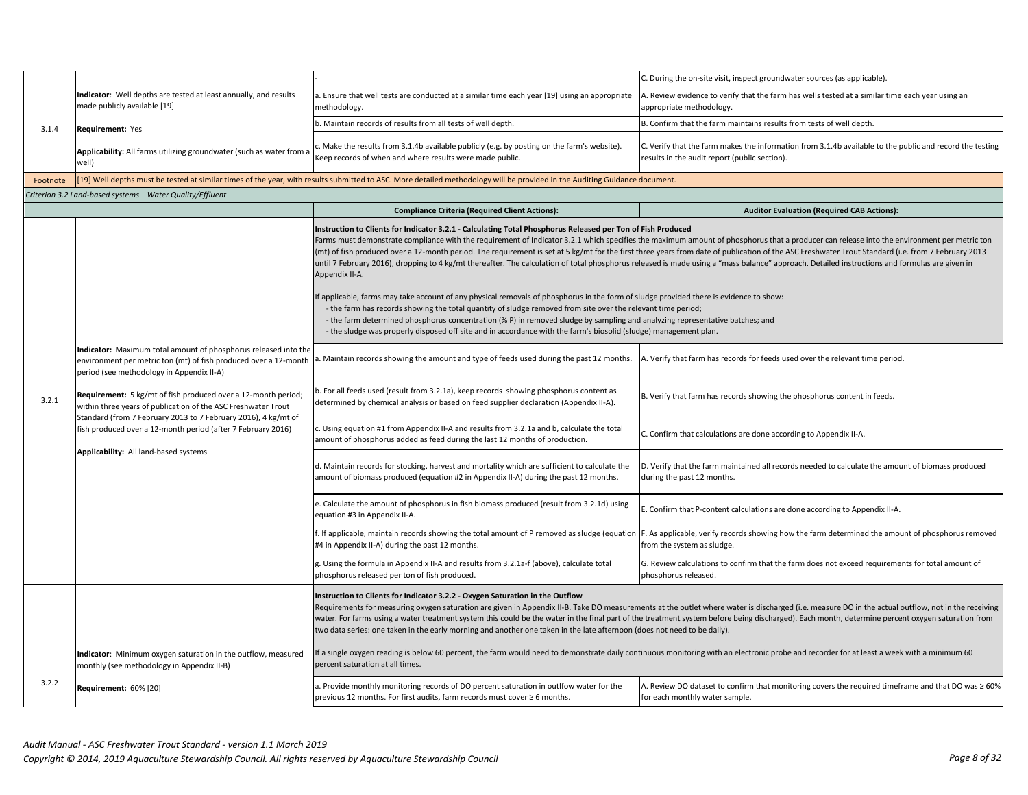|          |                                                                                                                                                                                                                                                                                                                                                                                      |                                                                                                                                                                                                                                                                                                                                                                                                                                                                                                                                                                                                                                                                                                                                                                                                                                                                                                                                                                                                                                                                                                                             | C. During the on-site visit, inspect groundwater sources (as applicable).                                                                                                                                                    |  |  |
|----------|--------------------------------------------------------------------------------------------------------------------------------------------------------------------------------------------------------------------------------------------------------------------------------------------------------------------------------------------------------------------------------------|-----------------------------------------------------------------------------------------------------------------------------------------------------------------------------------------------------------------------------------------------------------------------------------------------------------------------------------------------------------------------------------------------------------------------------------------------------------------------------------------------------------------------------------------------------------------------------------------------------------------------------------------------------------------------------------------------------------------------------------------------------------------------------------------------------------------------------------------------------------------------------------------------------------------------------------------------------------------------------------------------------------------------------------------------------------------------------------------------------------------------------|------------------------------------------------------------------------------------------------------------------------------------------------------------------------------------------------------------------------------|--|--|
|          |                                                                                                                                                                                                                                                                                                                                                                                      |                                                                                                                                                                                                                                                                                                                                                                                                                                                                                                                                                                                                                                                                                                                                                                                                                                                                                                                                                                                                                                                                                                                             |                                                                                                                                                                                                                              |  |  |
|          | Indicator: Well depths are tested at least annually, and results<br>made publicly available [19]                                                                                                                                                                                                                                                                                     | . Ensure that well tests are conducted at a similar time each year [19] using an appropriate<br>methodology.                                                                                                                                                                                                                                                                                                                                                                                                                                                                                                                                                                                                                                                                                                                                                                                                                                                                                                                                                                                                                | A. Review evidence to verify that the farm has wells tested at a similar time each year using an<br>appropriate methodology.                                                                                                 |  |  |
| 3.1.4    | Requirement: Yes                                                                                                                                                                                                                                                                                                                                                                     | b. Maintain records of results from all tests of well depth.                                                                                                                                                                                                                                                                                                                                                                                                                                                                                                                                                                                                                                                                                                                                                                                                                                                                                                                                                                                                                                                                | B. Confirm that the farm maintains results from tests of well depth.                                                                                                                                                         |  |  |
|          | Applicability: All farms utilizing groundwater (such as water from a<br>well)                                                                                                                                                                                                                                                                                                        | Make the results from 3.1.4b available publicly (e.g. by posting on the farm's website).<br>Keep records of when and where results were made public.                                                                                                                                                                                                                                                                                                                                                                                                                                                                                                                                                                                                                                                                                                                                                                                                                                                                                                                                                                        | C. Verify that the farm makes the information from 3.1.4b available to the public and record the testing<br>results in the audit report (public section).                                                                    |  |  |
| Footnote |                                                                                                                                                                                                                                                                                                                                                                                      | [19] Well depths must be tested at similar times of the year, with results submitted to ASC. More detailed methodology will be provided in the Auditing Guidance document.                                                                                                                                                                                                                                                                                                                                                                                                                                                                                                                                                                                                                                                                                                                                                                                                                                                                                                                                                  |                                                                                                                                                                                                                              |  |  |
|          | Criterion 3.2 Land-based systems-Water Quality/Effluent                                                                                                                                                                                                                                                                                                                              |                                                                                                                                                                                                                                                                                                                                                                                                                                                                                                                                                                                                                                                                                                                                                                                                                                                                                                                                                                                                                                                                                                                             |                                                                                                                                                                                                                              |  |  |
|          |                                                                                                                                                                                                                                                                                                                                                                                      | <b>Compliance Criteria (Required Client Actions):</b>                                                                                                                                                                                                                                                                                                                                                                                                                                                                                                                                                                                                                                                                                                                                                                                                                                                                                                                                                                                                                                                                       | <b>Auditor Evaluation (Required CAB Actions):</b>                                                                                                                                                                            |  |  |
|          |                                                                                                                                                                                                                                                                                                                                                                                      | Instruction to Clients for Indicator 3.2.1 - Calculating Total Phosphorus Released per Ton of Fish Produced<br>Farms must demonstrate compliance with the requirement of Indicator 3.2.1 which specifies the maximum amount of phosphorus that a producer can release into the environment per metric ton<br>(mt) of fish produced over a 12-month period. The requirement is set at 5 kg/mt for the first three years from date of publication of the ASC Freshwater Trout Standard (i.e. from 7 February 2013<br>until 7 February 2016), dropping to 4 kg/mt thereafter. The calculation of total phosphorus released is made using a "mass balance" approach. Detailed instructions and formulas are given in<br>Appendix II-A.<br>f applicable, farms may take account of any physical removals of phosphorus in the form of sludge provided there is evidence to show:<br>- the farm has records showing the total quantity of sludge removed from site over the relevant time period;<br>- the farm determined phosphorus concentration (% P) in removed sludge by sampling and analyzing representative batches; and |                                                                                                                                                                                                                              |  |  |
|          |                                                                                                                                                                                                                                                                                                                                                                                      | - the sludge was properly disposed off site and in accordance with the farm's biosolid (sludge) management plan.                                                                                                                                                                                                                                                                                                                                                                                                                                                                                                                                                                                                                                                                                                                                                                                                                                                                                                                                                                                                            |                                                                                                                                                                                                                              |  |  |
|          | Indicator: Maximum total amount of phosphorus released into the<br>environment per metric ton (mt) of fish produced over a 12-month<br>period (see methodology in Appendix II-A)<br>Requirement: 5 kg/mt of fish produced over a 12-month period;<br>within three years of publication of the ASC Freshwater Trout<br>Standard (from 7 February 2013 to 7 February 2016), 4 kg/mt of | . Maintain records showing the amount and type of feeds used during the past 12 months.                                                                                                                                                                                                                                                                                                                                                                                                                                                                                                                                                                                                                                                                                                                                                                                                                                                                                                                                                                                                                                     | A. Verify that farm has records for feeds used over the relevant time period.                                                                                                                                                |  |  |
| 3.2.1    |                                                                                                                                                                                                                                                                                                                                                                                      | . For all feeds used (result from 3.2.1a), keep records showing phosphorus content as<br>determined by chemical analysis or based on feed supplier declaration (Appendix II-A).                                                                                                                                                                                                                                                                                                                                                                                                                                                                                                                                                                                                                                                                                                                                                                                                                                                                                                                                             | B. Verify that farm has records showing the phosphorus content in feeds.                                                                                                                                                     |  |  |
|          | fish produced over a 12-month period (after 7 February 2016)                                                                                                                                                                                                                                                                                                                         | Using equation #1 from Appendix II-A and results from 3.2.1a and b, calculate the total<br>amount of phosphorus added as feed during the last 12 months of production.                                                                                                                                                                                                                                                                                                                                                                                                                                                                                                                                                                                                                                                                                                                                                                                                                                                                                                                                                      | C. Confirm that calculations are done according to Appendix II-A.                                                                                                                                                            |  |  |
|          | Applicability: All land-based systems                                                                                                                                                                                                                                                                                                                                                | d. Maintain records for stocking, harvest and mortality which are sufficient to calculate the<br>amount of biomass produced (equation #2 in Appendix II-A) during the past 12 months.                                                                                                                                                                                                                                                                                                                                                                                                                                                                                                                                                                                                                                                                                                                                                                                                                                                                                                                                       | D. Verify that the farm maintained all records needed to calculate the amount of biomass produced<br>during the past 12 months.                                                                                              |  |  |
|          |                                                                                                                                                                                                                                                                                                                                                                                      | . Calculate the amount of phosphorus in fish biomass produced (result from 3.2.1d) using<br>equation #3 in Appendix II-A.                                                                                                                                                                                                                                                                                                                                                                                                                                                                                                                                                                                                                                                                                                                                                                                                                                                                                                                                                                                                   | E. Confirm that P-content calculations are done according to Appendix II-A.                                                                                                                                                  |  |  |
|          |                                                                                                                                                                                                                                                                                                                                                                                      | #4 in Appendix II-A) during the past 12 months.                                                                                                                                                                                                                                                                                                                                                                                                                                                                                                                                                                                                                                                                                                                                                                                                                                                                                                                                                                                                                                                                             | . If applicable, maintain records showing the total amount of P removed as sludge (equation  F. As applicable, verify records showing how the farm determined the amount of phosphorus removed<br>from the system as sludge. |  |  |
|          |                                                                                                                                                                                                                                                                                                                                                                                      | g. Using the formula in Appendix II-A and results from 3.2.1a-f (above), calculate total<br>phosphorus released per ton of fish produced.                                                                                                                                                                                                                                                                                                                                                                                                                                                                                                                                                                                                                                                                                                                                                                                                                                                                                                                                                                                   | G. Review calculations to confirm that the farm does not exceed requirements for total amount of<br>phosphorus released.                                                                                                     |  |  |
|          |                                                                                                                                                                                                                                                                                                                                                                                      | Instruction to Clients for Indicator 3.2.2 - Oxygen Saturation in the Outflow<br>Requirements for measuring oxygen saturation are given in Appendix II-B. Take DO measurements at the outlet where water is discharged (i.e. measure DO in the actual outflow, not in the receiving<br>water. For farms using a water treatment system this could be the water in the final part of the treatment system before being discharged). Each month, determine percent oxygen saturation from<br>two data series: one taken in the early morning and another one taken in the late afternoon (does not need to be daily).                                                                                                                                                                                                                                                                                                                                                                                                                                                                                                         |                                                                                                                                                                                                                              |  |  |
|          | Indicator: Minimum oxygen saturation in the outflow, measured<br>monthly (see methodology in Appendix II-B)                                                                                                                                                                                                                                                                          | percent saturation at all times.                                                                                                                                                                                                                                                                                                                                                                                                                                                                                                                                                                                                                                                                                                                                                                                                                                                                                                                                                                                                                                                                                            | f a single oxygen reading is below 60 percent, the farm would need to demonstrate daily continuous monitoring with an electronic probe and recorder for at least a week with a minimum 60                                    |  |  |
| 3.2.2    | Requirement: 60% [20]                                                                                                                                                                                                                                                                                                                                                                | a. Provide monthly monitoring records of DO percent saturation in outlfow water for the<br>previous 12 months. For first audits, farm records must cover ≥ 6 months.                                                                                                                                                                                                                                                                                                                                                                                                                                                                                                                                                                                                                                                                                                                                                                                                                                                                                                                                                        | A. Review DO dataset to confirm that monitoring covers the required timeframe and that DO was $\geq 60\%$<br>for each monthly water sample.                                                                                  |  |  |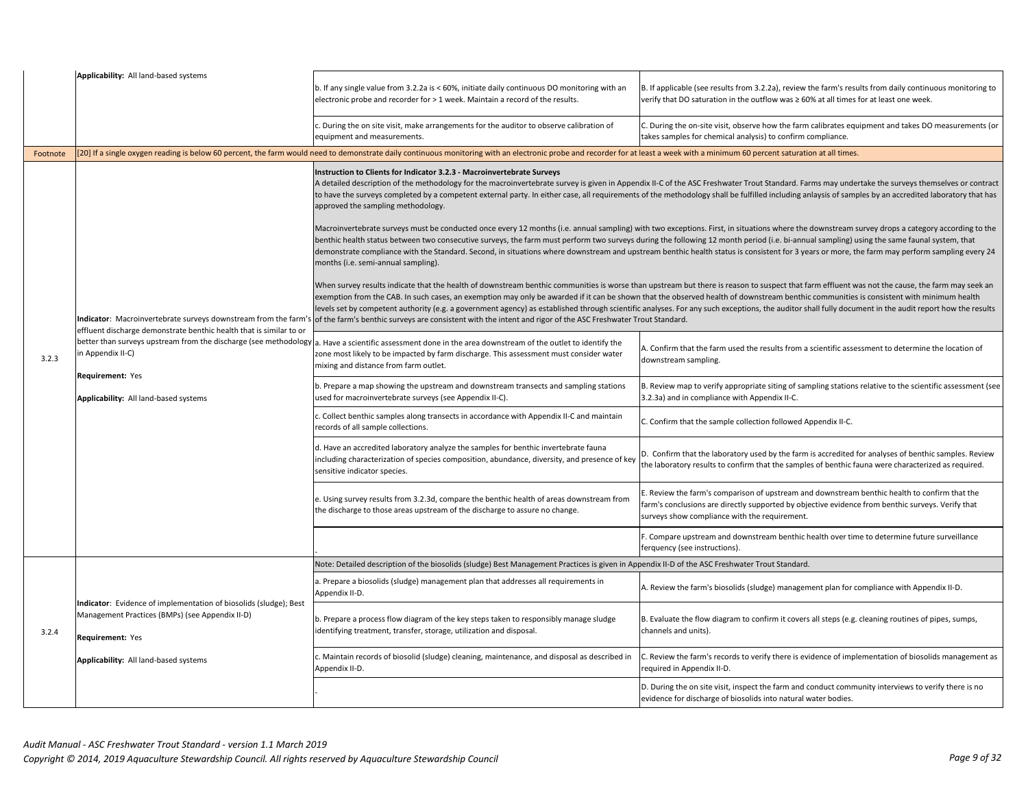|          | Applicability: All land-based systems                                                                                                    | b. If any single value from 3.2.2a is < 60%, initiate daily continuous DO monitoring with an<br>electronic probe and recorder for > 1 week. Maintain a record of the results.                                                                                                                 | B. If applicable (see results from 3.2.2a), review the farm's results from daily continuous monitoring to<br>verify that DO saturation in the outflow was ≥ 60% at all times for at least one week.                                                                                                                                                                                                                                                                                                                                                                                                  |
|----------|------------------------------------------------------------------------------------------------------------------------------------------|-----------------------------------------------------------------------------------------------------------------------------------------------------------------------------------------------------------------------------------------------------------------------------------------------|------------------------------------------------------------------------------------------------------------------------------------------------------------------------------------------------------------------------------------------------------------------------------------------------------------------------------------------------------------------------------------------------------------------------------------------------------------------------------------------------------------------------------------------------------------------------------------------------------|
|          |                                                                                                                                          | c. During the on site visit, make arrangements for the auditor to observe calibration of<br>equipment and measurements.                                                                                                                                                                       | C. During the on-site visit, observe how the farm calibrates equipment and takes DO measurements (or<br>takes samples for chemical analysis) to confirm compliance.                                                                                                                                                                                                                                                                                                                                                                                                                                  |
| Footnote |                                                                                                                                          | [20] If a single oxygen reading is below 60 percent, the farm would need to demonstrate daily continuous monitoring with an electronic probe and recorder for at least a week with a minimum 60 percent saturation at all time                                                                |                                                                                                                                                                                                                                                                                                                                                                                                                                                                                                                                                                                                      |
|          |                                                                                                                                          | Instruction to Clients for Indicator 3.2.3 - Macroinvertebrate Surveys<br>approved the sampling methodology.                                                                                                                                                                                  | A detailed description of the methodology for the macroinvertebrate survey is given in Appendix II-C of the ASC Freshwater Trout Standard. Farms may undertake the surveys themselves or contract<br>to have the surveys completed by a competent external party. In either case, all requirements of the methodology shall be fulfilled including anlaysis of samples by an accredited laboratory that has                                                                                                                                                                                          |
|          |                                                                                                                                          | months (i.e. semi-annual sampling).                                                                                                                                                                                                                                                           | Macroinvertebrate surveys must be conducted once every 12 months (i.e. annual sampling) with two exceptions. First, in situations where the downstream survey drops a category according to the<br>benthic health status between two consecutive surveys, the farm must perform two surveys during the following 12 month period (i.e. bi-annual sampling) using the same faunal system, that<br>demonstrate compliance with the Standard. Second, in situations where downstream and upstream benthic health status is consistent for 3 years or more, the farm may perform sampling every 24       |
|          | effluent discharge demonstrate benthic health that is similar to or                                                                      | Indicator: Macroinvertebrate surveys downstream from the farm's lof the farm's benthic surveys are consistent with the intent and rigor of the ASC Freshwater Trout Standard.                                                                                                                 | When survey results indicate that the health of downstream benthic communities is worse than upstream but there is reason to suspect that farm effluent was not the cause, the farm may seek an<br>exemption from the CAB. In such cases, an exemption may only be awarded if it can be shown that the observed health of downstream benthic communities is consistent with minimum health<br>levels set by competent authority (e.g. a government agency) as established through scientific analyses. For any such exceptions, the auditor shall fully document in the audit report how the results |
| 3.2.3    | in Appendix II-C)<br>Requirement: Yes<br>Applicability: All land-based systems                                                           | better than surveys upstream from the discharge (see methodology a. Have a scientific assessment done in the area downstream of the outlet to identify the<br>zone most likely to be impacted by farm discharge. This assessment must consider water<br>mixing and distance from farm outlet. | A. Confirm that the farm used the results from a scientific assessment to determine the location of<br>downstream sampling.                                                                                                                                                                                                                                                                                                                                                                                                                                                                          |
|          |                                                                                                                                          | b. Prepare a map showing the upstream and downstream transects and sampling stations<br>used for macroinvertebrate surveys (see Appendix II-C).                                                                                                                                               | B. Review map to verify appropriate siting of sampling stations relative to the scientific assessment (see<br>3.2.3a) and in compliance with Appendix II-C.                                                                                                                                                                                                                                                                                                                                                                                                                                          |
|          |                                                                                                                                          | c. Collect benthic samples along transects in accordance with Appendix II-C and maintain<br>records of all sample collections.                                                                                                                                                                | C. Confirm that the sample collection followed Appendix II-C.                                                                                                                                                                                                                                                                                                                                                                                                                                                                                                                                        |
|          |                                                                                                                                          | d. Have an accredited laboratory analyze the samples for benthic invertebrate fauna<br>including characterization of species composition, abundance, diversity, and presence of key<br>sensitive indicator species.                                                                           | D. Confirm that the laboratory used by the farm is accredited for analyses of benthic samples. Review<br>the laboratory results to confirm that the samples of benthic fauna were characterized as required.                                                                                                                                                                                                                                                                                                                                                                                         |
|          |                                                                                                                                          | e. Using survey results from 3.2.3d, compare the benthic health of areas downstream from<br>the discharge to those areas upstream of the discharge to assure no change.                                                                                                                       | E. Review the farm's comparison of upstream and downstream benthic health to confirm that the<br>farm's conclusions are directly supported by objective evidence from benthic surveys. Verify that<br>surveys show compliance with the requirement.                                                                                                                                                                                                                                                                                                                                                  |
|          |                                                                                                                                          |                                                                                                                                                                                                                                                                                               | F. Compare upstream and downstream benthic health over time to determine future surveillance<br>ferquency (see instructions).                                                                                                                                                                                                                                                                                                                                                                                                                                                                        |
|          |                                                                                                                                          | Note: Detailed description of the biosolids (sludge) Best Management Practices is given in Appendix II-D of the ASC Freshwater Trout Standard.                                                                                                                                                |                                                                                                                                                                                                                                                                                                                                                                                                                                                                                                                                                                                                      |
| 3.2.4    |                                                                                                                                          | a. Prepare a biosolids (sludge) management plan that addresses all requirements in<br>Appendix II-D.                                                                                                                                                                                          | A. Review the farm's biosolids (sludge) management plan for compliance with Appendix II-D.                                                                                                                                                                                                                                                                                                                                                                                                                                                                                                           |
|          | Indicator: Evidence of implementation of biosolids (sludge); Best<br>Management Practices (BMPs) (see Appendix II-D)<br>Requirement: Yes | b. Prepare a process flow diagram of the key steps taken to responsibly manage sludge<br>identifying treatment, transfer, storage, utilization and disposal.                                                                                                                                  | B. Evaluate the flow diagram to confirm it covers all steps (e.g. cleaning routines of pipes, sumps,<br>channels and units).                                                                                                                                                                                                                                                                                                                                                                                                                                                                         |
|          | Applicability: All land-based systems                                                                                                    | . Maintain records of biosolid (sludge) cleaning, maintenance, and disposal as described in<br>Appendix II-D.                                                                                                                                                                                 | . Review the farm's records to verify there is evidence of implementation of biosolids management as<br>required in Appendix II-D.                                                                                                                                                                                                                                                                                                                                                                                                                                                                   |
|          |                                                                                                                                          |                                                                                                                                                                                                                                                                                               | D. During the on site visit, inspect the farm and conduct community interviews to verify there is no<br>evidence for discharge of biosolids into natural water bodies.                                                                                                                                                                                                                                                                                                                                                                                                                               |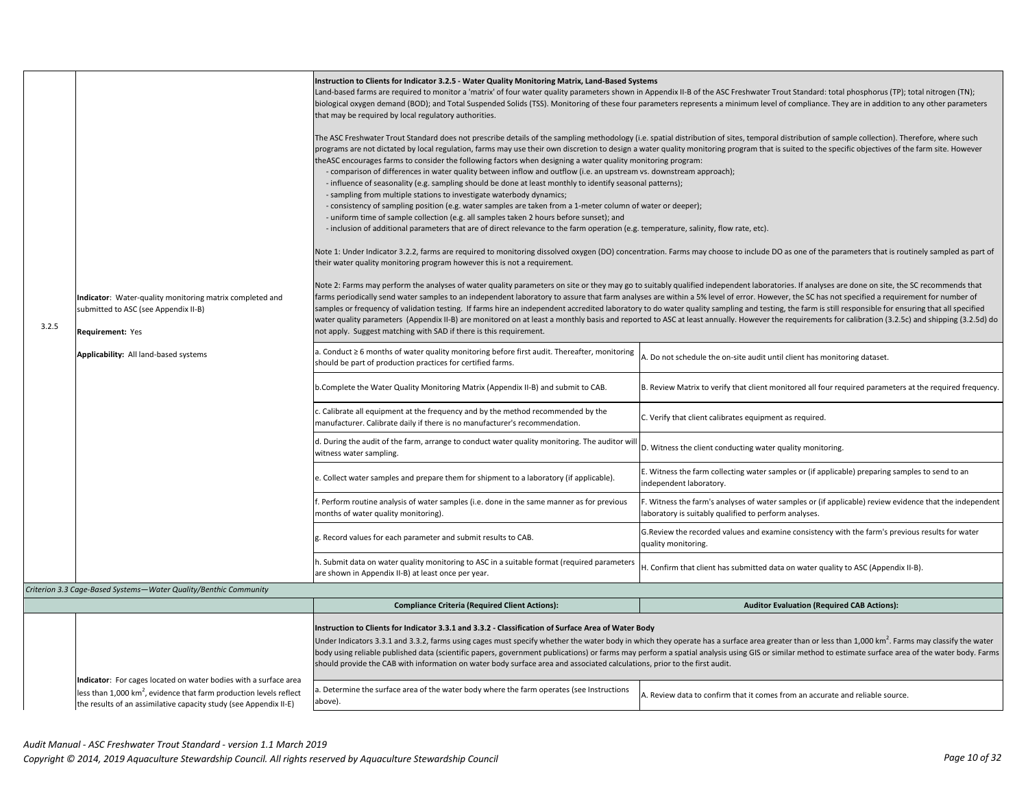|       | Instruction to Clients for Indicator 3.2.5 - Water Quality Monitoring Matrix, Land-Based Systems                                                    |                                                                                                                                                                                                                                                                                                                                                                                                                                                                                                                                                       |                                                                                                                                                                                                                                                                                                                                                                                                         |  |
|-------|-----------------------------------------------------------------------------------------------------------------------------------------------------|-------------------------------------------------------------------------------------------------------------------------------------------------------------------------------------------------------------------------------------------------------------------------------------------------------------------------------------------------------------------------------------------------------------------------------------------------------------------------------------------------------------------------------------------------------|---------------------------------------------------------------------------------------------------------------------------------------------------------------------------------------------------------------------------------------------------------------------------------------------------------------------------------------------------------------------------------------------------------|--|
|       |                                                                                                                                                     | Land-based farms are required to monitor a 'matrix' of four water quality parameters shown in Appendix II-B of the ASC Freshwater Trout Standard: total phosphorus (TP); total nitrogen (TN);<br>biological oxygen demand (BOD); and Total Suspended Solids (TSS). Monitoring of these four parameters represents a minimum level of compliance. They are in addition to any other parameters                                                                                                                                                         |                                                                                                                                                                                                                                                                                                                                                                                                         |  |
|       |                                                                                                                                                     | that may be required by local regulatory authorities.                                                                                                                                                                                                                                                                                                                                                                                                                                                                                                 |                                                                                                                                                                                                                                                                                                                                                                                                         |  |
|       |                                                                                                                                                     |                                                                                                                                                                                                                                                                                                                                                                                                                                                                                                                                                       | The ASC Freshwater Trout Standard does not prescribe details of the sampling methodology (i.e. spatial distribution of sites, temporal distribution of sample collection). Therefore, where such<br>programs are not dictated by local regulation, farms may use their own discretion to design a water quality monitoring program that is suited to the specific objectives of the farm site. However  |  |
|       |                                                                                                                                                     | theASC encourages farms to consider the following factors when designing a water quality monitoring program:<br>- comparison of differences in water quality between inflow and outflow (i.e. an upstream vs. downstream approach);                                                                                                                                                                                                                                                                                                                   |                                                                                                                                                                                                                                                                                                                                                                                                         |  |
|       |                                                                                                                                                     | - influence of seasonality (e.g. sampling should be done at least monthly to identify seasonal patterns);<br>- sampling from multiple stations to investigate waterbody dynamics;                                                                                                                                                                                                                                                                                                                                                                     |                                                                                                                                                                                                                                                                                                                                                                                                         |  |
|       |                                                                                                                                                     | - consistency of sampling position (e.g. water samples are taken from a 1-meter column of water or deeper);                                                                                                                                                                                                                                                                                                                                                                                                                                           |                                                                                                                                                                                                                                                                                                                                                                                                         |  |
|       |                                                                                                                                                     | - uniform time of sample collection (e.g. all samples taken 2 hours before sunset); and<br>- inclusion of additional parameters that are of direct relevance to the farm operation (e.g. temperature, salinity, flow rate, etc).                                                                                                                                                                                                                                                                                                                      |                                                                                                                                                                                                                                                                                                                                                                                                         |  |
|       |                                                                                                                                                     | their water quality monitoring program however this is not a requirement.                                                                                                                                                                                                                                                                                                                                                                                                                                                                             | Note 1: Under Indicator 3.2.2, farms are required to monitoring dissolved oxygen (DO) concentration. Farms may choose to include DO as one of the parameters that is routinely sampled as part of                                                                                                                                                                                                       |  |
|       |                                                                                                                                                     |                                                                                                                                                                                                                                                                                                                                                                                                                                                                                                                                                       | Note 2: Farms may perform the analyses of water quality parameters on site or they may go to suitably qualified independent laboratories. If analyses are done on site, the SC recommends that                                                                                                                                                                                                          |  |
|       | Indicator: Water-quality monitoring matrix completed and<br>submitted to ASC (see Appendix II-B)                                                    |                                                                                                                                                                                                                                                                                                                                                                                                                                                                                                                                                       | farms periodically send water samples to an independent laboratory to assure that farm analyses are within a 5% level of error. However, the SC has not specified a requirement for number of<br>samples or frequency of validation testing. If farms hire an independent accredited laboratory to do water quality sampling and testing, the farm is still responsible for ensuring that all specified |  |
| 3.2.5 |                                                                                                                                                     | water quality parameters (Appendix II-B) are monitored on at least a monthly basis and reported to ASC at least annually. However the requirements for calibration (3.2.5c) and shipping (3.2.5d) do                                                                                                                                                                                                                                                                                                                                                  |                                                                                                                                                                                                                                                                                                                                                                                                         |  |
|       | <b>Requirement: Yes</b>                                                                                                                             | not apply. Suggest matching with SAD if there is this requirement.                                                                                                                                                                                                                                                                                                                                                                                                                                                                                    |                                                                                                                                                                                                                                                                                                                                                                                                         |  |
|       | Applicability: All land-based systems                                                                                                               | a. Conduct ≥ 6 months of water quality monitoring before first audit. Thereafter, monitoring<br>should be part of production practices for certified farms.                                                                                                                                                                                                                                                                                                                                                                                           | A. Do not schedule the on-site audit until client has monitoring dataset.                                                                                                                                                                                                                                                                                                                               |  |
|       |                                                                                                                                                     | b.Complete the Water Quality Monitoring Matrix (Appendix II-B) and submit to CAB.                                                                                                                                                                                                                                                                                                                                                                                                                                                                     | B. Review Matrix to verify that client monitored all four required parameters at the required frequency.                                                                                                                                                                                                                                                                                                |  |
|       |                                                                                                                                                     | . Calibrate all equipment at the frequency and by the method recommended by the<br>manufacturer. Calibrate daily if there is no manufacturer's recommendation.                                                                                                                                                                                                                                                                                                                                                                                        | C. Verify that client calibrates equipment as required.                                                                                                                                                                                                                                                                                                                                                 |  |
|       |                                                                                                                                                     | d. During the audit of the farm, arrange to conduct water quality monitoring. The auditor wi<br>witness water sampling.                                                                                                                                                                                                                                                                                                                                                                                                                               | D. Witness the client conducting water quality monitoring.                                                                                                                                                                                                                                                                                                                                              |  |
|       |                                                                                                                                                     | e. Collect water samples and prepare them for shipment to a laboratory (if applicable).                                                                                                                                                                                                                                                                                                                                                                                                                                                               | E. Witness the farm collecting water samples or (if applicable) preparing samples to send to an<br>independent laboratory.                                                                                                                                                                                                                                                                              |  |
|       |                                                                                                                                                     | . Perform routine analysis of water samples (i.e. done in the same manner as for previous<br>months of water quality monitoring).                                                                                                                                                                                                                                                                                                                                                                                                                     | F. Witness the farm's analyses of water samples or (if applicable) review evidence that the independent<br>laboratory is suitably qualified to perform analyses.                                                                                                                                                                                                                                        |  |
|       |                                                                                                                                                     | g. Record values for each parameter and submit results to CAB.                                                                                                                                                                                                                                                                                                                                                                                                                                                                                        | G. Review the recorded values and examine consistency with the farm's previous results for water<br>quality monitoring.                                                                                                                                                                                                                                                                                 |  |
|       |                                                                                                                                                     | h. Submit data on water quality monitoring to ASC in a suitable format (required parameters<br>are shown in Appendix II-B) at least once per year.                                                                                                                                                                                                                                                                                                                                                                                                    | H. Confirm that client has submitted data on water quality to ASC (Appendix II-B).                                                                                                                                                                                                                                                                                                                      |  |
|       | Criterion 3.3 Cage-Based Systems-Water Quality/Benthic Community                                                                                    |                                                                                                                                                                                                                                                                                                                                                                                                                                                                                                                                                       |                                                                                                                                                                                                                                                                                                                                                                                                         |  |
|       |                                                                                                                                                     | <b>Compliance Criteria (Required Client Actions):</b>                                                                                                                                                                                                                                                                                                                                                                                                                                                                                                 | <b>Auditor Evaluation (Required CAB Actions):</b>                                                                                                                                                                                                                                                                                                                                                       |  |
|       |                                                                                                                                                     | Instruction to Clients for Indicator 3.3.1 and 3.3.2 - Classification of Surface Area of Water Body                                                                                                                                                                                                                                                                                                                                                                                                                                                   |                                                                                                                                                                                                                                                                                                                                                                                                         |  |
|       |                                                                                                                                                     | Under Indicators 3.3.1 and 3.3.2, farms using cages must specify whether the water body in which they operate has a surface area greater than or less than 1,000 km <sup>2</sup> . Farms may classify the water<br>body using reliable published data (scientific papers, government publications) or farms may perform a spatial analysis using GIS or similar method to estimate surface area of the water body. Farms<br>should provide the CAB with information on water body surface area and associated calculations, prior to the first audit. |                                                                                                                                                                                                                                                                                                                                                                                                         |  |
|       |                                                                                                                                                     |                                                                                                                                                                                                                                                                                                                                                                                                                                                                                                                                                       |                                                                                                                                                                                                                                                                                                                                                                                                         |  |
|       | Indicator: For cages located on water bodies with a surface area                                                                                    |                                                                                                                                                                                                                                                                                                                                                                                                                                                                                                                                                       |                                                                                                                                                                                                                                                                                                                                                                                                         |  |
|       | less than 1,000 km <sup>2</sup> , evidence that farm production levels reflect<br>the results of an assimilative capacity study (see Appendix II-E) | a. Determine the surface area of the water body where the farm operates (see Instructions<br>above).                                                                                                                                                                                                                                                                                                                                                                                                                                                  | A. Review data to confirm that it comes from an accurate and reliable source.                                                                                                                                                                                                                                                                                                                           |  |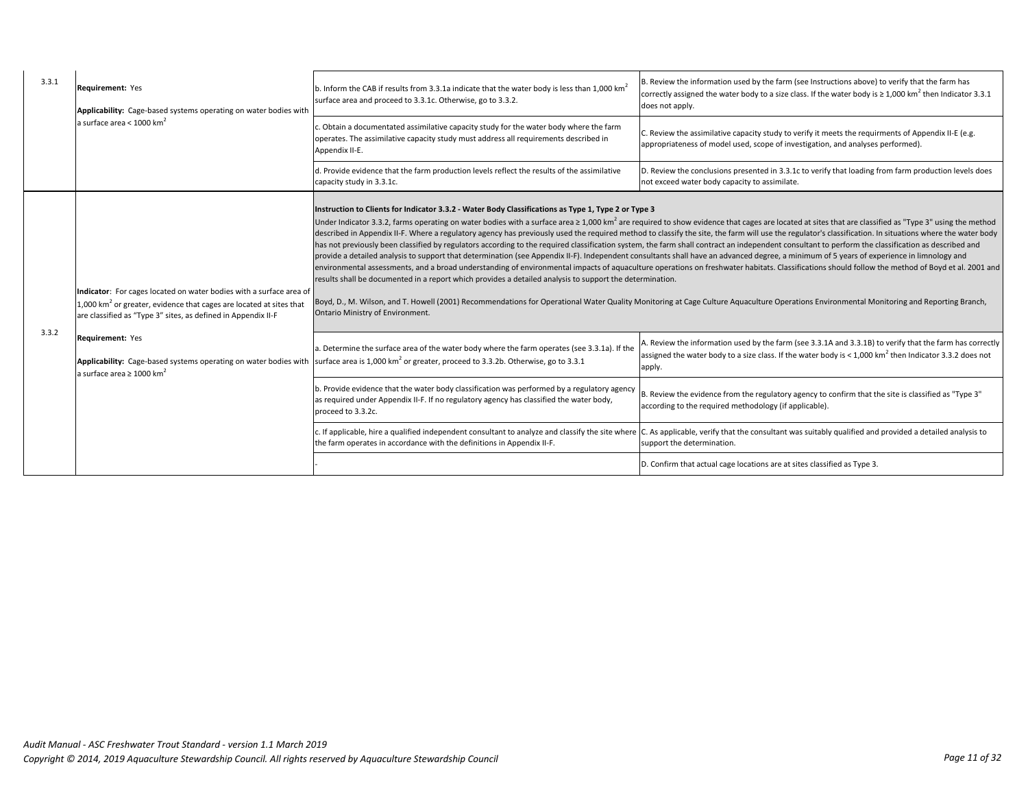| 3.3.1 | <b>Requirement: Yes</b><br>Applicability: Cage-based systems operating on water bodies with                                                                                                                                                                                     | b. Inform the CAB if results from 3.3.1a indicate that the water body is less than 1,000 km <sup>2</sup><br>surface area and proceed to 3.3.1c. Otherwise, go to 3.3.2.                                                                                             | B. Review the information used by the farm (see Instructions above) to verify that the farm has<br>correctly assigned the water body to a size class. If the water body is $\geq 1,000$ km <sup>2</sup> then Indicator 3.3.1<br>does not apply.                                                                                                                                                                                                                                                                                                                                                                                                                                                                                                                                                                                                                                                                                                                                                                                                                                                                                                                                                                                  |
|-------|---------------------------------------------------------------------------------------------------------------------------------------------------------------------------------------------------------------------------------------------------------------------------------|---------------------------------------------------------------------------------------------------------------------------------------------------------------------------------------------------------------------------------------------------------------------|----------------------------------------------------------------------------------------------------------------------------------------------------------------------------------------------------------------------------------------------------------------------------------------------------------------------------------------------------------------------------------------------------------------------------------------------------------------------------------------------------------------------------------------------------------------------------------------------------------------------------------------------------------------------------------------------------------------------------------------------------------------------------------------------------------------------------------------------------------------------------------------------------------------------------------------------------------------------------------------------------------------------------------------------------------------------------------------------------------------------------------------------------------------------------------------------------------------------------------|
|       | a surface area < $1000$ km <sup>2</sup>                                                                                                                                                                                                                                         | Obtain a documentated assimilative capacity study for the water body where the farm<br>operates. The assimilative capacity study must address all requirements described in<br>Appendix II-E.                                                                       | C. Review the assimilative capacity study to verify it meets the requirments of Appendix II-E (e.g.<br>appropriateness of model used, scope of investigation, and analyses performed).                                                                                                                                                                                                                                                                                                                                                                                                                                                                                                                                                                                                                                                                                                                                                                                                                                                                                                                                                                                                                                           |
|       |                                                                                                                                                                                                                                                                                 | d. Provide evidence that the farm production levels reflect the results of the assimilative<br>capacity study in 3.3.1c.                                                                                                                                            | D. Review the conclusions presented in 3.3.1c to verify that loading from farm production levels does<br>not exceed water body capacity to assimilate.                                                                                                                                                                                                                                                                                                                                                                                                                                                                                                                                                                                                                                                                                                                                                                                                                                                                                                                                                                                                                                                                           |
| 3.3.2 | Indicator: For cages located on water bodies with a surface area of<br>1,000 $km2$ or greater, evidence that cages are located at sites that<br>are classified as "Type 3" sites, as defined in Appendix II-F<br>Requirement: Yes<br>a surface area $\geq 1000$ km <sup>2</sup> | Instruction to Clients for Indicator 3.3.2 - Water Body Classifications as Type 1, Type 2 or Type 3<br>results shall be documented in a report which provides a detailed analysis to support the determination.<br>Ontario Ministry of Environment.                 | Under Indicator 3.3.2, farms operating on water bodies with a surface area ≥ 1,000 km <sup>2</sup> are required to show evidence that cages are located at sites that are classified as "Type 3" using the method<br>described in Appendix II-F. Where a regulatory agency has previously used the required method to classify the site, the farm will use the regulator's classification. In situations where the water body<br>has not previously been classified by regulators according to the required classification system, the farm shall contract an independent consultant to perform the classification as described and<br>provide a detailed analysis to support that determination (see Appendix II-F). Independent consultants shall have an advanced degree, a minimum of 5 years of experience in limnology and<br>environmental assessments, and a broad understanding of environmental impacts of aquaculture operations on freshwater habitats. Classifications should follow the method of Boyd et al. 2001 and<br>Boyd, D., M. Wilson, and T. Howell (2001) Recommendations for Operational Water Quality Monitoring at Cage Culture Aquaculture Operations Environmental Monitoring and Reporting Branch, |
|       |                                                                                                                                                                                                                                                                                 | a. Determine the surface area of the water body where the farm operates (see 3.3.1a). If the<br><b>Applicability:</b> Cage-based systems operating on water bodies with surface area is 1,000 km <sup>2</sup> or greater, proceed to 3.3.2b. Otherwise, go to 3.3.1 | A. Review the information used by the farm (see 3.3.1A and 3.3.1B) to verify that the farm has correctly<br>assigned the water body to a size class. If the water body is < 1,000 km <sup>2</sup> then Indicator 3.3.2 does not<br>apply.                                                                                                                                                                                                                                                                                                                                                                                                                                                                                                                                                                                                                                                                                                                                                                                                                                                                                                                                                                                        |
|       |                                                                                                                                                                                                                                                                                 | b. Provide evidence that the water body classification was performed by a regulatory agency<br>as required under Appendix II-F. If no regulatory agency has classified the water body,<br>proceed to 3.3.2c.                                                        | B. Review the evidence from the regulatory agency to confirm that the site is classified as "Type 3"<br>according to the required methodology (if applicable).                                                                                                                                                                                                                                                                                                                                                                                                                                                                                                                                                                                                                                                                                                                                                                                                                                                                                                                                                                                                                                                                   |
|       |                                                                                                                                                                                                                                                                                 | the farm operates in accordance with the definitions in Appendix II-F.                                                                                                                                                                                              | . If applicable, hire a qualified independent consultant to analyze and classify the site where C. As applicable, verify that the consultant was suitably qualified and provided a detailed analysis to<br>support the determination.                                                                                                                                                                                                                                                                                                                                                                                                                                                                                                                                                                                                                                                                                                                                                                                                                                                                                                                                                                                            |
|       |                                                                                                                                                                                                                                                                                 |                                                                                                                                                                                                                                                                     | D. Confirm that actual cage locations are at sites classified as Type 3.                                                                                                                                                                                                                                                                                                                                                                                                                                                                                                                                                                                                                                                                                                                                                                                                                                                                                                                                                                                                                                                                                                                                                         |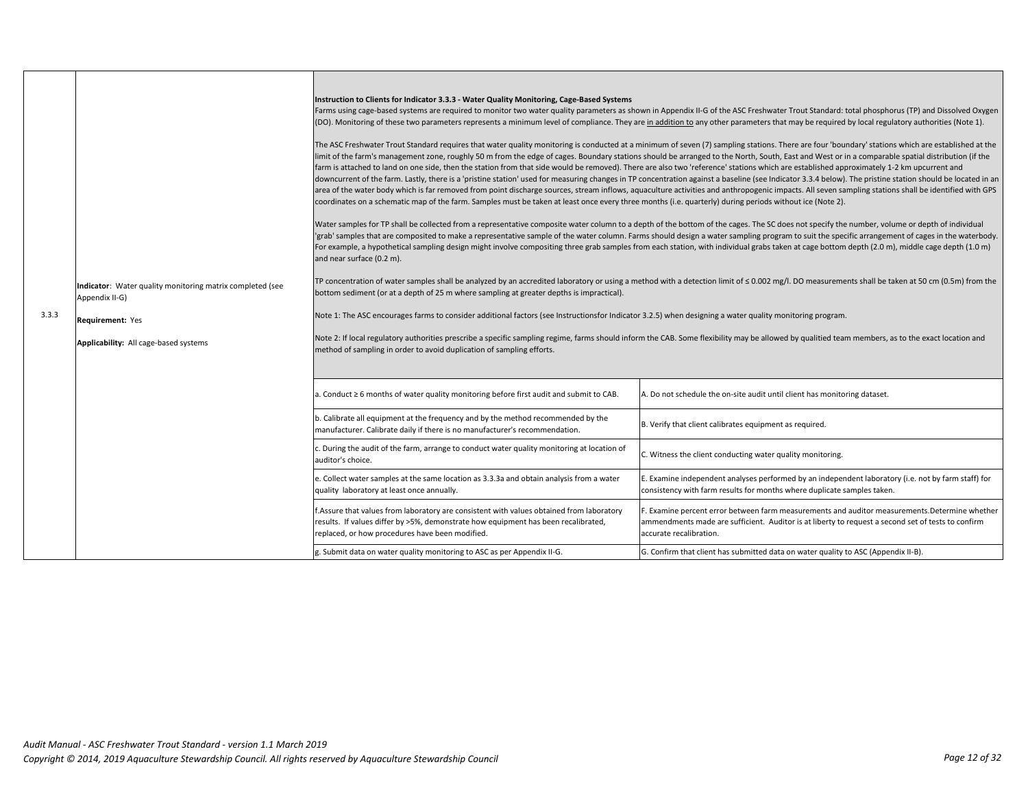| 3.3.3 | Indicator: Water quality monitoring matrix completed (see<br>Appendix II-G)<br>Requirement: Yes<br>Applicability: All cage-based systems | Instruction to Clients for Indicator 3.3.3 - Water Quality Monitoring, Cage-Based Systems<br>Farms using cage-based systems are required to monitor two water quality parameters as shown in Appendix II-G of the ASC Freshwater Trout Standard: total phosphorus (TP) and Dissolved Oxygen<br>(DO). Monitoring of these two parameters represents a minimum level of compliance. They are in addition to any other parameters that may be required by local regulatory authorities (Note 1).<br>The ASC Freshwater Trout Standard requires that water quality monitoring is conducted at a minimum of seven (7) sampling stations. There are four 'boundary' stations which are established at the<br>limit of the farm's management zone, roughly 50 m from the edge of cages. Boundary stations should be arranged to the North, South, East and West or in a comparable spatial distribution (if the<br>farm is attached to land on one side, then the station from that side would be removed). There are also two 'reference' stations which are established approximately 1-2 km upcurrent and<br>downcurrent of the farm. Lastly, there is a 'pristine station' used for measuring changes in TP concentration against a baseline (see Indicator 3.3.4 below). The pristine station should be located in an<br>area of the water body which is far removed from point discharge sources, stream inflows, aquaculture activities and anthropogenic impacts. All seven sampling stations shall be identified with GPS<br>coordinates on a schematic map of the farm. Samples must be taken at least once every three months (i.e. quarterly) during periods without ice (Note 2).<br>Water samples for TP shall be collected from a representative composite water column to a depth of the bottom of the cages. The SC does not specify the number, volume or depth of individual<br>'grab' samples that are composited to make a representative sample of the water column. Farms should design a water sampling program to suit the specific arrangement of cages in the waterbody.<br>For example, a hypothetical sampling design might involve compositing three grab samples from each station, with individual grabs taken at cage bottom depth (2.0 m), middle cage depth (1.0 m)<br>and near surface (0.2 m).<br>TP concentration of water samples shall be analyzed by an accredited laboratory or using a method with a detection limit of ≤0.002 mg/l. DO measurements shall be taken at 50 cm (0.5m) from the<br>bottom sediment (or at a depth of 25 m where sampling at greater depths is impractical).<br>Note 1: The ASC encourages farms to consider additional factors (see Instructionsfor Indicator 3.2.5) when designing a water quality monitoring program.<br>Note 2: If local regulatory authorities prescribe a specific sampling regime, farms should inform the CAB. Some flexibility may be allowed by qualitied team members, as to the exact location and<br>method of sampling in order to avoid duplication of sampling efforts. |                                                                                                                                                                                                                                 |  |
|-------|------------------------------------------------------------------------------------------------------------------------------------------|-------------------------------------------------------------------------------------------------------------------------------------------------------------------------------------------------------------------------------------------------------------------------------------------------------------------------------------------------------------------------------------------------------------------------------------------------------------------------------------------------------------------------------------------------------------------------------------------------------------------------------------------------------------------------------------------------------------------------------------------------------------------------------------------------------------------------------------------------------------------------------------------------------------------------------------------------------------------------------------------------------------------------------------------------------------------------------------------------------------------------------------------------------------------------------------------------------------------------------------------------------------------------------------------------------------------------------------------------------------------------------------------------------------------------------------------------------------------------------------------------------------------------------------------------------------------------------------------------------------------------------------------------------------------------------------------------------------------------------------------------------------------------------------------------------------------------------------------------------------------------------------------------------------------------------------------------------------------------------------------------------------------------------------------------------------------------------------------------------------------------------------------------------------------------------------------------------------------------------------------------------------------------------------------------------------------------------------------------------------------------------------------------------------------------------------------------------------------------------------------------------------------------------------------------------------------------------------------------------------------------------------------------------------------------------------------------------------------------------------------------------------------------------------------------------------------------------------------------------------------------------------------------------------------------------------------------------------------------------------------------------------------------------------------------------------------------|---------------------------------------------------------------------------------------------------------------------------------------------------------------------------------------------------------------------------------|--|
|       |                                                                                                                                          | a. Conduct ≥ 6 months of water quality monitoring before first audit and submit to CAB.                                                                                                                                                                                                                                                                                                                                                                                                                                                                                                                                                                                                                                                                                                                                                                                                                                                                                                                                                                                                                                                                                                                                                                                                                                                                                                                                                                                                                                                                                                                                                                                                                                                                                                                                                                                                                                                                                                                                                                                                                                                                                                                                                                                                                                                                                                                                                                                                                                                                                                                                                                                                                                                                                                                                                                                                                                                                                                                                                                                 | A. Do not schedule the on-site audit until client has monitoring dataset.                                                                                                                                                       |  |
|       |                                                                                                                                          | b. Calibrate all equipment at the frequency and by the method recommended by the<br>manufacturer. Calibrate daily if there is no manufacturer's recommendation.                                                                                                                                                                                                                                                                                                                                                                                                                                                                                                                                                                                                                                                                                                                                                                                                                                                                                                                                                                                                                                                                                                                                                                                                                                                                                                                                                                                                                                                                                                                                                                                                                                                                                                                                                                                                                                                                                                                                                                                                                                                                                                                                                                                                                                                                                                                                                                                                                                                                                                                                                                                                                                                                                                                                                                                                                                                                                                         | B. Verify that client calibrates equipment as required.                                                                                                                                                                         |  |
|       |                                                                                                                                          | c. During the audit of the farm, arrange to conduct water quality monitoring at location of<br>auditor's choice.                                                                                                                                                                                                                                                                                                                                                                                                                                                                                                                                                                                                                                                                                                                                                                                                                                                                                                                                                                                                                                                                                                                                                                                                                                                                                                                                                                                                                                                                                                                                                                                                                                                                                                                                                                                                                                                                                                                                                                                                                                                                                                                                                                                                                                                                                                                                                                                                                                                                                                                                                                                                                                                                                                                                                                                                                                                                                                                                                        | C. Witness the client conducting water quality monitoring.                                                                                                                                                                      |  |
|       |                                                                                                                                          | e. Collect water samples at the same location as 3.3.3a and obtain analysis from a water<br>quality laboratory at least once annually.                                                                                                                                                                                                                                                                                                                                                                                                                                                                                                                                                                                                                                                                                                                                                                                                                                                                                                                                                                                                                                                                                                                                                                                                                                                                                                                                                                                                                                                                                                                                                                                                                                                                                                                                                                                                                                                                                                                                                                                                                                                                                                                                                                                                                                                                                                                                                                                                                                                                                                                                                                                                                                                                                                                                                                                                                                                                                                                                  | E. Examine independent analyses performed by an independent laboratory (i.e. not by farm staff) for<br>consistency with farm results for months where duplicate samples taken.                                                  |  |
|       |                                                                                                                                          | f.Assure that values from laboratory are consistent with values obtained from laboratory<br>results. If values differ by >5%, demonstrate how equipment has been recalibrated,<br>replaced, or how procedures have been modified.                                                                                                                                                                                                                                                                                                                                                                                                                                                                                                                                                                                                                                                                                                                                                                                                                                                                                                                                                                                                                                                                                                                                                                                                                                                                                                                                                                                                                                                                                                                                                                                                                                                                                                                                                                                                                                                                                                                                                                                                                                                                                                                                                                                                                                                                                                                                                                                                                                                                                                                                                                                                                                                                                                                                                                                                                                       | F. Examine percent error between farm measurements and auditor measurements. Determine whether<br>ammendments made are sufficient. Auditor is at liberty to request a second set of tests to confirm<br>accurate recalibration. |  |
|       |                                                                                                                                          | g. Submit data on water quality monitoring to ASC as per Appendix II-G.                                                                                                                                                                                                                                                                                                                                                                                                                                                                                                                                                                                                                                                                                                                                                                                                                                                                                                                                                                                                                                                                                                                                                                                                                                                                                                                                                                                                                                                                                                                                                                                                                                                                                                                                                                                                                                                                                                                                                                                                                                                                                                                                                                                                                                                                                                                                                                                                                                                                                                                                                                                                                                                                                                                                                                                                                                                                                                                                                                                                 | G. Confirm that client has submitted data on water quality to ASC (Appendix II-B).                                                                                                                                              |  |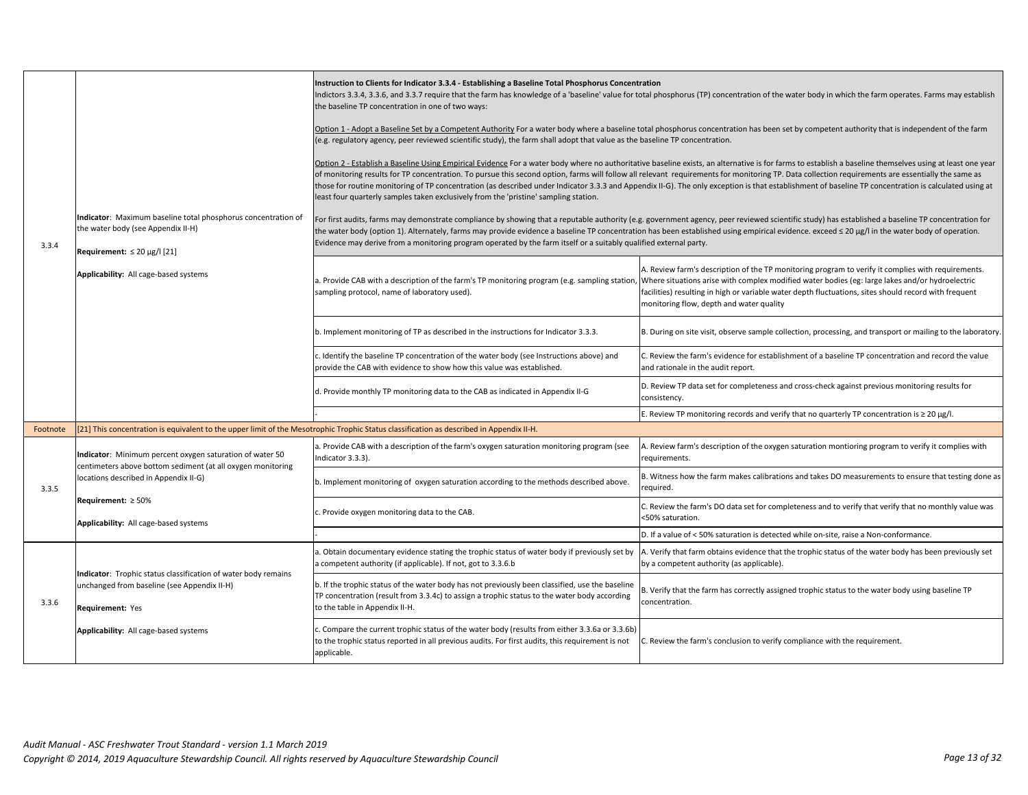| 3.3.4    | Indicator: Maximum baseline total phosphorus concentration of<br>the water body (see Appendix II-H)<br>Requirement: $\leq 20 \mu g / 1$ [21]<br>Applicability: All cage-based systems                                                 | Instruction to Clients for Indicator 3.3.4 - Establishing a Baseline Total Phosphorus Concentration<br>Indictors 3.3.4, 3.3.6, and 3.3.7 require that the farm has knowledge of a 'baseline' value for total phosphorus (TP) concentration of the water body in which the farm operates. Farms may establish<br>the baseline TP concentration in one of two ways:<br>Option 1 - Adopt a Baseline Set by a Competent Authority For a water body where a baseline total phosphorus concentration has been set by competent authority that is independent of the farm<br>(e.g. regulatory agency, peer reviewed scientific study), the farm shall adopt that value as the baseline TP concentration.<br>Option 2 - Establish a Baseline Using Empirical Evidence For a water body where no authoritative baseline exists, an alternative is for farms to establish a baseline themselves using at least one year<br>of monitoring results for TP concentration. To pursue this second option, farms will follow all relevant requirements for monitoring TP. Data collection requirements are essentially the same as<br>those for routine monitoring of TP concentration (as described under Indicator 3.3.3 and Appendix II-G). The only exception is that establishment of baseline TP concentration is calculated using at<br>least four quarterly samples taken exclusively from the 'pristine' sampling station.<br>For first audits, farms may demonstrate compliance by showing that a reputable authority (e.g. government agency, peer reviewed scientific study) has established a baseline TP concentration for<br>the water body (option 1). Alternately, farms may provide evidence a baseline TP concentration has been established using empirical evidence. exceed ≤ 20 µg/l in the water body of operation.<br>Evidence may derive from a monitoring program operated by the farm itself or a suitably qualified external party. |                                                                                                                                                                                                                                                                                                                                                                                                                                                          |
|----------|---------------------------------------------------------------------------------------------------------------------------------------------------------------------------------------------------------------------------------------|-------------------------------------------------------------------------------------------------------------------------------------------------------------------------------------------------------------------------------------------------------------------------------------------------------------------------------------------------------------------------------------------------------------------------------------------------------------------------------------------------------------------------------------------------------------------------------------------------------------------------------------------------------------------------------------------------------------------------------------------------------------------------------------------------------------------------------------------------------------------------------------------------------------------------------------------------------------------------------------------------------------------------------------------------------------------------------------------------------------------------------------------------------------------------------------------------------------------------------------------------------------------------------------------------------------------------------------------------------------------------------------------------------------------------------------------------------------------------------------------------------------------------------------------------------------------------------------------------------------------------------------------------------------------------------------------------------------------------------------------------------------------------------------------------------------------------------------------------------------------------------------------------------------------------------------------------|----------------------------------------------------------------------------------------------------------------------------------------------------------------------------------------------------------------------------------------------------------------------------------------------------------------------------------------------------------------------------------------------------------------------------------------------------------|
|          |                                                                                                                                                                                                                                       | sampling protocol, name of laboratory used).                                                                                                                                                                                                                                                                                                                                                                                                                                                                                                                                                                                                                                                                                                                                                                                                                                                                                                                                                                                                                                                                                                                                                                                                                                                                                                                                                                                                                                                                                                                                                                                                                                                                                                                                                                                                                                                                                                    | A. Review farm's description of the TP monitoring program to verify it complies with requirements.<br>a. Provide CAB with a description of the farm's TP monitoring program (e.g. sampling station, Where situations arise with complex modified water bodies (eg: large lakes and/or hydroelectric<br>facilities) resulting in high or variable water depth fluctuations, sites should record with frequent<br>monitoring flow, depth and water quality |
|          |                                                                                                                                                                                                                                       | b. Implement monitoring of TP as described in the instructions for Indicator 3.3.3.                                                                                                                                                                                                                                                                                                                                                                                                                                                                                                                                                                                                                                                                                                                                                                                                                                                                                                                                                                                                                                                                                                                                                                                                                                                                                                                                                                                                                                                                                                                                                                                                                                                                                                                                                                                                                                                             | B. During on site visit, observe sample collection, processing, and transport or mailing to the laboratory.                                                                                                                                                                                                                                                                                                                                              |
|          |                                                                                                                                                                                                                                       | c. Identify the baseline TP concentration of the water body (see Instructions above) and<br>provide the CAB with evidence to show how this value was established.                                                                                                                                                                                                                                                                                                                                                                                                                                                                                                                                                                                                                                                                                                                                                                                                                                                                                                                                                                                                                                                                                                                                                                                                                                                                                                                                                                                                                                                                                                                                                                                                                                                                                                                                                                               | C. Review the farm's evidence for establishment of a baseline TP concentration and record the value<br>and rationale in the audit report.                                                                                                                                                                                                                                                                                                                |
|          |                                                                                                                                                                                                                                       | d. Provide monthly TP monitoring data to the CAB as indicated in Appendix II-G                                                                                                                                                                                                                                                                                                                                                                                                                                                                                                                                                                                                                                                                                                                                                                                                                                                                                                                                                                                                                                                                                                                                                                                                                                                                                                                                                                                                                                                                                                                                                                                                                                                                                                                                                                                                                                                                  | D. Review TP data set for completeness and cross-check against previous monitoring results for<br>consistency.                                                                                                                                                                                                                                                                                                                                           |
|          |                                                                                                                                                                                                                                       |                                                                                                                                                                                                                                                                                                                                                                                                                                                                                                                                                                                                                                                                                                                                                                                                                                                                                                                                                                                                                                                                                                                                                                                                                                                                                                                                                                                                                                                                                                                                                                                                                                                                                                                                                                                                                                                                                                                                                 | E. Review TP monitoring records and verify that no quarterly TP concentration is $\geq 20 \text{ µg/l}$ .                                                                                                                                                                                                                                                                                                                                                |
| Footnote | [21] This concentration is equivalent to the upper limit of the Mesotrophic Trophic Status classification as described in Appendix II-H.                                                                                              |                                                                                                                                                                                                                                                                                                                                                                                                                                                                                                                                                                                                                                                                                                                                                                                                                                                                                                                                                                                                                                                                                                                                                                                                                                                                                                                                                                                                                                                                                                                                                                                                                                                                                                                                                                                                                                                                                                                                                 |                                                                                                                                                                                                                                                                                                                                                                                                                                                          |
|          | Indicator: Minimum percent oxygen saturation of water 50<br>centimeters above bottom sediment (at all oxygen monitoring<br>locations described in Appendix II-G)<br>Requirement: $\geq 50\%$<br>Applicability: All cage-based systems | a. Provide CAB with a description of the farm's oxygen saturation monitoring program (see<br>Indicator 3.3.3).                                                                                                                                                                                                                                                                                                                                                                                                                                                                                                                                                                                                                                                                                                                                                                                                                                                                                                                                                                                                                                                                                                                                                                                                                                                                                                                                                                                                                                                                                                                                                                                                                                                                                                                                                                                                                                  | A. Review farm's description of the oxygen saturation montioring program to verify it complies with<br>requirements.                                                                                                                                                                                                                                                                                                                                     |
| 3.3.5    |                                                                                                                                                                                                                                       | b. Implement monitoring of oxygen saturation according to the methods described above.                                                                                                                                                                                                                                                                                                                                                                                                                                                                                                                                                                                                                                                                                                                                                                                                                                                                                                                                                                                                                                                                                                                                                                                                                                                                                                                                                                                                                                                                                                                                                                                                                                                                                                                                                                                                                                                          | B. Witness how the farm makes calibrations and takes DO measurements to ensure that testing done as<br>required.                                                                                                                                                                                                                                                                                                                                         |
|          |                                                                                                                                                                                                                                       | . Provide oxygen monitoring data to the CAB.                                                                                                                                                                                                                                                                                                                                                                                                                                                                                                                                                                                                                                                                                                                                                                                                                                                                                                                                                                                                                                                                                                                                                                                                                                                                                                                                                                                                                                                                                                                                                                                                                                                                                                                                                                                                                                                                                                    | C. Review the farm's DO data set for completeness and to verify that verify that no monthly value was<br><50% saturation.                                                                                                                                                                                                                                                                                                                                |
|          |                                                                                                                                                                                                                                       |                                                                                                                                                                                                                                                                                                                                                                                                                                                                                                                                                                                                                                                                                                                                                                                                                                                                                                                                                                                                                                                                                                                                                                                                                                                                                                                                                                                                                                                                                                                                                                                                                                                                                                                                                                                                                                                                                                                                                 | D. If a value of < 50% saturation is detected while on-site, raise a Non-conformance.                                                                                                                                                                                                                                                                                                                                                                    |
| 3.3.6    |                                                                                                                                                                                                                                       | a. Obtain documentary evidence stating the trophic status of water body if previously set by<br>a competent authority (if applicable). If not, got to 3.3.6.b                                                                                                                                                                                                                                                                                                                                                                                                                                                                                                                                                                                                                                                                                                                                                                                                                                                                                                                                                                                                                                                                                                                                                                                                                                                                                                                                                                                                                                                                                                                                                                                                                                                                                                                                                                                   | A. Verify that farm obtains evidence that the trophic status of the water body has been previously set<br>by a competent authority (as applicable).                                                                                                                                                                                                                                                                                                      |
|          | Indicator: Trophic status classification of water body remains<br>unchanged from baseline (see Appendix II-H)<br>Requirement: Yes                                                                                                     | b. If the trophic status of the water body has not previously been classified, use the baseline<br>TP concentration (result from 3.3.4c) to assign a trophic status to the water body according<br>to the table in Appendix II-H.                                                                                                                                                                                                                                                                                                                                                                                                                                                                                                                                                                                                                                                                                                                                                                                                                                                                                                                                                                                                                                                                                                                                                                                                                                                                                                                                                                                                                                                                                                                                                                                                                                                                                                               | B. Verify that the farm has correctly assigned trophic status to the water body using baseline TP<br>concentration.                                                                                                                                                                                                                                                                                                                                      |
|          | Applicability: All cage-based systems                                                                                                                                                                                                 | c. Compare the current trophic status of the water body (results from either 3.3.6a or 3.3.6b)<br>to the trophic status reported in all previous audits. For first audits, this requirement is not<br>applicable.                                                                                                                                                                                                                                                                                                                                                                                                                                                                                                                                                                                                                                                                                                                                                                                                                                                                                                                                                                                                                                                                                                                                                                                                                                                                                                                                                                                                                                                                                                                                                                                                                                                                                                                               | C. Review the farm's conclusion to verify compliance with the requirement.                                                                                                                                                                                                                                                                                                                                                                               |
|          |                                                                                                                                                                                                                                       |                                                                                                                                                                                                                                                                                                                                                                                                                                                                                                                                                                                                                                                                                                                                                                                                                                                                                                                                                                                                                                                                                                                                                                                                                                                                                                                                                                                                                                                                                                                                                                                                                                                                                                                                                                                                                                                                                                                                                 |                                                                                                                                                                                                                                                                                                                                                                                                                                                          |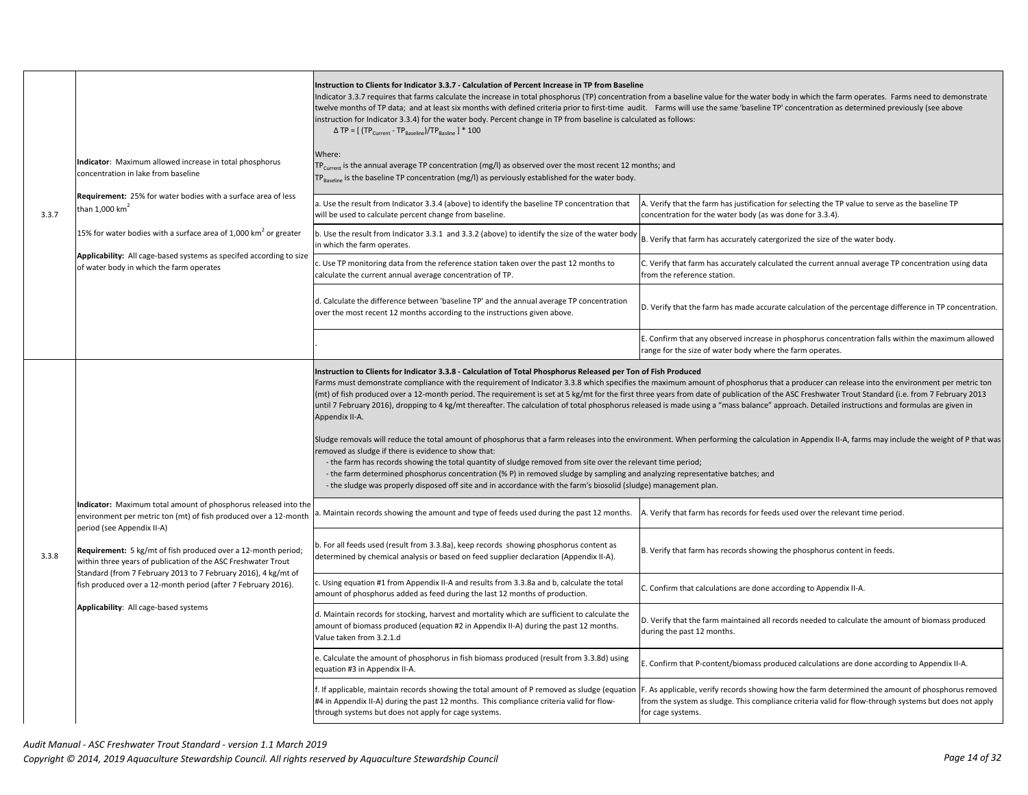|       |                                                                                                                                                                   | Instruction to Clients for Indicator 3.3.7 - Calculation of Percent Increase in TP from Baseline<br>instruction for Indicator 3.3.4) for the water body. Percent change in TP from baseline is calculated as follows:<br>$\triangle$ TP = [ (TP <sub>Current</sub> - TP <sub>Baseline</sub> )/TP <sub>Basline</sub> ] * 100                                                                                                                                                                                                                                                                                                                                                                                                                                                                                                                                                                                                                                                                                                                                                                                                                                                                                                                                                                                                                                             | Indicator 3.3.7 requires that farms calculate the increase in total phosphorus (TP) concentration from a baseline value for the water body in which the farm operates. Farms need to demonstrate<br>twelve months of TP data; and at least six months with defined criteria prior to first-time audit. Farms will use the same 'baseline TP' concentration as determined previously (see above |
|-------|-------------------------------------------------------------------------------------------------------------------------------------------------------------------|-------------------------------------------------------------------------------------------------------------------------------------------------------------------------------------------------------------------------------------------------------------------------------------------------------------------------------------------------------------------------------------------------------------------------------------------------------------------------------------------------------------------------------------------------------------------------------------------------------------------------------------------------------------------------------------------------------------------------------------------------------------------------------------------------------------------------------------------------------------------------------------------------------------------------------------------------------------------------------------------------------------------------------------------------------------------------------------------------------------------------------------------------------------------------------------------------------------------------------------------------------------------------------------------------------------------------------------------------------------------------|------------------------------------------------------------------------------------------------------------------------------------------------------------------------------------------------------------------------------------------------------------------------------------------------------------------------------------------------------------------------------------------------|
| 3.3.7 | Indicator: Maximum allowed increase in total phosphorus<br>concentration in lake from baseline                                                                    | Where:<br>$TPCurrent$ is the annual average TP concentration (mg/l) as observed over the most recent 12 months; and<br>P <sub>Baseline</sub> is the baseline TP concentration (mg/l) as perviously established for the water body.                                                                                                                                                                                                                                                                                                                                                                                                                                                                                                                                                                                                                                                                                                                                                                                                                                                                                                                                                                                                                                                                                                                                      |                                                                                                                                                                                                                                                                                                                                                                                                |
|       | Requirement: 25% for water bodies with a surface area of less<br>than 1,000 km <sup>2</sup>                                                                       | a. Use the result from Indicator 3.3.4 (above) to identify the baseline TP concentration that<br>will be used to calculate percent change from baseline.                                                                                                                                                                                                                                                                                                                                                                                                                                                                                                                                                                                                                                                                                                                                                                                                                                                                                                                                                                                                                                                                                                                                                                                                                | A. Verify that the farm has justification for selecting the TP value to serve as the baseline TP<br>concentration for the water body (as was done for 3.3.4).                                                                                                                                                                                                                                  |
|       | 15% for water bodies with a surface area of 1,000 km <sup>2</sup> or greater                                                                                      | b. Use the result from Indicator 3.3.1 and 3.3.2 (above) to identify the size of the water body<br>in which the farm operates.                                                                                                                                                                                                                                                                                                                                                                                                                                                                                                                                                                                                                                                                                                                                                                                                                                                                                                                                                                                                                                                                                                                                                                                                                                          | B. Verify that farm has accurately catergorized the size of the water body.                                                                                                                                                                                                                                                                                                                    |
|       | Applicability: All cage-based systems as specifed according to size<br>of water body in which the farm operates                                                   | c. Use TP monitoring data from the reference station taken over the past 12 months to<br>calculate the current annual average concentration of TP.                                                                                                                                                                                                                                                                                                                                                                                                                                                                                                                                                                                                                                                                                                                                                                                                                                                                                                                                                                                                                                                                                                                                                                                                                      | C. Verify that farm has accurately calculated the current annual average TP concentration using data<br>from the reference station.                                                                                                                                                                                                                                                            |
|       |                                                                                                                                                                   | d. Calculate the difference between 'baseline TP' and the annual average TP concentration<br>over the most recent 12 months according to the instructions given above.                                                                                                                                                                                                                                                                                                                                                                                                                                                                                                                                                                                                                                                                                                                                                                                                                                                                                                                                                                                                                                                                                                                                                                                                  | D. Verify that the farm has made accurate calculation of the percentage difference in TP concentration.                                                                                                                                                                                                                                                                                        |
|       |                                                                                                                                                                   |                                                                                                                                                                                                                                                                                                                                                                                                                                                                                                                                                                                                                                                                                                                                                                                                                                                                                                                                                                                                                                                                                                                                                                                                                                                                                                                                                                         | E. Confirm that any observed increase in phosphorus concentration falls within the maximum allowed<br>ange for the size of water body where the farm operates.                                                                                                                                                                                                                                 |
|       |                                                                                                                                                                   | Instruction to Clients for Indicator 3.3.8 - Calculation of Total Phosphorus Released per Ton of Fish Produced<br>Farms must demonstrate compliance with the requirement of Indicator 3.3.8 which specifies the maximum amount of phosphorus that a producer can release into the environment per metric ton<br>(mt) of fish produced over a 12-month period. The requirement is set at 5 kg/mt for the first three years from date of publication of the ASC Freshwater Trout Standard (i.e. from 7 February 2013<br>until 7 February 2016), dropping to 4 kg/mt thereafter. The calculation of total phosphorus released is made using a "mass balance" approach. Detailed instructions and formulas are given in<br>Appendix II-A.<br>Sludge removals will reduce the total amount of phosphorus that a farm releases into the environment. When performing the calculation in Appendix II-A, farms may include the weight of P that was<br>removed as sludge if there is evidence to show that:<br>- the farm has records showing the total quantity of sludge removed from site over the relevant time period;<br>- the farm determined phosphorus concentration (% P) in removed sludge by sampling and analyzing representative batches; and<br>- the sludge was properly disposed off site and in accordance with the farm's biosolid (sludge) management plan. |                                                                                                                                                                                                                                                                                                                                                                                                |
|       | Indicator: Maximum total amount of phosphorus released into the<br>environment per metric ton (mt) of fish produced over a 12-month<br>period (see Appendix II-A) | . Maintain records showing the amount and type of feeds used during the past 12 months.                                                                                                                                                                                                                                                                                                                                                                                                                                                                                                                                                                                                                                                                                                                                                                                                                                                                                                                                                                                                                                                                                                                                                                                                                                                                                 | A. Verify that farm has records for feeds used over the relevant time period.                                                                                                                                                                                                                                                                                                                  |
| 3.3.8 | Requirement: 5 kg/mt of fish produced over a 12-month period;<br>within three years of publication of the ASC Freshwater Trout                                    | b. For all feeds used (result from 3.3.8a), keep records showing phosphorus content as<br>determined by chemical analysis or based on feed supplier declaration (Appendix II-A).                                                                                                                                                                                                                                                                                                                                                                                                                                                                                                                                                                                                                                                                                                                                                                                                                                                                                                                                                                                                                                                                                                                                                                                        | B. Verify that farm has records showing the phosphorus content in feeds.                                                                                                                                                                                                                                                                                                                       |
|       | Standard (from 7 February 2013 to 7 February 2016), 4 kg/mt of<br>fish produced over a 12-month period (after 7 February 2016).                                   | c. Using equation #1 from Appendix II-A and results from 3.3.8a and b, calculate the total<br>amount of phosphorus added as feed during the last 12 months of production.                                                                                                                                                                                                                                                                                                                                                                                                                                                                                                                                                                                                                                                                                                                                                                                                                                                                                                                                                                                                                                                                                                                                                                                               | C. Confirm that calculations are done according to Appendix II-A.                                                                                                                                                                                                                                                                                                                              |
|       | Applicability: All cage-based systems                                                                                                                             | d. Maintain records for stocking, harvest and mortality which are sufficient to calculate the<br>amount of biomass produced (equation #2 in Appendix II-A) during the past 12 months.<br>Value taken from 3.2.1.d                                                                                                                                                                                                                                                                                                                                                                                                                                                                                                                                                                                                                                                                                                                                                                                                                                                                                                                                                                                                                                                                                                                                                       | D. Verify that the farm maintained all records needed to calculate the amount of biomass produced<br>during the past 12 months.                                                                                                                                                                                                                                                                |
|       |                                                                                                                                                                   | e. Calculate the amount of phosphorus in fish biomass produced (result from 3.3.8d) using<br>equation #3 in Appendix II-A.                                                                                                                                                                                                                                                                                                                                                                                                                                                                                                                                                                                                                                                                                                                                                                                                                                                                                                                                                                                                                                                                                                                                                                                                                                              | E. Confirm that P-content/biomass produced calculations are done according to Appendix II-A.                                                                                                                                                                                                                                                                                                   |
|       |                                                                                                                                                                   | . If applicable, maintain records showing the total amount of P removed as sludge (equatior<br>#4 in Appendix II-A) during the past 12 months. This compliance criteria valid for flow-<br>through systems but does not apply for cage systems.                                                                                                                                                                                                                                                                                                                                                                                                                                                                                                                                                                                                                                                                                                                                                                                                                                                                                                                                                                                                                                                                                                                         | F. As applicable, verify records showing how the farm determined the amount of phosphorus removed<br>from the system as sludge. This compliance criteria valid for flow-through systems but does not apply<br>for cage systems.                                                                                                                                                                |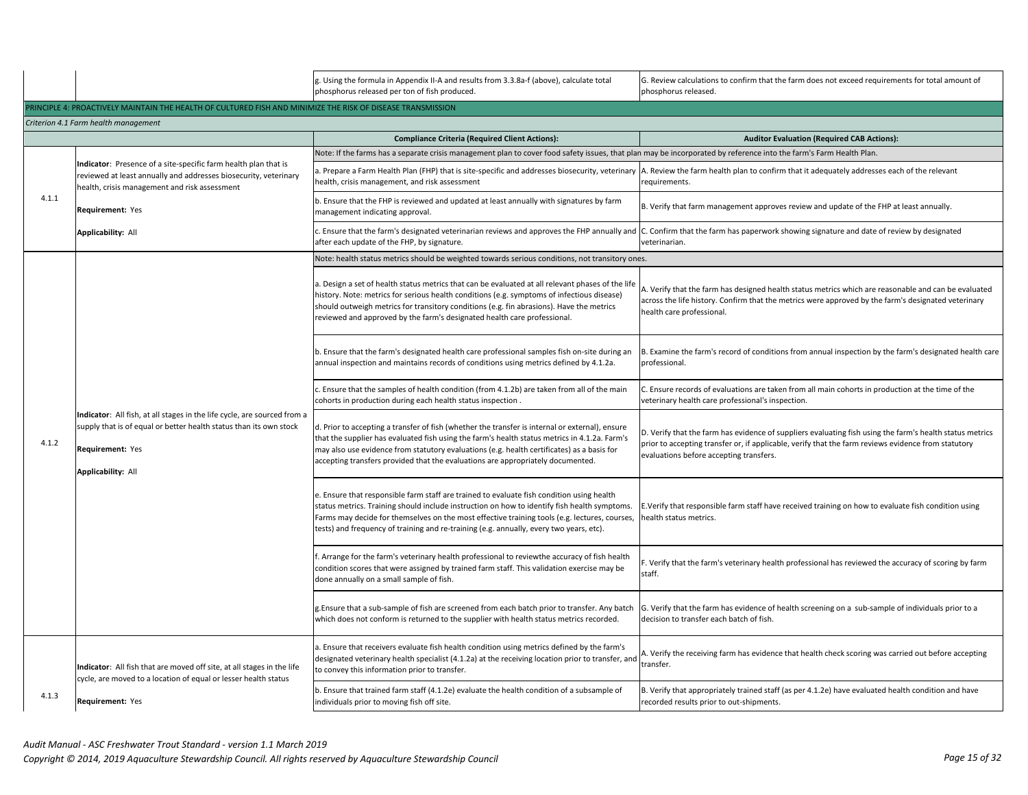|       |                                                                                                                                                                                          | g. Using the formula in Appendix II-A and results from 3.3.8a-f (above), calculate total<br>phosphorus released per ton of fish produced.                                                                                                                                                                                                                                             | G. Review calculations to confirm that the farm does not exceed requirements for total amount of<br>phosphorus released.                                                                                                                                   |
|-------|------------------------------------------------------------------------------------------------------------------------------------------------------------------------------------------|---------------------------------------------------------------------------------------------------------------------------------------------------------------------------------------------------------------------------------------------------------------------------------------------------------------------------------------------------------------------------------------|------------------------------------------------------------------------------------------------------------------------------------------------------------------------------------------------------------------------------------------------------------|
|       | RINCIPLE 4: PROACTIVELY MAINTAIN THE HEALTH OF CULTURED FISH AND MINIMIZE THE RISK OF DISEASE TRANSMISSION                                                                               |                                                                                                                                                                                                                                                                                                                                                                                       |                                                                                                                                                                                                                                                            |
|       | Criterion 4.1 Farm health management                                                                                                                                                     |                                                                                                                                                                                                                                                                                                                                                                                       |                                                                                                                                                                                                                                                            |
|       |                                                                                                                                                                                          | <b>Compliance Criteria (Required Client Actions):</b>                                                                                                                                                                                                                                                                                                                                 | <b>Auditor Evaluation (Required CAB Actions):</b>                                                                                                                                                                                                          |
|       | Indicator: Presence of a site-specific farm health plan that is<br>reviewed at least annually and addresses biosecurity, veterinary<br>health, crisis management and risk assessment     | Vote: If the farms has a separate crisis management plan to cover food safety issues, that plan may be incorporated by reference into the farm's Farm Health Plan.                                                                                                                                                                                                                    |                                                                                                                                                                                                                                                            |
|       |                                                                                                                                                                                          | ealth, crisis management, and risk assessment                                                                                                                                                                                                                                                                                                                                         | . Prepare a Farm Health Plan (FHP) that is site-specific and addresses biosecurity, veterinary  A. Review the farm health plan to confirm that it adequately addresses each of the relevant<br>requirements.                                               |
| 4.1.1 | Requirement: Yes                                                                                                                                                                         | b. Ensure that the FHP is reviewed and updated at least annually with signatures by farm<br>nanagement indicating approval.                                                                                                                                                                                                                                                           | B. Verify that farm management approves review and update of the FHP at least annually.                                                                                                                                                                    |
|       | <b>Applicability: All</b>                                                                                                                                                                | . Ensure that the farm's designated veterinarian reviews and approves the FHP annually and<br>after each update of the FHP, by signature.                                                                                                                                                                                                                                             | C. Confirm that the farm has paperwork showing signature and date of review by designated<br>veterinarian.                                                                                                                                                 |
|       |                                                                                                                                                                                          | Note: health status metrics should be weighted towards serious conditions, not transitory ones.                                                                                                                                                                                                                                                                                       |                                                                                                                                                                                                                                                            |
|       |                                                                                                                                                                                          | a. Design a set of health status metrics that can be evaluated at all relevant phases of the life<br>nistory. Note: metrics for serious health conditions (e.g. symptoms of infectious disease)<br>should outweigh metrics for transitory conditions (e.g. fin abrasions). Have the metrics<br>reviewed and approved by the farm's designated health care professional                | A. Verify that the farm has designed health status metrics which are reasonable and can be evaluated<br>across the life history. Confirm that the metrics were approved by the farm's designated veterinary<br>health care professional.                   |
|       | Indicator: All fish, at all stages in the life cycle, are sourced from a<br>supply that is of equal or better health status than its own stock<br>Requirement: Yes<br>Applicability: All | b. Ensure that the farm's designated health care professional samples fish on-site during an<br>annual inspection and maintains records of conditions using metrics defined by 4.1.2a.                                                                                                                                                                                                | B. Examine the farm's record of conditions from annual inspection by the farm's designated health care<br>professional.                                                                                                                                    |
|       |                                                                                                                                                                                          | c. Ensure that the samples of health condition (from 4.1.2b) are taken from all of the main<br>cohorts in production during each health status inspection.                                                                                                                                                                                                                            | . Ensure records of evaluations are taken from all main cohorts in production at the time of the<br>veterinary health care professional's inspection.                                                                                                      |
| 4.1.2 |                                                                                                                                                                                          | d. Prior to accepting a transfer of fish (whether the transfer is internal or external), ensure<br>that the supplier has evaluated fish using the farm's health status metrics in 4.1.2a. Farm's<br>may also use evidence from statutory evaluations (e.g. health certificates) as a basis for<br>accepting transfers provided that the evaluations are appropriately documented.     | D. Verify that the farm has evidence of suppliers evaluating fish using the farm's health status metrics<br>prior to accepting transfer or, if applicable, verify that the farm reviews evidence from statutory<br>evaluations before accepting transfers. |
|       |                                                                                                                                                                                          | e. Ensure that responsible farm staff are trained to evaluate fish condition using health<br>status metrics. Training should include instruction on how to identify fish health symptoms.<br>Farms may decide for themselves on the most effective training tools (e.g. lectures, courses,<br>tests) and frequency of training and re-training (e.g. annually, every two years, etc). | E.Verify that responsible farm staff have received training on how to evaluate fish condition using<br>nealth status metrics.                                                                                                                              |
|       |                                                                                                                                                                                          | . Arrange for the farm's veterinary health professional to reviewthe accuracy of fish health<br>condition scores that were assigned by trained farm staff. This validation exercise may be<br>done annually on a small sample of fish.                                                                                                                                                | . Verify that the farm's veterinary health professional has reviewed the accuracy of scoring by farm<br>staff.                                                                                                                                             |
|       |                                                                                                                                                                                          | g.Ensure that a sub-sample of fish are screened from each batch prior to transfer. Any batch<br>which does not conform is returned to the supplier with health status metrics recorded.                                                                                                                                                                                               | G. Verify that the farm has evidence of health screening on a sub-sample of individuals prior to a<br>decision to transfer each batch of fish.                                                                                                             |
|       | Indicator: All fish that are moved off site, at all stages in the life<br>cycle, are moved to a location of equal or lesser health status                                                | a. Ensure that receivers evaluate fish health condition using metrics defined by the farm's<br>designated veterinary health specialist (4.1.2a) at the receiving location prior to transfer, and<br>to convey this information prior to transfer.                                                                                                                                     | . Verify the receiving farm has evidence that health check scoring was carried out before accepting<br>transfer.                                                                                                                                           |
| 4.1.3 | Requirement: Yes                                                                                                                                                                         | b. Ensure that trained farm staff (4.1.2e) evaluate the health condition of a subsample of<br>individuals prior to moving fish off site.                                                                                                                                                                                                                                              | B. Verify that appropriately trained staff (as per 4.1.2e) have evaluated health condition and have<br>recorded results prior to out-shipments.                                                                                                            |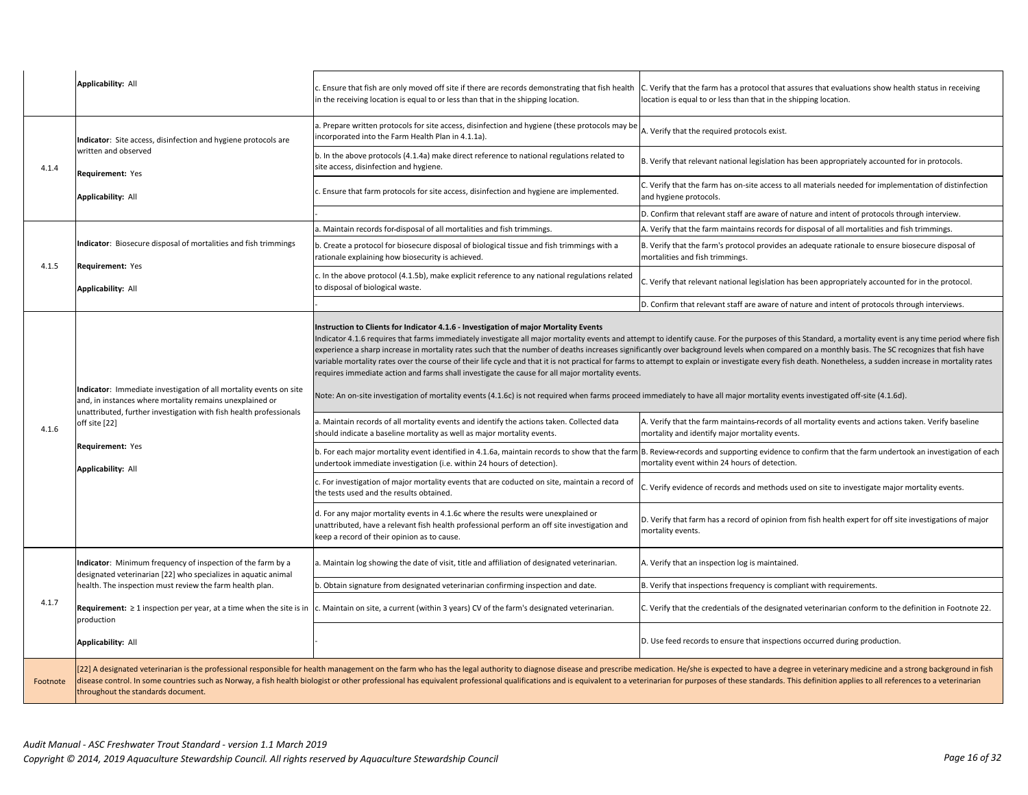|          | <b>Applicability: All</b>                                                                                                                                                                                                                                       | c. Ensure that fish are only moved off site if there are records demonstrating that fish health<br>in the receiving location is equal to or less than that in the shipping location.                                                                                                                                                                                                                                                                                                                                                                                                                                                                                                                                                                                                                                                                                                                                                                                                                                                                                                                            | C. Verify that the farm has a protocol that assures that evaluations show health status in receiving<br>location is equal to or less than that in the shipping location.                                                                                                                                                                                                                                                                                                                                                                                                                                                                                                                                                                                                                                                                                                                                                                                                                                                                                                                                                                                                         |
|----------|-----------------------------------------------------------------------------------------------------------------------------------------------------------------------------------------------------------------------------------------------------------------|-----------------------------------------------------------------------------------------------------------------------------------------------------------------------------------------------------------------------------------------------------------------------------------------------------------------------------------------------------------------------------------------------------------------------------------------------------------------------------------------------------------------------------------------------------------------------------------------------------------------------------------------------------------------------------------------------------------------------------------------------------------------------------------------------------------------------------------------------------------------------------------------------------------------------------------------------------------------------------------------------------------------------------------------------------------------------------------------------------------------|----------------------------------------------------------------------------------------------------------------------------------------------------------------------------------------------------------------------------------------------------------------------------------------------------------------------------------------------------------------------------------------------------------------------------------------------------------------------------------------------------------------------------------------------------------------------------------------------------------------------------------------------------------------------------------------------------------------------------------------------------------------------------------------------------------------------------------------------------------------------------------------------------------------------------------------------------------------------------------------------------------------------------------------------------------------------------------------------------------------------------------------------------------------------------------|
| 4.1.4    | Indicator: Site access, disinfection and hygiene protocols are                                                                                                                                                                                                  | a. Prepare written protocols for site access, disinfection and hygiene (these protocols may be<br>incorporated into the Farm Health Plan in 4.1.1a).                                                                                                                                                                                                                                                                                                                                                                                                                                                                                                                                                                                                                                                                                                                                                                                                                                                                                                                                                            | A. Verify that the required protocols exist.                                                                                                                                                                                                                                                                                                                                                                                                                                                                                                                                                                                                                                                                                                                                                                                                                                                                                                                                                                                                                                                                                                                                     |
|          | written and observed<br>Requirement: Yes                                                                                                                                                                                                                        | b. In the above protocols (4.1.4a) make direct reference to national regulations related to<br>site access, disinfection and hygiene.                                                                                                                                                                                                                                                                                                                                                                                                                                                                                                                                                                                                                                                                                                                                                                                                                                                                                                                                                                           | B. Verify that relevant national legislation has been appropriately accounted for in protocols.                                                                                                                                                                                                                                                                                                                                                                                                                                                                                                                                                                                                                                                                                                                                                                                                                                                                                                                                                                                                                                                                                  |
|          | <b>Applicability: All</b>                                                                                                                                                                                                                                       | c. Ensure that farm protocols for site access, disinfection and hygiene are implemented.                                                                                                                                                                                                                                                                                                                                                                                                                                                                                                                                                                                                                                                                                                                                                                                                                                                                                                                                                                                                                        | C. Verify that the farm has on-site access to all materials needed for implementation of distinfection<br>and hygiene protocols.                                                                                                                                                                                                                                                                                                                                                                                                                                                                                                                                                                                                                                                                                                                                                                                                                                                                                                                                                                                                                                                 |
|          |                                                                                                                                                                                                                                                                 |                                                                                                                                                                                                                                                                                                                                                                                                                                                                                                                                                                                                                                                                                                                                                                                                                                                                                                                                                                                                                                                                                                                 | D. Confirm that relevant staff are aware of nature and intent of protocols through interview.                                                                                                                                                                                                                                                                                                                                                                                                                                                                                                                                                                                                                                                                                                                                                                                                                                                                                                                                                                                                                                                                                    |
|          |                                                                                                                                                                                                                                                                 | a. Maintain records for disposal of all mortalities and fish trimmings.                                                                                                                                                                                                                                                                                                                                                                                                                                                                                                                                                                                                                                                                                                                                                                                                                                                                                                                                                                                                                                         | A. Verify that the farm maintains records for disposal of all mortalities and fish trimmings.                                                                                                                                                                                                                                                                                                                                                                                                                                                                                                                                                                                                                                                                                                                                                                                                                                                                                                                                                                                                                                                                                    |
| 4.1.5    | Indicator: Biosecure disposal of mortalities and fish trimmings                                                                                                                                                                                                 | b. Create a protocol for biosecure disposal of biological tissue and fish trimmings with a<br>rationale explaining how biosecurity is achieved.                                                                                                                                                                                                                                                                                                                                                                                                                                                                                                                                                                                                                                                                                                                                                                                                                                                                                                                                                                 | B. Verify that the farm's protocol provides an adequate rationale to ensure biosecure disposal of<br>mortalities and fish trimmings.                                                                                                                                                                                                                                                                                                                                                                                                                                                                                                                                                                                                                                                                                                                                                                                                                                                                                                                                                                                                                                             |
|          | Requirement: Yes<br>Applicability: All                                                                                                                                                                                                                          | c. In the above protocol (4.1.5b), make explicit reference to any national regulations related<br>to disposal of biological waste.                                                                                                                                                                                                                                                                                                                                                                                                                                                                                                                                                                                                                                                                                                                                                                                                                                                                                                                                                                              | C. Verify that relevant national legislation has been appropriately accounted for in the protocol.                                                                                                                                                                                                                                                                                                                                                                                                                                                                                                                                                                                                                                                                                                                                                                                                                                                                                                                                                                                                                                                                               |
|          |                                                                                                                                                                                                                                                                 |                                                                                                                                                                                                                                                                                                                                                                                                                                                                                                                                                                                                                                                                                                                                                                                                                                                                                                                                                                                                                                                                                                                 | D. Confirm that relevant staff are aware of nature and intent of protocols through interviews.                                                                                                                                                                                                                                                                                                                                                                                                                                                                                                                                                                                                                                                                                                                                                                                                                                                                                                                                                                                                                                                                                   |
| 4.1.6    | Indicator: Immediate investigation of all mortality events on site<br>and, in instances where mortality remains unexplained or<br>unattributed, further investigation with fish health professionals<br>off site [22]<br>Requirement: Yes<br>Applicability: All | Instruction to Clients for Indicator 4.1.6 - Investigation of major Mortality Events<br>requires immediate action and farms shall investigate the cause for all major mortality events.<br>Note: An on-site investigation of mortality events (4.1.6c) is not required when farms proceed immediately to have all major mortality events investigated off-site (4.1.6d).<br>a. Maintain records of all mortality events and identify the actions taken. Collected data<br>should indicate a baseline mortality as well as major mortality events.<br>b. For each major mortality event identified in 4.1.6a, maintain records to show that the farn<br>undertook immediate investigation (i.e. within 24 hours of detection).<br>c. For investigation of major mortality events that are coducted on site, maintain a record of<br>the tests used and the results obtained.<br>d. For any major mortality events in 4.1.6c where the results were unexplained or<br>unattributed, have a relevant fish health professional perform an off site investigation and<br>keep a record of their opinion as to cause. | ndicator 4.1.6 requires that farms immediately investigate all major mortality events and attempt to identify cause. For the purposes of this Standard, a mortality event is any time period where fish<br>experience a sharp increase in mortality rates such that the number of deaths increases significantly over background levels when compared on a monthly basis. The SC recognizes that fish have<br>variable mortality rates over the course of their life cycle and that it is not practical for farms to attempt to explain or investigate every fish death. Nonetheless, a sudden increase in mortality rates<br>A. Verify that the farm maintains records of all mortality events and actions taken. Verify baseline<br>mortality and identify major mortality events.<br>B. Review-records and supporting evidence to confirm that the farm undertook an investigation of each<br>mortality event within 24 hours of detection.<br>C. Verify evidence of records and methods used on site to investigate major mortality events.<br>D. Verify that farm has a record of opinion from fish health expert for off site investigations of major<br>mortality events. |
|          | Indicator: Minimum frequency of inspection of the farm by a<br>designated veterinarian [22] who specializes in aquatic animal                                                                                                                                   | a. Maintain log showing the date of visit, title and affiliation of designated veterinarian.                                                                                                                                                                                                                                                                                                                                                                                                                                                                                                                                                                                                                                                                                                                                                                                                                                                                                                                                                                                                                    | A. Verify that an inspection log is maintained.                                                                                                                                                                                                                                                                                                                                                                                                                                                                                                                                                                                                                                                                                                                                                                                                                                                                                                                                                                                                                                                                                                                                  |
|          | health. The inspection must review the farm health plan.                                                                                                                                                                                                        | b. Obtain signature from designated veterinarian confirming inspection and date.                                                                                                                                                                                                                                                                                                                                                                                                                                                                                                                                                                                                                                                                                                                                                                                                                                                                                                                                                                                                                                | B. Verify that inspections frequency is compliant with requirements.                                                                                                                                                                                                                                                                                                                                                                                                                                                                                                                                                                                                                                                                                                                                                                                                                                                                                                                                                                                                                                                                                                             |
| 4.1.7    | Requirement: $\geq 1$ inspection per year, at a time when the site is in<br>production                                                                                                                                                                          | . Maintain on site, a current (within 3 years) CV of the farm's designated veterinarian.                                                                                                                                                                                                                                                                                                                                                                                                                                                                                                                                                                                                                                                                                                                                                                                                                                                                                                                                                                                                                        | . Verify that the credentials of the designated veterinarian conform to the definition in Footnote 22.                                                                                                                                                                                                                                                                                                                                                                                                                                                                                                                                                                                                                                                                                                                                                                                                                                                                                                                                                                                                                                                                           |
|          | Applicability: All                                                                                                                                                                                                                                              |                                                                                                                                                                                                                                                                                                                                                                                                                                                                                                                                                                                                                                                                                                                                                                                                                                                                                                                                                                                                                                                                                                                 | D. Use feed records to ensure that inspections occurred during production.                                                                                                                                                                                                                                                                                                                                                                                                                                                                                                                                                                                                                                                                                                                                                                                                                                                                                                                                                                                                                                                                                                       |
| Footnote | throughout the standards document.                                                                                                                                                                                                                              |                                                                                                                                                                                                                                                                                                                                                                                                                                                                                                                                                                                                                                                                                                                                                                                                                                                                                                                                                                                                                                                                                                                 | [22] A designated veterinarian is the professional responsible for health management on the farm who has the legal authority to diagnose disease and prescribe medication. He/she is expected to have a degree in veterinary m<br>disease control. In some countries such as Norway, a fish health biologist or other professional has equivalent professional qualifications and is equivalent to a veterinarian for purposes of these standards. This definiti                                                                                                                                                                                                                                                                                                                                                                                                                                                                                                                                                                                                                                                                                                                 |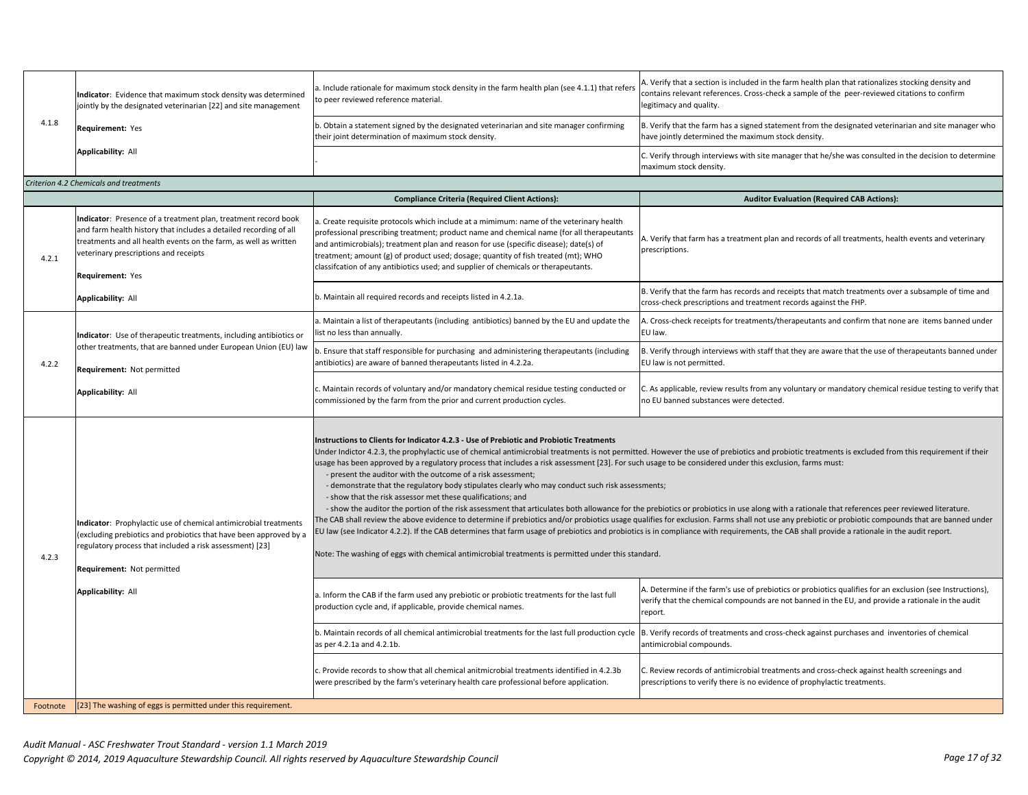| 4.1.8    | Indicator: Evidence that maximum stock density was determined<br>jointly by the designated veterinarian [22] and site management                                                                                                                                     | a. Include rationale for maximum stock density in the farm health plan (see 4.1.1) that refers<br>to peer reviewed reference material.                                                                                                                                                                                                                                                                                                                                                                                                                                                                                                                                                                                                                                                                                                                                                                                                                   | . Verify that a section is included in the farm health plan that rationalizes stocking density and<br>contains relevant references. Cross-check a sample of the peer-reviewed citations to confirm<br>legitimacy and quality.                                                                                                                                                                                                                                                                                                                                                                                                                                                                                                                                                                                                            |
|----------|----------------------------------------------------------------------------------------------------------------------------------------------------------------------------------------------------------------------------------------------------------------------|----------------------------------------------------------------------------------------------------------------------------------------------------------------------------------------------------------------------------------------------------------------------------------------------------------------------------------------------------------------------------------------------------------------------------------------------------------------------------------------------------------------------------------------------------------------------------------------------------------------------------------------------------------------------------------------------------------------------------------------------------------------------------------------------------------------------------------------------------------------------------------------------------------------------------------------------------------|------------------------------------------------------------------------------------------------------------------------------------------------------------------------------------------------------------------------------------------------------------------------------------------------------------------------------------------------------------------------------------------------------------------------------------------------------------------------------------------------------------------------------------------------------------------------------------------------------------------------------------------------------------------------------------------------------------------------------------------------------------------------------------------------------------------------------------------|
|          | Requirement: Yes                                                                                                                                                                                                                                                     | b. Obtain a statement signed by the designated veterinarian and site manager confirming<br>their joint determination of maximum stock density.                                                                                                                                                                                                                                                                                                                                                                                                                                                                                                                                                                                                                                                                                                                                                                                                           | B. Verify that the farm has a signed statement from the designated veterinarian and site manager who<br>have jointly determined the maximum stock density.                                                                                                                                                                                                                                                                                                                                                                                                                                                                                                                                                                                                                                                                               |
|          | Applicability: All                                                                                                                                                                                                                                                   |                                                                                                                                                                                                                                                                                                                                                                                                                                                                                                                                                                                                                                                                                                                                                                                                                                                                                                                                                          | C. Verify through interviews with site manager that he/she was consulted in the decision to determine<br>maximum stock density.                                                                                                                                                                                                                                                                                                                                                                                                                                                                                                                                                                                                                                                                                                          |
|          | Criterion 4.2 Chemicals and treatments                                                                                                                                                                                                                               |                                                                                                                                                                                                                                                                                                                                                                                                                                                                                                                                                                                                                                                                                                                                                                                                                                                                                                                                                          |                                                                                                                                                                                                                                                                                                                                                                                                                                                                                                                                                                                                                                                                                                                                                                                                                                          |
|          |                                                                                                                                                                                                                                                                      | <b>Compliance Criteria (Required Client Actions):</b>                                                                                                                                                                                                                                                                                                                                                                                                                                                                                                                                                                                                                                                                                                                                                                                                                                                                                                    | <b>Auditor Evaluation (Required CAB Actions):</b>                                                                                                                                                                                                                                                                                                                                                                                                                                                                                                                                                                                                                                                                                                                                                                                        |
| 4.2.1    | Indicator: Presence of a treatment plan, treatment record book<br>and farm health history that includes a detailed recording of all<br>treatments and all health events on the farm, as well as written<br>veterinary prescriptions and receipts<br>Requirement: Yes | a. Create requisite protocols which include at a mimimum: name of the veterinary health<br>professional prescribing treatment; product name and chemical name (for all therapeutants<br>and antimicrobials); treatment plan and reason for use (specific disease); date(s) of<br>treatment; amount (g) of product used; dosage; quantity of fish treated (mt); WHO<br>classifcation of any antibiotics used; and supplier of chemicals or therapeutants.                                                                                                                                                                                                                                                                                                                                                                                                                                                                                                 | A. Verify that farm has a treatment plan and records of all treatments, health events and veterinary<br>prescriptions.                                                                                                                                                                                                                                                                                                                                                                                                                                                                                                                                                                                                                                                                                                                   |
|          | <b>Applicability: All</b>                                                                                                                                                                                                                                            | b. Maintain all required records and receipts listed in 4.2.1a.                                                                                                                                                                                                                                                                                                                                                                                                                                                                                                                                                                                                                                                                                                                                                                                                                                                                                          | B. Verify that the farm has records and receipts that match treatments over a subsample of time and<br>cross-check prescriptions and treatment records against the FHP.                                                                                                                                                                                                                                                                                                                                                                                                                                                                                                                                                                                                                                                                  |
|          | Indicator: Use of therapeutic treatments, including antibiotics or                                                                                                                                                                                                   | a. Maintain a list of therapeutants (including antibiotics) banned by the EU and update the<br>list no less than annually.                                                                                                                                                                                                                                                                                                                                                                                                                                                                                                                                                                                                                                                                                                                                                                                                                               | A. Cross-check receipts for treatments/therapeutants and confirm that none are items banned under<br>EU law.                                                                                                                                                                                                                                                                                                                                                                                                                                                                                                                                                                                                                                                                                                                             |
| 4.2.2    | other treatments, that are banned under European Union (EU) law<br>Requirement: Not permitted                                                                                                                                                                        | b. Ensure that staff responsible for purchasing and administering therapeutants (including<br>antibiotics) are aware of banned therapeutants listed in 4.2.2a.                                                                                                                                                                                                                                                                                                                                                                                                                                                                                                                                                                                                                                                                                                                                                                                           | B. Verify through interviews with staff that they are aware that the use of therapeutants banned under<br>EU law is not permitted.                                                                                                                                                                                                                                                                                                                                                                                                                                                                                                                                                                                                                                                                                                       |
|          | <b>Applicability: All</b>                                                                                                                                                                                                                                            | c. Maintain records of voluntary and/or mandatory chemical residue testing conducted or<br>commissioned by the farm from the prior and current production cycles.                                                                                                                                                                                                                                                                                                                                                                                                                                                                                                                                                                                                                                                                                                                                                                                        | C. As applicable, review results from any voluntary or mandatory chemical residue testing to verify that<br>no EU banned substances were detected.                                                                                                                                                                                                                                                                                                                                                                                                                                                                                                                                                                                                                                                                                       |
| 4.2.3    | Indicator: Prophylactic use of chemical antimicrobial treatments<br>(excluding prebiotics and probiotics that have been approved by a<br>regulatory process that included a risk assessment) [23]<br>Requirement: Not permitted<br>Applicability: All                | Instructions to Clients for Indicator 4.2.3 - Use of Prebiotic and Probiotic Treatments<br>isage has been approved by a regulatory process that includes a risk assessment [23]. For such usage to be considered under this exclusion, farms must:<br>- present the auditor with the outcome of a risk assessment;<br>- demonstrate that the regulatory body stipulates clearly who may conduct such risk assessments;<br>- show that the risk assessor met these qualifications; and<br>EU law (see Indicator 4.2.2). If the CAB determines that farm usage of prebiotics and probiotics is in compliance with requirements, the CAB shall provide a rationale in the audit report.<br>Note: The washing of eggs with chemical antimicrobial treatments is permitted under this standard.<br>a. Inform the CAB if the farm used any prebiotic or probiotic treatments for the last full<br>production cycle and, if applicable, provide chemical names. | Under Indictor 4.2.3, the prophylactic use of chemical antimicrobial treatments is not permitted. However the use of prebiotics and probiotic treatments is excluded from this requirement if their<br>- show the auditor the portion of the risk assessment that articulates both allowance for the prebiotics or probiotics in use along with a rationale that references peer reviewed literature.<br>The CAB shall review the above evidence to determine if prebiotics and/or probiotics usage qualifies for exclusion. Farms shall not use any prebiotic or probiotic compounds that are banned under<br>A. Determine if the farm's use of prebiotics or probiotics qualifies for an exclusion (see Instructions),<br>verify that the chemical compounds are not banned in the EU, and provide a rationale in the audit<br>report. |
|          |                                                                                                                                                                                                                                                                      | b. Maintain records of all chemical antimicrobial treatments for the last full production cycle<br>as per 4.2.1a and 4.2.1b.                                                                                                                                                                                                                                                                                                                                                                                                                                                                                                                                                                                                                                                                                                                                                                                                                             | B. Verify records of treatments and cross-check against purchases and inventories of chemical<br>antimicrobial compounds.                                                                                                                                                                                                                                                                                                                                                                                                                                                                                                                                                                                                                                                                                                                |
|          |                                                                                                                                                                                                                                                                      | c. Provide records to show that all chemical anitmicrobial treatments identified in 4.2.3b<br>were prescribed by the farm's veterinary health care professional before application.                                                                                                                                                                                                                                                                                                                                                                                                                                                                                                                                                                                                                                                                                                                                                                      | C. Review records of antimicrobial treatments and cross-check against health screenings and<br>prescriptions to verify there is no evidence of prophylactic treatments.                                                                                                                                                                                                                                                                                                                                                                                                                                                                                                                                                                                                                                                                  |
| Footnote | [23] The washing of eggs is permitted under this requirement.                                                                                                                                                                                                        |                                                                                                                                                                                                                                                                                                                                                                                                                                                                                                                                                                                                                                                                                                                                                                                                                                                                                                                                                          |                                                                                                                                                                                                                                                                                                                                                                                                                                                                                                                                                                                                                                                                                                                                                                                                                                          |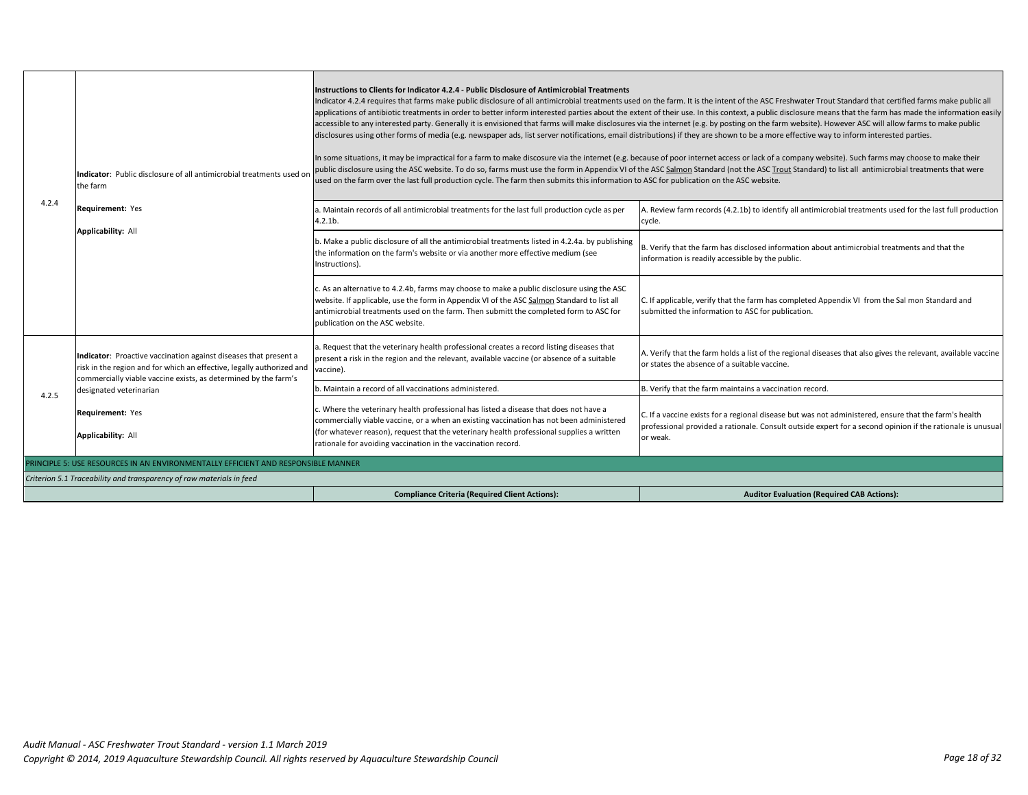|       | Indicator: Public disclosure of all antimicrobial treatments used or<br>the farm                                                                                                                             | Instructions to Clients for Indicator 4.2.4 - Public Disclosure of Antimicrobial Treatments<br>Indicator 4.2.4 requires that farms make public disclosure of all antimicrobial treatments used on the farm. It is the intent of the ASC Freshwater Trout Standard that certified farms make public all<br>applications of antibiotic treatments in order to better inform interested parties about the extent of their use. In this context, a public disclosure means that the farm has made the information easily<br>accessible to any interested party. Generally it is envisioned that farms will make disclosures via the internet (e.g. by posting on the farm website). However ASC will allow farms to make public<br>disclosures using other forms of media (e.g. newspaper ads, list server notifications, email distributions) if they are shown to be a more effective way to inform interested parties.<br>In some situations, it may be impractical for a farm to make discosure via the internet (e.g. because of poor internet access or lack of a company website). Such farms may choose to make their<br>public disclosure using the ASC website. To do so, farms must use the form in Appendix VI of the ASC Salmon Standard (not the ASC Trout Standard) to list all antimicrobial treatments that were<br>used on the farm over the last full production cycle. The farm then submits this information to ASC for publication on the ASC website. |                                                                                                                                                                                                                                 |  |
|-------|--------------------------------------------------------------------------------------------------------------------------------------------------------------------------------------------------------------|--------------------------------------------------------------------------------------------------------------------------------------------------------------------------------------------------------------------------------------------------------------------------------------------------------------------------------------------------------------------------------------------------------------------------------------------------------------------------------------------------------------------------------------------------------------------------------------------------------------------------------------------------------------------------------------------------------------------------------------------------------------------------------------------------------------------------------------------------------------------------------------------------------------------------------------------------------------------------------------------------------------------------------------------------------------------------------------------------------------------------------------------------------------------------------------------------------------------------------------------------------------------------------------------------------------------------------------------------------------------------------------------------------------------------------------------------------------------------|---------------------------------------------------------------------------------------------------------------------------------------------------------------------------------------------------------------------------------|--|
| 4.2.4 | Requirement: Yes                                                                                                                                                                                             | a. Maintain records of all antimicrobial treatments for the last full production cycle as per<br>$4.2.1b$ .                                                                                                                                                                                                                                                                                                                                                                                                                                                                                                                                                                                                                                                                                                                                                                                                                                                                                                                                                                                                                                                                                                                                                                                                                                                                                                                                                              | A. Review farm records (4.2.1b) to identify all antimicrobial treatments used for the last full production<br>cycle.                                                                                                            |  |
|       | Applicability: All                                                                                                                                                                                           | b. Make a public disclosure of all the antimicrobial treatments listed in 4.2.4a. by publishing<br>the information on the farm's website or via another more effective medium (see<br>Instructions).                                                                                                                                                                                                                                                                                                                                                                                                                                                                                                                                                                                                                                                                                                                                                                                                                                                                                                                                                                                                                                                                                                                                                                                                                                                                     | B. Verify that the farm has disclosed information about antimicrobial treatments and that the<br>information is readily accessible by the public.                                                                               |  |
|       |                                                                                                                                                                                                              | c. As an alternative to 4.2.4b, farms may choose to make a public disclosure using the ASC<br>website. If applicable, use the form in Appendix VI of the ASC Salmon Standard to list all<br>antimicrobial treatments used on the farm. Then submitt the completed form to ASC for<br>publication on the ASC website.                                                                                                                                                                                                                                                                                                                                                                                                                                                                                                                                                                                                                                                                                                                                                                                                                                                                                                                                                                                                                                                                                                                                                     | C. If applicable, verify that the farm has completed Appendix VI from the Sal mon Standard and<br>submitted the information to ASC for publication.                                                                             |  |
|       | Indicator: Proactive vaccination against diseases that present a<br>risk in the region and for which an effective, legally authorized and<br>commercially viable vaccine exists, as determined by the farm's | a. Request that the veterinary health professional creates a record listing diseases that<br>present a risk in the region and the relevant, available vaccine (or absence of a suitable<br>vaccine).                                                                                                                                                                                                                                                                                                                                                                                                                                                                                                                                                                                                                                                                                                                                                                                                                                                                                                                                                                                                                                                                                                                                                                                                                                                                     | A. Verify that the farm holds a list of the regional diseases that also gives the relevant, available vaccine<br>or states the absence of a suitable vaccine.                                                                   |  |
| 4.2.5 | designated veterinarian                                                                                                                                                                                      | b. Maintain a record of all vaccinations administered.                                                                                                                                                                                                                                                                                                                                                                                                                                                                                                                                                                                                                                                                                                                                                                                                                                                                                                                                                                                                                                                                                                                                                                                                                                                                                                                                                                                                                   | B. Verify that the farm maintains a vaccination record.                                                                                                                                                                         |  |
|       | <b>Requirement:</b> Yes<br><b>Applicability: All</b>                                                                                                                                                         | c. Where the veterinary health professional has listed a disease that does not have a<br>commercially viable vaccine, or a when an existing vaccination has not been administered<br>(for whatever reason), request that the veterinary health professional supplies a written<br>rationale for avoiding vaccination in the vaccination record.                                                                                                                                                                                                                                                                                                                                                                                                                                                                                                                                                                                                                                                                                                                                                                                                                                                                                                                                                                                                                                                                                                                          | C. If a vaccine exists for a regional disease but was not administered, ensure that the farm's health<br>professional provided a rationale. Consult outside expert for a second opinion if the rationale is unusual<br>or weak. |  |
|       | PRINCIPLE 5: USE RESOURCES IN AN ENVIRONMENTALLY EFFICIENT AND RESPONSIBLE MANNER                                                                                                                            |                                                                                                                                                                                                                                                                                                                                                                                                                                                                                                                                                                                                                                                                                                                                                                                                                                                                                                                                                                                                                                                                                                                                                                                                                                                                                                                                                                                                                                                                          |                                                                                                                                                                                                                                 |  |
|       | Criterion 5.1 Traceability and transparency of raw materials in feed                                                                                                                                         |                                                                                                                                                                                                                                                                                                                                                                                                                                                                                                                                                                                                                                                                                                                                                                                                                                                                                                                                                                                                                                                                                                                                                                                                                                                                                                                                                                                                                                                                          |                                                                                                                                                                                                                                 |  |
|       |                                                                                                                                                                                                              | <b>Compliance Criteria (Required Client Actions):</b>                                                                                                                                                                                                                                                                                                                                                                                                                                                                                                                                                                                                                                                                                                                                                                                                                                                                                                                                                                                                                                                                                                                                                                                                                                                                                                                                                                                                                    | <b>Auditor Evaluation (Required CAB Actions):</b>                                                                                                                                                                               |  |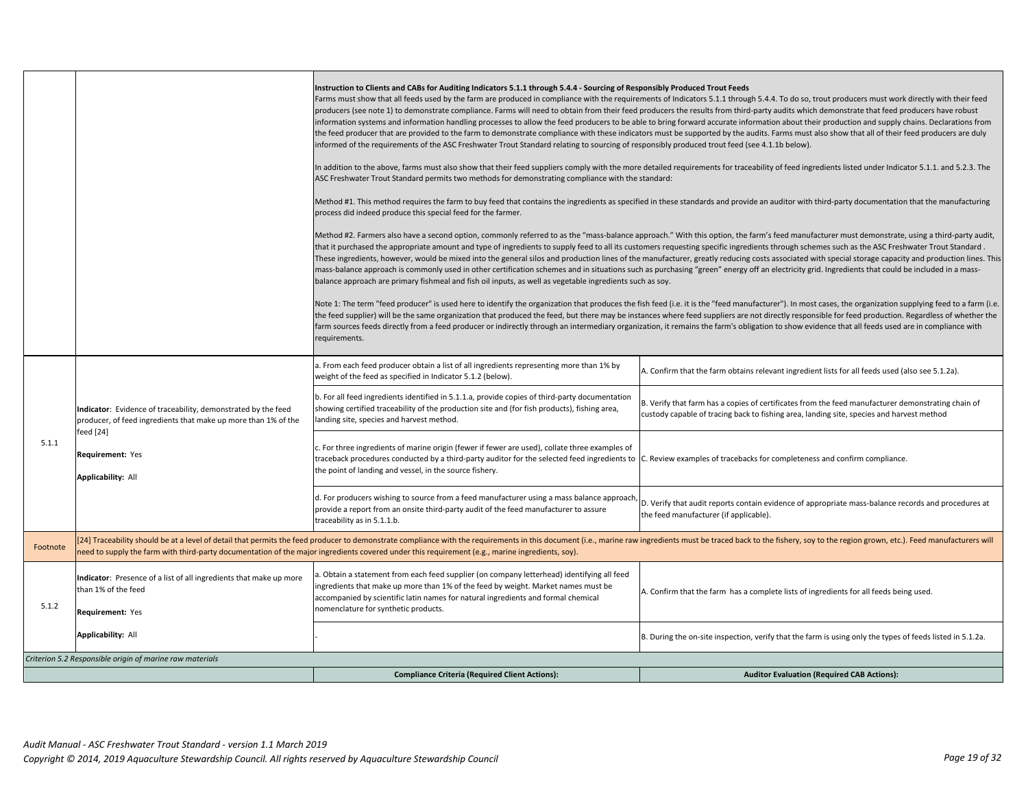|          |                                                                                                                       | Instruction to Clients and CABs for Auditing Indicators 5.1.1 through 5.4.4 - Sourcing of Responsibly Produced Trout Feeds<br>informed of the requirements of the ASC Freshwater Trout Standard relating to sourcing of responsibly produced trout feed (see 4.1.1b below).<br>ASC Freshwater Trout Standard permits two methods for demonstrating compliance with the standard:<br>process did indeed produce this special feed for the farmer.<br>balance approach are primary fishmeal and fish oil inputs, as well as vegetable ingredients such as soy.<br>requirements. | Farms must show that all feeds used by the farm are produced in compliance with the requirements of Indicators 5.1.1 through 5.4.4. To do so, trout producers must work directly with their feed<br>producers (see note 1) to demonstrate compliance. Farms will need to obtain from their feed producers the results from third-party audits which demonstrate that feed producers have robust<br>information systems and information handling processes to allow the feed producers to be able to bring forward accurate information about their production and supply chains. Declarations from<br>the feed producer that are provided to the farm to demonstrate compliance with these indicators must be supported by the audits. Farms must also show that all of their feed producers are duly<br>In addition to the above, farms must also show that their feed suppliers comply with the more detailed requirements for traceability of feed ingredients listed under Indicator 5.1.1. and 5.2.3. The<br>Method #1. This method requires the farm to buy feed that contains the ingredients as specified in these standards and provide an auditor with third-party documentation that the manufacturing<br>Method #2. Farmers also have a second option, commonly referred to as the "mass-balance approach." With this option, the farm's feed manufacturer must demonstrate, using a third-party audit,<br>that it purchased the appropriate amount and type of ingredients to supply feed to all its customers requesting specific ingredients through schemes such as the ASC Freshwater Trout Standard.<br>These ingredients, however, would be mixed into the general silos and production lines of the manufacturer, greatly reducing costs associated with special storage capacity and production lines. This<br>mass-balance approach is commonly used in other certification schemes and in situations such as purchasing "green" energy off an electricity grid. Ingredients that could be included in a mass-<br>Note 1: The term "feed producer" is used here to identify the organization that produces the fish feed (i.e. it is the "feed manufacturer"). In most cases, the organization supplying feed to a farm (i.e.<br>the feed supplier) will be the same organization that produced the feed, but there may be instances where feed suppliers are not directly responsible for feed production. Regardless of whether the<br>farm sources feeds directly from a feed producer or indirectly through an intermediary organization, it remains the farm's obligation to show evidence that all feeds used are in compliance with |  |
|----------|-----------------------------------------------------------------------------------------------------------------------|-------------------------------------------------------------------------------------------------------------------------------------------------------------------------------------------------------------------------------------------------------------------------------------------------------------------------------------------------------------------------------------------------------------------------------------------------------------------------------------------------------------------------------------------------------------------------------|------------------------------------------------------------------------------------------------------------------------------------------------------------------------------------------------------------------------------------------------------------------------------------------------------------------------------------------------------------------------------------------------------------------------------------------------------------------------------------------------------------------------------------------------------------------------------------------------------------------------------------------------------------------------------------------------------------------------------------------------------------------------------------------------------------------------------------------------------------------------------------------------------------------------------------------------------------------------------------------------------------------------------------------------------------------------------------------------------------------------------------------------------------------------------------------------------------------------------------------------------------------------------------------------------------------------------------------------------------------------------------------------------------------------------------------------------------------------------------------------------------------------------------------------------------------------------------------------------------------------------------------------------------------------------------------------------------------------------------------------------------------------------------------------------------------------------------------------------------------------------------------------------------------------------------------------------------------------------------------------------------------------------------------------------------------------------------------------------------------------------------------------------------------------------------------------------------------------------------------------------------------------------------------------------------------------------------------------------------------------------------------------------------------------------------------------------------------------------------------------------------------------------------------------------------------------------------------------------------------------------------------------------------------|--|
|          | Indicator: Evidence of traceability, demonstrated by the feed                                                         | a. From each feed producer obtain a list of all ingredients representing more than 1% by<br>weight of the feed as specified in Indicator 5.1.2 (below).<br>b. For all feed ingredients identified in 5.1.1.a, provide copies of third-party documentation<br>showing certified traceability of the production site and (for fish products), fishing area,<br>landing site, species and harvest method.                                                                                                                                                                        | A. Confirm that the farm obtains relevant ingredient lists for all feeds used (also see 5.1.2a).<br>B. Verify that farm has a copies of certificates from the feed manufacturer demonstrating chain of<br>custody capable of tracing back to fishing area, landing site, species and harvest method                                                                                                                                                                                                                                                                                                                                                                                                                                                                                                                                                                                                                                                                                                                                                                                                                                                                                                                                                                                                                                                                                                                                                                                                                                                                                                                                                                                                                                                                                                                                                                                                                                                                                                                                                                                                                                                                                                                                                                                                                                                                                                                                                                                                                                                                                                                                                              |  |
| 5.1.1    | producer, of feed ingredients that make up more than 1% of the<br>feed [24]<br>Requirement: Yes<br>Applicability: All | c. For three ingredients of marine origin (fewer if fewer are used), collate three examples of<br>traceback procedures conducted by a third-party auditor for the selected feed ingredients to C. Review examples of tracebacks for completeness and confirm compliance.<br>the point of landing and vessel, in the source fishery.                                                                                                                                                                                                                                           |                                                                                                                                                                                                                                                                                                                                                                                                                                                                                                                                                                                                                                                                                                                                                                                                                                                                                                                                                                                                                                                                                                                                                                                                                                                                                                                                                                                                                                                                                                                                                                                                                                                                                                                                                                                                                                                                                                                                                                                                                                                                                                                                                                                                                                                                                                                                                                                                                                                                                                                                                                                                                                                                  |  |
|          |                                                                                                                       | d. For producers wishing to source from a feed manufacturer using a mass balance approach<br>provide a report from an onsite third-party audit of the feed manufacturer to assure<br>traceability as in 5.1.1.b.                                                                                                                                                                                                                                                                                                                                                              | D. Verify that audit reports contain evidence of appropriate mass-balance records and procedures at<br>the feed manufacturer (if applicable).                                                                                                                                                                                                                                                                                                                                                                                                                                                                                                                                                                                                                                                                                                                                                                                                                                                                                                                                                                                                                                                                                                                                                                                                                                                                                                                                                                                                                                                                                                                                                                                                                                                                                                                                                                                                                                                                                                                                                                                                                                                                                                                                                                                                                                                                                                                                                                                                                                                                                                                    |  |
| Footnote |                                                                                                                       | need to supply the farm with third-party documentation of the major ingredients covered under this requirement (e.g., marine ingredients, soy).                                                                                                                                                                                                                                                                                                                                                                                                                               | [24] Traceability should be at a level of detail that permits the feed producer to demonstrate compliance with the requirements in this document (i.e., marine raw ingredients must be traced back to the fishery, soy to the                                                                                                                                                                                                                                                                                                                                                                                                                                                                                                                                                                                                                                                                                                                                                                                                                                                                                                                                                                                                                                                                                                                                                                                                                                                                                                                                                                                                                                                                                                                                                                                                                                                                                                                                                                                                                                                                                                                                                                                                                                                                                                                                                                                                                                                                                                                                                                                                                                    |  |
| 5.1.2    | Indicator: Presence of a list of all ingredients that make up more<br>than 1% of the feed<br>Requirement: Yes         | a. Obtain a statement from each feed supplier (on company letterhead) identifying all feed<br>ingredients that make up more than 1% of the feed by weight. Market names must be<br>accompanied by scientific latin names for natural ingredients and formal chemical<br>nomenclature for synthetic products.                                                                                                                                                                                                                                                                  | A. Confirm that the farm has a complete lists of ingredients for all feeds being used.                                                                                                                                                                                                                                                                                                                                                                                                                                                                                                                                                                                                                                                                                                                                                                                                                                                                                                                                                                                                                                                                                                                                                                                                                                                                                                                                                                                                                                                                                                                                                                                                                                                                                                                                                                                                                                                                                                                                                                                                                                                                                                                                                                                                                                                                                                                                                                                                                                                                                                                                                                           |  |
|          | <b>Applicability: All</b>                                                                                             |                                                                                                                                                                                                                                                                                                                                                                                                                                                                                                                                                                               | B. During the on-site inspection, verify that the farm is using only the types of feeds listed in 5.1.2a.                                                                                                                                                                                                                                                                                                                                                                                                                                                                                                                                                                                                                                                                                                                                                                                                                                                                                                                                                                                                                                                                                                                                                                                                                                                                                                                                                                                                                                                                                                                                                                                                                                                                                                                                                                                                                                                                                                                                                                                                                                                                                                                                                                                                                                                                                                                                                                                                                                                                                                                                                        |  |
|          | Criterion 5.2 Responsible origin of marine raw materials                                                              |                                                                                                                                                                                                                                                                                                                                                                                                                                                                                                                                                                               |                                                                                                                                                                                                                                                                                                                                                                                                                                                                                                                                                                                                                                                                                                                                                                                                                                                                                                                                                                                                                                                                                                                                                                                                                                                                                                                                                                                                                                                                                                                                                                                                                                                                                                                                                                                                                                                                                                                                                                                                                                                                                                                                                                                                                                                                                                                                                                                                                                                                                                                                                                                                                                                                  |  |
|          |                                                                                                                       | <b>Compliance Criteria (Required Client Actions):</b>                                                                                                                                                                                                                                                                                                                                                                                                                                                                                                                         | <b>Auditor Evaluation (Required CAB Actions):</b>                                                                                                                                                                                                                                                                                                                                                                                                                                                                                                                                                                                                                                                                                                                                                                                                                                                                                                                                                                                                                                                                                                                                                                                                                                                                                                                                                                                                                                                                                                                                                                                                                                                                                                                                                                                                                                                                                                                                                                                                                                                                                                                                                                                                                                                                                                                                                                                                                                                                                                                                                                                                                |  |
|          |                                                                                                                       |                                                                                                                                                                                                                                                                                                                                                                                                                                                                                                                                                                               |                                                                                                                                                                                                                                                                                                                                                                                                                                                                                                                                                                                                                                                                                                                                                                                                                                                                                                                                                                                                                                                                                                                                                                                                                                                                                                                                                                                                                                                                                                                                                                                                                                                                                                                                                                                                                                                                                                                                                                                                                                                                                                                                                                                                                                                                                                                                                                                                                                                                                                                                                                                                                                                                  |  |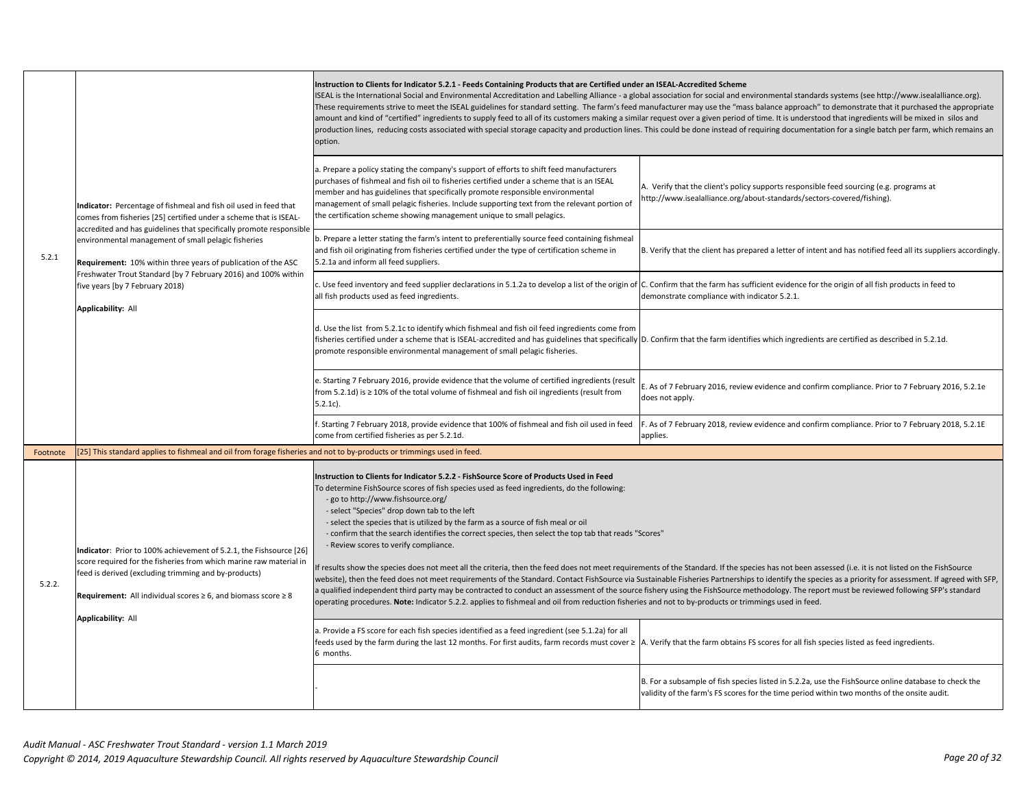|          | Indicator: Percentage of fishmeal and fish oil used in feed that<br>comes from fisheries [25] certified under a scheme that is ISEAL-                                                                                                                                                                     | Instruction to Clients for Indicator 5.2.1 - Feeds Containing Products that are Certified under an ISEAL-Accredited Scheme<br>ISEAL is the International Social and Environmental Accreditation and Labelling Alliance - a global association for social and environmental standards systems (see http://www.isealalliance.org).<br>These requirements strive to meet the ISEAL guidelines for standard setting. The farm's feed manufacturer may use the "mass balance approach" to demonstrate that it purchased the appropriate<br>amount and kind of "certified" ingredients to supply feed to all of its customers making a similar request over a given period of time. It is understood that ingredients will be mixed in silos and<br>production lines, reducing costs associated with special storage capacity and production lines. This could be done instead of requiring documentation for a single batch per farm, which remains an<br>option.                           |                                                                                                                                                                                                                                                                                                                                                                                                                                                                                                                                                                                                              |
|----------|-----------------------------------------------------------------------------------------------------------------------------------------------------------------------------------------------------------------------------------------------------------------------------------------------------------|----------------------------------------------------------------------------------------------------------------------------------------------------------------------------------------------------------------------------------------------------------------------------------------------------------------------------------------------------------------------------------------------------------------------------------------------------------------------------------------------------------------------------------------------------------------------------------------------------------------------------------------------------------------------------------------------------------------------------------------------------------------------------------------------------------------------------------------------------------------------------------------------------------------------------------------------------------------------------------------|--------------------------------------------------------------------------------------------------------------------------------------------------------------------------------------------------------------------------------------------------------------------------------------------------------------------------------------------------------------------------------------------------------------------------------------------------------------------------------------------------------------------------------------------------------------------------------------------------------------|
|          |                                                                                                                                                                                                                                                                                                           | a. Prepare a policy stating the company's support of efforts to shift feed manufacturers<br>purchases of fishmeal and fish oil to fisheries certified under a scheme that is an ISEAL<br>member and has guidelines that specifically promote responsible environmental<br>management of small pelagic fisheries. Include supporting text from the relevant portion of<br>the certification scheme showing management unique to small pelagics.                                                                                                                                                                                                                                                                                                                                                                                                                                                                                                                                         | A. Verify that the client's policy supports responsible feed sourcing (e.g. programs at<br>http://www.isealalliance.org/about-standards/sectors-covered/fishing).                                                                                                                                                                                                                                                                                                                                                                                                                                            |
| 5.2.1    | accredited and has guidelines that specifically promote responsible<br>environmental management of small pelagic fisheries<br>Requirement: 10% within three years of publication of the ASC                                                                                                               | b. Prepare a letter stating the farm's intent to preferentially source feed containing fishmeal<br>and fish oil originating from fisheries certified under the type of certification scheme in<br>5.2.1a and inform all feed suppliers.                                                                                                                                                                                                                                                                                                                                                                                                                                                                                                                                                                                                                                                                                                                                                | B. Verify that the client has prepared a letter of intent and has notified feed all its suppliers accordingly.                                                                                                                                                                                                                                                                                                                                                                                                                                                                                               |
|          | Freshwater Trout Standard [by 7 February 2016) and 100% within<br>five years [by 7 February 2018)<br>Applicability: All                                                                                                                                                                                   | Use feed inventory and feed supplier declarations in 5.1.2a to develop a list of the origin of $ C$ . Confirm that the farm has sufficient evidence for the origin of all fish products in feed to<br>all fish products used as feed ingredients.                                                                                                                                                                                                                                                                                                                                                                                                                                                                                                                                                                                                                                                                                                                                      | demonstrate compliance with indicator 5.2.1.                                                                                                                                                                                                                                                                                                                                                                                                                                                                                                                                                                 |
|          |                                                                                                                                                                                                                                                                                                           | d. Use the list from 5.2.1c to identify which fishmeal and fish oil feed ingredients come from<br>fisheries certified under a scheme that is ISEAL-accredited and has guidelines that specifically D. Confirm that the farm identifies which ingredients are certified as described in 5.2.1d.<br>promote responsible environmental management of small pelagic fisheries.                                                                                                                                                                                                                                                                                                                                                                                                                                                                                                                                                                                                             |                                                                                                                                                                                                                                                                                                                                                                                                                                                                                                                                                                                                              |
|          |                                                                                                                                                                                                                                                                                                           | e. Starting 7 February 2016, provide evidence that the volume of certified ingredients (result<br>from 5.2.1d) is ≥ 10% of the total volume of fishmeal and fish oil ingredients (result from<br>$5.2.1c$ ).                                                                                                                                                                                                                                                                                                                                                                                                                                                                                                                                                                                                                                                                                                                                                                           | E. As of 7 February 2016, review evidence and confirm compliance. Prior to 7 February 2016, 5.2.1e<br>does not apply.                                                                                                                                                                                                                                                                                                                                                                                                                                                                                        |
|          |                                                                                                                                                                                                                                                                                                           | f. Starting 7 February 2018, provide evidence that 100% of fishmeal and fish oil used in feed<br>come from certified fisheries as per 5.2.1d.                                                                                                                                                                                                                                                                                                                                                                                                                                                                                                                                                                                                                                                                                                                                                                                                                                          | F. As of 7 February 2018, review evidence and confirm compliance. Prior to 7 February 2018, 5.2.1E<br>applies.                                                                                                                                                                                                                                                                                                                                                                                                                                                                                               |
| Footnote | [25] This standard applies to fishmeal and oil from forage fisheries and not to by-products or trimmings used in feed.                                                                                                                                                                                    |                                                                                                                                                                                                                                                                                                                                                                                                                                                                                                                                                                                                                                                                                                                                                                                                                                                                                                                                                                                        |                                                                                                                                                                                                                                                                                                                                                                                                                                                                                                                                                                                                              |
| 5.2.2.   | Indicator: Prior to 100% achievement of 5.2.1, the Fishsource [26]<br>score required for the fisheries from which marine raw material in<br>feed is derived (excluding trimming and by-products)<br>Requirement: All individual scores $\geq 6$ , and biomass score $\geq 8$<br><b>Applicability: All</b> | Instruction to Clients for Indicator 5.2.2 - FishSource Score of Products Used in Feed<br>To determine FishSource scores of fish species used as feed ingredients, do the following:<br>- go to http://www.fishsource.org/<br>- select "Species" drop down tab to the left<br>- select the species that is utilized by the farm as a source of fish meal or oil<br>- confirm that the search identifies the correct species, then select the top tab that reads "Scores"<br>- Review scores to verify compliance.<br>operating procedures. Note: Indicator 5.2.2. applies to fishmeal and oil from reduction fisheries and not to by-products or trimmings used in feed.<br>a. Provide a FS score for each fish species identified as a feed ingredient (see 5.1.2a) for all<br>feeds used by the farm during the last 12 months. For first audits, farm records must cover ≥  A. Verify that the farm obtains FS scores for all fish species listed as feed ingredients.<br>6 months. | f results show the species does not meet all the criteria, then the feed does not meet requirements of the Standard. If the species has not been assessed (i.e. it is not listed on the FishSource<br>website), then the feed does not meet requirements of the Standard. Contact FishSource via Sustainable Fisheries Partnerships to identify the species as a priority for assessment. If agreed with SFP,<br>a qualified independent third party may be contracted to conduct an assessment of the source fishery using the FishSource methodology. The report must be reviewed following SFP's standard |
|          |                                                                                                                                                                                                                                                                                                           |                                                                                                                                                                                                                                                                                                                                                                                                                                                                                                                                                                                                                                                                                                                                                                                                                                                                                                                                                                                        | B. For a subsample of fish species listed in 5.2.2a, use the FishSource online database to check the<br>validity of the farm's FS scores for the time period within two months of the onsite audit.                                                                                                                                                                                                                                                                                                                                                                                                          |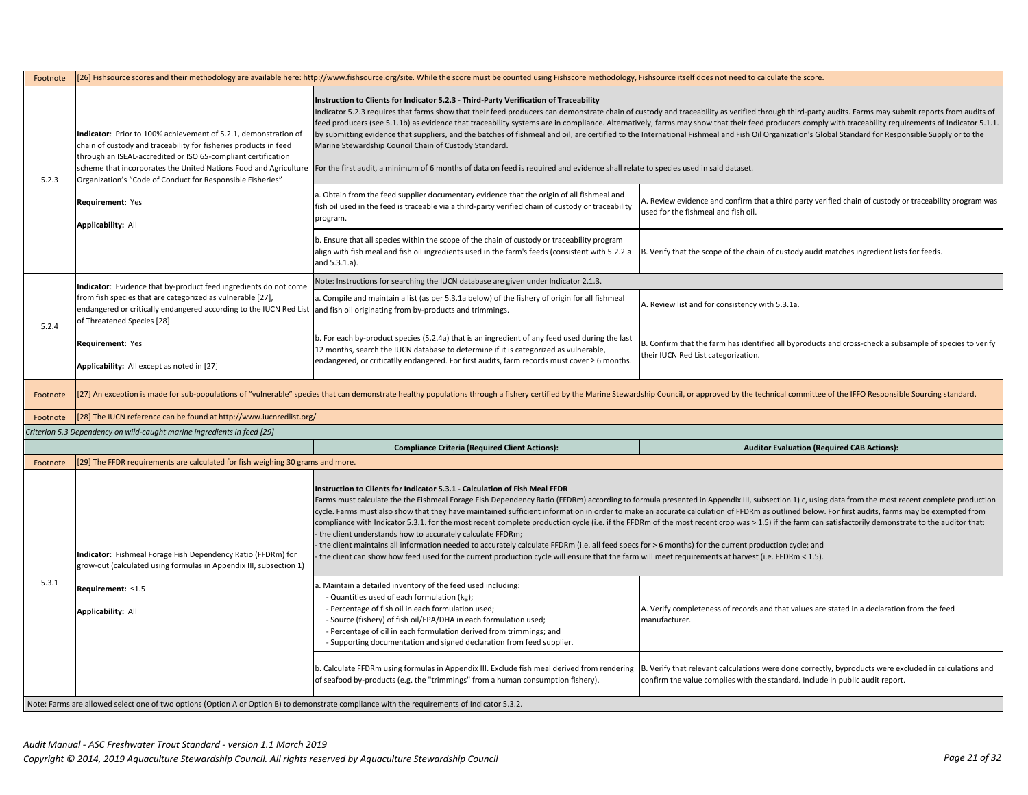| Footnote | [26] Fishsource scores and their methodology are available here: http://www.fishsource.org/site. While the score must be counted using Fishscore methodology, Fishsource itself does not need to calculate the score.                                                                                        |                                                                                                                                                                                                                                                                                                                                                                                                                                                                                                                                                                                                                                                                                                                                                                                                                                                                                                                                                                                                                                                                      |                                                                                                                                                                                                                                                                                                                                                                                                                                                                                                                                                                                                                                                                                                                                                                          |  |
|----------|--------------------------------------------------------------------------------------------------------------------------------------------------------------------------------------------------------------------------------------------------------------------------------------------------------------|----------------------------------------------------------------------------------------------------------------------------------------------------------------------------------------------------------------------------------------------------------------------------------------------------------------------------------------------------------------------------------------------------------------------------------------------------------------------------------------------------------------------------------------------------------------------------------------------------------------------------------------------------------------------------------------------------------------------------------------------------------------------------------------------------------------------------------------------------------------------------------------------------------------------------------------------------------------------------------------------------------------------------------------------------------------------|--------------------------------------------------------------------------------------------------------------------------------------------------------------------------------------------------------------------------------------------------------------------------------------------------------------------------------------------------------------------------------------------------------------------------------------------------------------------------------------------------------------------------------------------------------------------------------------------------------------------------------------------------------------------------------------------------------------------------------------------------------------------------|--|
| 5.2.3    | Indicator: Prior to 100% achievement of 5.2.1, demonstration of<br>chain of custody and traceability for fisheries products in feed<br>through an ISEAL-accredited or ISO 65-compliant certification<br>Organization's "Code of Conduct for Responsible Fisheries"<br>Requirement: Yes<br>Applicability: All | Instruction to Clients for Indicator 5.2.3 - Third-Party Verification of Traceability<br>Marine Stewardship Council Chain of Custody Standard.<br>scheme that incorporates the United Nations Food and Agriculture For the first audit, a minimum of 6 months of data on feed is required and evidence shall relate to species used in said dataset.<br>a. Obtain from the feed supplier documentary evidence that the origin of all fishmeal and<br>fish oil used in the feed is traceable via a third-party verified chain of custody or traceability<br>program.                                                                                                                                                                                                                                                                                                                                                                                                                                                                                                  | Indicator 5.2.3 requires that farms show that their feed producers can demonstrate chain of custody and traceability as verified through third-party audits. Farms may submit reports from audits of<br>feed producers (see 5.1.1b) as evidence that traceability systems are in compliance. Alternatively, farms may show that their feed producers comply with traceability requirements of Indicator 5.1.1.<br>by submitting evidence that suppliers, and the batches of fishmeal and oil, are certified to the International Fishmeal and Fish Oil Organization's Global Standard for Responsible Supply or to the<br>A. Review evidence and confirm that a third party verified chain of custody or traceability program was<br>used for the fishmeal and fish oil. |  |
|          |                                                                                                                                                                                                                                                                                                              | b. Ensure that all species within the scope of the chain of custody or traceability program<br>align with fish meal and fish oil ingredients used in the farm's feeds (consistent with 5.2.2.a<br>and 5.3.1.a).                                                                                                                                                                                                                                                                                                                                                                                                                                                                                                                                                                                                                                                                                                                                                                                                                                                      | B. Verify that the scope of the chain of custody audit matches ingredient lists for feeds.                                                                                                                                                                                                                                                                                                                                                                                                                                                                                                                                                                                                                                                                               |  |
|          | Indicator: Evidence that by-product feed ingredients do not come                                                                                                                                                                                                                                             | Note: Instructions for searching the IUCN database are given under Indicator 2.1.3.                                                                                                                                                                                                                                                                                                                                                                                                                                                                                                                                                                                                                                                                                                                                                                                                                                                                                                                                                                                  |                                                                                                                                                                                                                                                                                                                                                                                                                                                                                                                                                                                                                                                                                                                                                                          |  |
|          | from fish species that are categorized as vulnerable [27],<br>endangered or critically endangered according to the IUCN Red List                                                                                                                                                                             | a. Compile and maintain a list (as per 5.3.1a below) of the fishery of origin for all fishmeal<br>and fish oil originating from by-products and trimmings.                                                                                                                                                                                                                                                                                                                                                                                                                                                                                                                                                                                                                                                                                                                                                                                                                                                                                                           | A. Review list and for consistency with 5.3.1a.                                                                                                                                                                                                                                                                                                                                                                                                                                                                                                                                                                                                                                                                                                                          |  |
| 5.2.4    | of Threatened Species [28]<br>Requirement: Yes<br>Applicability: All except as noted in [27]                                                                                                                                                                                                                 | b. For each by-product species (5.2.4a) that is an ingredient of any feed used during the last<br>12 months, search the IUCN database to determine if it is categorized as vulnerable,<br>endangered, or criticatlly endangered. For first audits, farm records must cover ≥ 6 months.                                                                                                                                                                                                                                                                                                                                                                                                                                                                                                                                                                                                                                                                                                                                                                               | B. Confirm that the farm has identified all byproducts and cross-check a subsample of species to verify<br>their IUCN Red List categorization.                                                                                                                                                                                                                                                                                                                                                                                                                                                                                                                                                                                                                           |  |
| Footnote | [27] An exception is made for sub-populations of "vulnerable" species that can demonstrate healthy populations through a fishery certified by the Marine Stewardship Council, or approved by the technical committee of the IF                                                                               |                                                                                                                                                                                                                                                                                                                                                                                                                                                                                                                                                                                                                                                                                                                                                                                                                                                                                                                                                                                                                                                                      |                                                                                                                                                                                                                                                                                                                                                                                                                                                                                                                                                                                                                                                                                                                                                                          |  |
| Footnote | [28] The IUCN reference can be found at http://www.iucnredlist.org/                                                                                                                                                                                                                                          |                                                                                                                                                                                                                                                                                                                                                                                                                                                                                                                                                                                                                                                                                                                                                                                                                                                                                                                                                                                                                                                                      |                                                                                                                                                                                                                                                                                                                                                                                                                                                                                                                                                                                                                                                                                                                                                                          |  |
|          | Criterion 5.3 Dependency on wild-caught marine ingredients in feed [29]                                                                                                                                                                                                                                      |                                                                                                                                                                                                                                                                                                                                                                                                                                                                                                                                                                                                                                                                                                                                                                                                                                                                                                                                                                                                                                                                      |                                                                                                                                                                                                                                                                                                                                                                                                                                                                                                                                                                                                                                                                                                                                                                          |  |
|          |                                                                                                                                                                                                                                                                                                              | <b>Compliance Criteria (Required Client Actions):</b>                                                                                                                                                                                                                                                                                                                                                                                                                                                                                                                                                                                                                                                                                                                                                                                                                                                                                                                                                                                                                | <b>Auditor Evaluation (Required CAB Actions):</b>                                                                                                                                                                                                                                                                                                                                                                                                                                                                                                                                                                                                                                                                                                                        |  |
| Footnote | [29] The FFDR requirements are calculated for fish weighing 30 grams and more.                                                                                                                                                                                                                               |                                                                                                                                                                                                                                                                                                                                                                                                                                                                                                                                                                                                                                                                                                                                                                                                                                                                                                                                                                                                                                                                      |                                                                                                                                                                                                                                                                                                                                                                                                                                                                                                                                                                                                                                                                                                                                                                          |  |
|          | Indicator: Fishmeal Forage Fish Dependency Ratio (FFDRm) for<br>grow-out (calculated using formulas in Appendix III, subsection 1)                                                                                                                                                                           | Instruction to Clients for Indicator 5.3.1 - Calculation of Fish Meal FFDR<br>Farms must calculate the the Fishmeal Forage Fish Dependency Ratio (FFDRm) according to formula presented in Appendix III, subsection 1) c, using data from the most recent complete production<br>cycle. Farms must also show that they have maintained sufficient information in order to make an accurate calculation of FFDRm as outlined below. For first audits, farms may be exempted from<br>compliance with Indicator 5.3.1. for the most recent complete production cycle (i.e. if the FFDRm of the most recent crop was > 1.5) if the farm can satisfactorily demonstrate to the auditor that:<br>- the client understands how to accurately calculate FFDRm;<br>the client maintains all information needed to accurately calculate FFDRm (i.e. all feed specs for > 6 months) for the current production cycle; and<br>the client can show how feed used for the current production cycle will ensure that the farm will meet requirements at harvest (i.e. FFDRm < 1.5). |                                                                                                                                                                                                                                                                                                                                                                                                                                                                                                                                                                                                                                                                                                                                                                          |  |
| 5.3.1    | Requirement: ≤1.5<br>Applicability: All                                                                                                                                                                                                                                                                      | . Maintain a detailed inventory of the feed used including:<br>- Quantities used of each formulation (kg);<br>- Percentage of fish oil in each formulation used;<br>- Source (fishery) of fish oil/EPA/DHA in each formulation used;<br>- Percentage of oil in each formulation derived from trimmings; and<br>- Supporting documentation and signed declaration from feed supplier.                                                                                                                                                                                                                                                                                                                                                                                                                                                                                                                                                                                                                                                                                 | A. Verify completeness of records and that values are stated in a declaration from the feed<br>manufacturer.                                                                                                                                                                                                                                                                                                                                                                                                                                                                                                                                                                                                                                                             |  |
|          |                                                                                                                                                                                                                                                                                                              | b. Calculate FFDRm using formulas in Appendix III. Exclude fish meal derived from rendering<br>of seafood by-products (e.g. the "trimmings" from a human consumption fishery).                                                                                                                                                                                                                                                                                                                                                                                                                                                                                                                                                                                                                                                                                                                                                                                                                                                                                       | B. Verify that relevant calculations were done correctly, byproducts were excluded in calculations and<br>confirm the value complies with the standard. Include in public audit report.                                                                                                                                                                                                                                                                                                                                                                                                                                                                                                                                                                                  |  |
|          | Note: Farms are allowed select one of two options (Option A or Option B) to demonstrate compliance with the requirements of Indicator 5.3.2.                                                                                                                                                                 |                                                                                                                                                                                                                                                                                                                                                                                                                                                                                                                                                                                                                                                                                                                                                                                                                                                                                                                                                                                                                                                                      |                                                                                                                                                                                                                                                                                                                                                                                                                                                                                                                                                                                                                                                                                                                                                                          |  |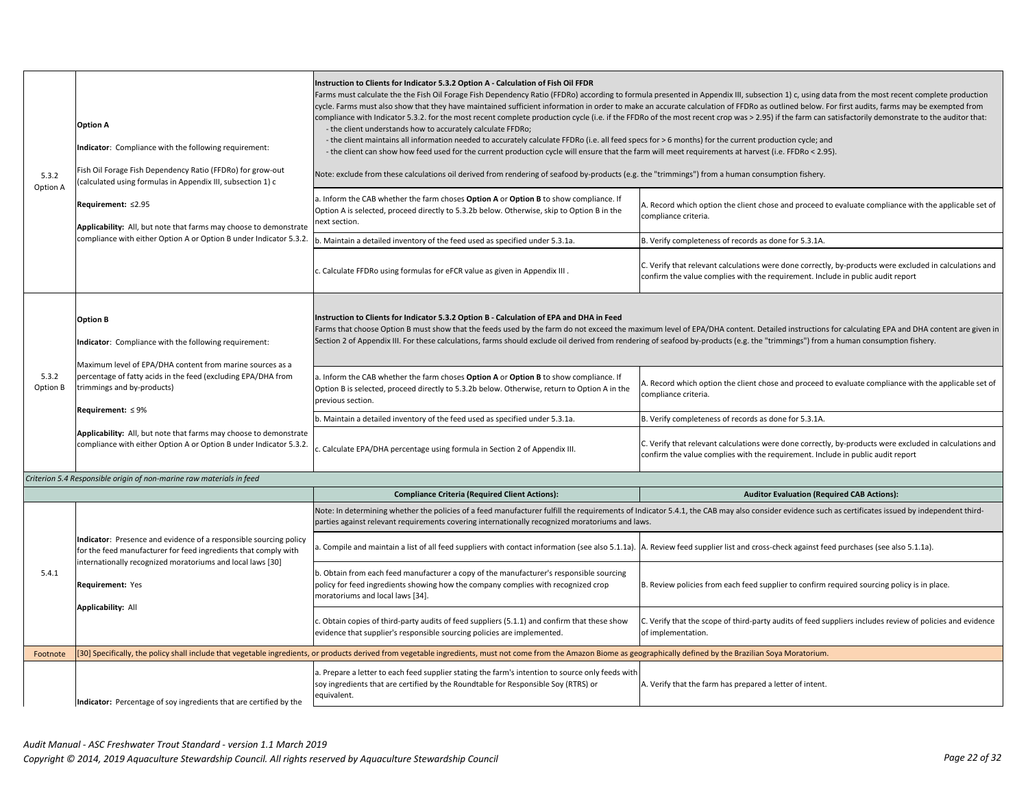| 5.3.2<br>Option A | <b>Option A</b><br>Indicator: Compliance with the following requirement:<br>Fish Oil Forage Fish Dependency Ratio (FFDRo) for grow-out<br>calculated using formulas in Appendix III, subsection 1) c<br>Requirement: ≤2.95<br>Applicability: All, but note that farms may choose to demonstrate<br>compliance with either Option A or Option B under Indicator 5.3.2.                                      | Instruction to Clients for Indicator 5.3.2 Option A - Calculation of Fish Oil FFDR<br>- the client understands how to accurately calculate FFDRo;<br>- the client maintains all information needed to accurately calculate FFDRo (i.e. all feed specs for > 6 months) for the current production cycle; and<br>- the client can show how feed used for the current production cycle will ensure that the farm will meet requirements at harvest (i.e. FFDRo < 2.95).<br>Note: exclude from these calculations oil derived from rendering of seafood by-products (e.g. the "trimmings") from a human consumption fishery.<br>a. Inform the CAB whether the farm choses Option A or Option B to show compliance. If<br>Option A is selected, proceed directly to 5.3.2b below. Otherwise, skip to Option B in the<br>ext section.<br>. Maintain a detailed inventory of the feed used as specified under 5.3.1a.<br>. Calculate FFDRo using formulas for eFCR value as given in Appendix III. | Farms must calculate the the Fish Oil Forage Fish Dependency Ratio (FFDRo) according to formula presented in Appendix III, subsection 1) c, using data from the most recent complete production<br>cycle. Farms must also show that they have maintained sufficient information in order to make an accurate calculation of FFDRo as outlined below. For first audits, farms may be exempted from<br>compliance with Indicator 5.3.2. for the most recent complete production cycle (i.e. if the FFDRo of the most recent crop was > 2.95) if the farm can satisfactorily demonstrate to the auditor that:<br>A. Record which option the client chose and proceed to evaluate compliance with the applicable set of<br>compliance criteria.<br>B. Verify completeness of records as done for 5.3.1A.<br>C. Verify that relevant calculations were done correctly, by-products were excluded in calculations and<br>confirm the value complies with the requirement. Include in public audit report |
|-------------------|------------------------------------------------------------------------------------------------------------------------------------------------------------------------------------------------------------------------------------------------------------------------------------------------------------------------------------------------------------------------------------------------------------|---------------------------------------------------------------------------------------------------------------------------------------------------------------------------------------------------------------------------------------------------------------------------------------------------------------------------------------------------------------------------------------------------------------------------------------------------------------------------------------------------------------------------------------------------------------------------------------------------------------------------------------------------------------------------------------------------------------------------------------------------------------------------------------------------------------------------------------------------------------------------------------------------------------------------------------------------------------------------------------------|----------------------------------------------------------------------------------------------------------------------------------------------------------------------------------------------------------------------------------------------------------------------------------------------------------------------------------------------------------------------------------------------------------------------------------------------------------------------------------------------------------------------------------------------------------------------------------------------------------------------------------------------------------------------------------------------------------------------------------------------------------------------------------------------------------------------------------------------------------------------------------------------------------------------------------------------------------------------------------------------------|
| 5.3.2<br>Option B | <b>Option B</b><br>Indicator: Compliance with the following requirement:<br>Maximum level of EPA/DHA content from marine sources as a<br>percentage of fatty acids in the feed (excluding EPA/DHA from<br>trimmings and by-products)<br>Requirement: $\leq 9\%$<br>Applicability: All, but note that farms may choose to demonstrate<br>compliance with either Option A or Option B under Indicator 5.3.2. | Instruction to Clients for Indicator 5.3.2 Option B - Calculation of EPA and DHA in Feed<br>Section 2 of Appendix III. For these calculations, farms should exclude oil derived from rendering of seafood by-products (e.g. the "trimmings") from a human consumption fishery.<br>I. Inform the CAB whether the farm choses Option A or Option B to show compliance. If<br>Option B is selected, proceed directly to 5.3.2b below. Otherwise, return to Option A in the<br>previous section.<br>. Maintain a detailed inventory of the feed used as specified under 5.3.1a.<br>. Calculate EPA/DHA percentage using formula in Section 2 of Appendix III.                                                                                                                                                                                                                                                                                                                                   | Farms that choose Option B must show that the feeds used by the farm do not exceed the maximum level of EPA/DHA content. Detailed instructions for calculating EPA and DHA content are given in<br>A. Record which option the client chose and proceed to evaluate compliance with the applicable set of<br>compliance criteria.<br>B. Verify completeness of records as done for 5.3.1A.<br>C. Verify that relevant calculations were done correctly, by-products were excluded in calculations and<br>confirm the value complies with the requirement. Include in public audit report                                                                                                                                                                                                                                                                                                                                                                                                            |
|                   | Criterion 5.4 Responsible origin of non-marine raw materials in feed                                                                                                                                                                                                                                                                                                                                       |                                                                                                                                                                                                                                                                                                                                                                                                                                                                                                                                                                                                                                                                                                                                                                                                                                                                                                                                                                                             |                                                                                                                                                                                                                                                                                                                                                                                                                                                                                                                                                                                                                                                                                                                                                                                                                                                                                                                                                                                                    |
|                   |                                                                                                                                                                                                                                                                                                                                                                                                            | <b>Compliance Criteria (Required Client Actions):</b>                                                                                                                                                                                                                                                                                                                                                                                                                                                                                                                                                                                                                                                                                                                                                                                                                                                                                                                                       | <b>Auditor Evaluation (Required CAB Actions):</b>                                                                                                                                                                                                                                                                                                                                                                                                                                                                                                                                                                                                                                                                                                                                                                                                                                                                                                                                                  |
| 5.4.1             | Indicator: Presence and evidence of a responsible sourcing policy<br>for the feed manufacturer for feed ingredients that comply with<br>internationally recognized moratoriums and local laws [30]<br>Requirement: Yes<br>Applicability: All                                                                                                                                                               | parties against relevant requirements covering internationally recognized moratoriums and laws.<br>Compile and maintain a list of all feed suppliers with contact information (see also 5.1.1a).  A. Review feed supplier list and cross-check against feed purchases (see also 5.1.1a).<br>Obtain from each feed manufacturer a copy of the manufacturer's responsible sourcing<br>policy for feed ingredients showing how the company complies with recognized crop<br>moratoriums and local laws [34].<br>. Obtain copies of third-party audits of feed suppliers (5.1.1) and confirm that these show<br>evidence that supplier's responsible sourcing policies are implemented.                                                                                                                                                                                                                                                                                                         | Note: In determining whether the policies of a feed manufacturer fulfill the requirements of Indicator 5.4.1, the CAB may also consider evidence such as certificates issued by independent third-<br>B. Review policies from each feed supplier to confirm required sourcing policy is in place.<br>C. Verify that the scope of third-party audits of feed suppliers includes review of policies and evidence<br>of implementation.                                                                                                                                                                                                                                                                                                                                                                                                                                                                                                                                                               |
| Footnote          |                                                                                                                                                                                                                                                                                                                                                                                                            | [30] Specifically, the policy shall include that vegetable ingredients, or products derived from vegetable ingredients, must not come from the Amazon Biome as geographically defined by the Brazilian Soya Moratorium.                                                                                                                                                                                                                                                                                                                                                                                                                                                                                                                                                                                                                                                                                                                                                                     |                                                                                                                                                                                                                                                                                                                                                                                                                                                                                                                                                                                                                                                                                                                                                                                                                                                                                                                                                                                                    |
|                   | Indicator: Percentage of soy ingredients that are certified by the                                                                                                                                                                                                                                                                                                                                         | a. Prepare a letter to each feed supplier stating the farm's intention to source only feeds with<br>soy ingredients that are certified by the Roundtable for Responsible Soy (RTRS) or<br>equivalent.                                                                                                                                                                                                                                                                                                                                                                                                                                                                                                                                                                                                                                                                                                                                                                                       | A. Verify that the farm has prepared a letter of intent.                                                                                                                                                                                                                                                                                                                                                                                                                                                                                                                                                                                                                                                                                                                                                                                                                                                                                                                                           |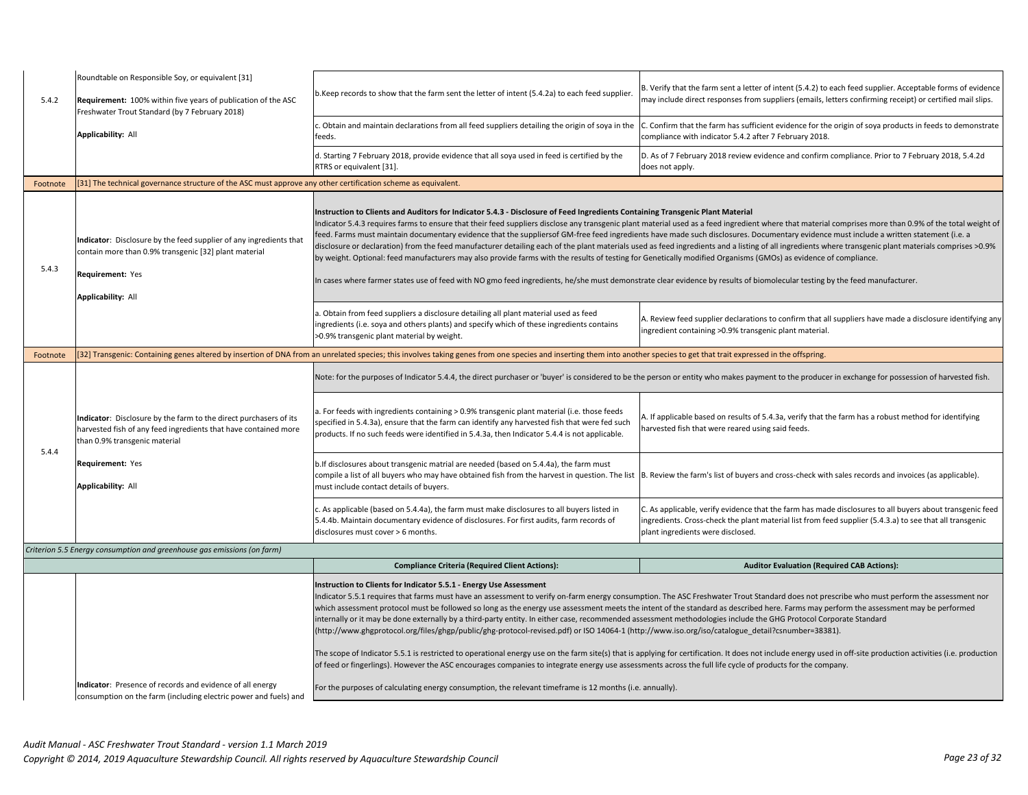| 5.4.2    | Roundtable on Responsible Soy, or equivalent [31]<br>Requirement: 100% within five years of publication of the ASC<br>Freshwater Trout Standard (by 7 February 2018)                                | o.Keep records to show that the farm sent the letter of intent (5.4.2a) to each feed supplier.                                                                                                                                                                                                                                                                                                                                                                                                                                                                                                                                                                                                                   | B. Verify that the farm sent a letter of intent (5.4.2) to each feed supplier. Acceptable forms of evidence<br>may include direct responses from suppliers (emails, letters confirming receipt) or certified mail slips.                                                                                                                                                                                                                                                                                                                                                                                                                                                                                                                                                         |
|----------|-----------------------------------------------------------------------------------------------------------------------------------------------------------------------------------------------------|------------------------------------------------------------------------------------------------------------------------------------------------------------------------------------------------------------------------------------------------------------------------------------------------------------------------------------------------------------------------------------------------------------------------------------------------------------------------------------------------------------------------------------------------------------------------------------------------------------------------------------------------------------------------------------------------------------------|----------------------------------------------------------------------------------------------------------------------------------------------------------------------------------------------------------------------------------------------------------------------------------------------------------------------------------------------------------------------------------------------------------------------------------------------------------------------------------------------------------------------------------------------------------------------------------------------------------------------------------------------------------------------------------------------------------------------------------------------------------------------------------|
|          | <b>Applicability: All</b>                                                                                                                                                                           | . Obtain and maintain declarations from all feed suppliers detailing the origin of soya in the<br>feeds.                                                                                                                                                                                                                                                                                                                                                                                                                                                                                                                                                                                                         | C. Confirm that the farm has sufficient evidence for the origin of soya products in feeds to demonstrate<br>compliance with indicator 5.4.2 after 7 February 2018.                                                                                                                                                                                                                                                                                                                                                                                                                                                                                                                                                                                                               |
|          |                                                                                                                                                                                                     | d. Starting 7 February 2018, provide evidence that all soya used in feed is certified by the<br>RTRS or equivalent [31].                                                                                                                                                                                                                                                                                                                                                                                                                                                                                                                                                                                         | D. As of 7 February 2018 review evidence and confirm compliance. Prior to 7 February 2018, 5.4.2d<br>does not apply.                                                                                                                                                                                                                                                                                                                                                                                                                                                                                                                                                                                                                                                             |
| Footnote | 31] The technical governance structure of the ASC must approve any other certification scheme as equivalent.                                                                                        |                                                                                                                                                                                                                                                                                                                                                                                                                                                                                                                                                                                                                                                                                                                  |                                                                                                                                                                                                                                                                                                                                                                                                                                                                                                                                                                                                                                                                                                                                                                                  |
| 5.4.3    | Indicator: Disclosure by the feed supplier of any ingredients that<br>contain more than 0.9% transgenic [32] plant material<br>Requirement: Yes<br>Applicability: All                               | Instruction to Clients and Auditors for Indicator 5.4.3 - Disclosure of Feed Ingredients Containing Transgenic Plant Material<br>by weight. Optional: feed manufacturers may also provide farms with the results of testing for Genetically modified Organisms (GMOs) as evidence of compliance.<br>n cases where farmer states use of feed with NO gmo feed ingredients, he/she must demonstrate clear evidence by results of biomolecular testing by the feed manufacturer.<br>a. Obtain from feed suppliers a disclosure detailing all plant material used as feed<br>ingredients (i.e. soya and others plants) and specify which of these ingredients contains<br>>0.9% transgenic plant material by weight. | ndicator 5.4.3 requires farms to ensure that their feed suppliers disclose any transgenic plant material used as a feed ingredient where that material comprises more than 0.9% of the total weight of<br>feed. Farms must maintain documentary evidence that the suppliersof GM-free feed ingredients have made such disclosures. Documentary evidence must include a written statement (i.e. a<br>disclosure or declaration) from the feed manufacturer detailing each of the plant materials used as feed ingredients and a listing of all ingredients where transgenic plant materials comprises >0.9%<br>A. Review feed supplier declarations to confirm that all suppliers have made a disclosure identifying any<br>ngredient containing >0.9% transgenic plant material. |
| Footnote |                                                                                                                                                                                                     | [32] Transgenic: Containing genes altered by insertion of DNA from an unrelated species; this involves taking genes from one species and inserting them into another species to get that trait expressed in the offspring.                                                                                                                                                                                                                                                                                                                                                                                                                                                                                       |                                                                                                                                                                                                                                                                                                                                                                                                                                                                                                                                                                                                                                                                                                                                                                                  |
|          | Note: for the purposes of Indicator 5.4.4, the direct purchaser or 'buyer' is considered to be the person or entity who makes payment to the producer in exchange for possession of harvested fish. |                                                                                                                                                                                                                                                                                                                                                                                                                                                                                                                                                                                                                                                                                                                  |                                                                                                                                                                                                                                                                                                                                                                                                                                                                                                                                                                                                                                                                                                                                                                                  |
| 5.4.4    | Indicator: Disclosure by the farm to the direct purchasers of its<br>harvested fish of any feed ingredients that have contained more<br>than 0.9% transgenic material                               | a. For feeds with ingredients containing > 0.9% transgenic plant material (i.e. those feeds<br>specified in 5.4.3a), ensure that the farm can identify any harvested fish that were fed such<br>products. If no such feeds were identified in 5.4.3a, then Indicator 5.4.4 is not applicable.                                                                                                                                                                                                                                                                                                                                                                                                                    | A. If applicable based on results of 5.4.3a, verify that the farm has a robust method for identifying<br>narvested fish that were reared using said feeds.                                                                                                                                                                                                                                                                                                                                                                                                                                                                                                                                                                                                                       |
|          | Requirement: Yes<br><b>Applicability: All</b>                                                                                                                                                       | b. If disclosures about transgenic matrial are needed (based on 5.4.4a), the farm must<br>must include contact details of buyers.                                                                                                                                                                                                                                                                                                                                                                                                                                                                                                                                                                                | compile a list of all buyers who may have obtained fish from the harvest in question. The list  B. Review the farm's list of buyers and cross-check with sales records and invoices (as applicable).                                                                                                                                                                                                                                                                                                                                                                                                                                                                                                                                                                             |
|          |                                                                                                                                                                                                     | c. As applicable (based on 5.4.4a), the farm must make disclosures to all buyers listed in<br>5.4.4b. Maintain documentary evidence of disclosures. For first audits, farm records of<br>disclosures must cover > 6 months.                                                                                                                                                                                                                                                                                                                                                                                                                                                                                      | C. As applicable, verify evidence that the farm has made disclosures to all buyers about transgenic feed<br>ingredients. Cross-check the plant material list from feed supplier (5.4.3.a) to see that all transgenic<br>plant ingredients were disclosed.                                                                                                                                                                                                                                                                                                                                                                                                                                                                                                                        |
|          | Criterion 5.5 Energy consumption and greenhouse gas emissions (on farm)                                                                                                                             |                                                                                                                                                                                                                                                                                                                                                                                                                                                                                                                                                                                                                                                                                                                  |                                                                                                                                                                                                                                                                                                                                                                                                                                                                                                                                                                                                                                                                                                                                                                                  |
|          |                                                                                                                                                                                                     | <b>Compliance Criteria (Required Client Actions):</b>                                                                                                                                                                                                                                                                                                                                                                                                                                                                                                                                                                                                                                                            | <b>Auditor Evaluation (Required CAB Actions):</b>                                                                                                                                                                                                                                                                                                                                                                                                                                                                                                                                                                                                                                                                                                                                |
|          |                                                                                                                                                                                                     | Instruction to Clients for Indicator 5.5.1 - Energy Use Assessment<br>internally or it may be done externally by a third-party entity. In either case, recommended assessment methodologies include the GHG Protocol Corporate Standard<br>.(http://www.ghgprotocol.org/files/ghgp/public/ghg-protocol-revised.pdf) or ISO 14064-1 (http://www.iso.org/iso/catalogue detail?csnumber=38381).<br>of feed or fingerlings). However the ASC encourages companies to integrate energy use assessments across the full life cycle of products for the company.                                                                                                                                                        | Indicator 5.5.1 requires that farms must have an assessment to verify on-farm energy consumption. The ASC Freshwater Trout Standard does not prescribe who must perform the assessment nor<br>which assessment protocol must be followed so long as the energy use assessment meets the intent of the standard as described here. Farms may perform the assessment may be performed<br>The scope of Indicator 5.5.1 is restricted to operational energy use on the farm site(s) that is applying for certification. It does not include energy used in off-site production activities (i.e. production                                                                                                                                                                           |
|          | Indicator: Presence of records and evidence of all energy<br>consumption on the farm (including electric power and fuels) and                                                                       | For the purposes of calculating energy consumption, the relevant timeframe is 12 months (i.e. annually).                                                                                                                                                                                                                                                                                                                                                                                                                                                                                                                                                                                                         |                                                                                                                                                                                                                                                                                                                                                                                                                                                                                                                                                                                                                                                                                                                                                                                  |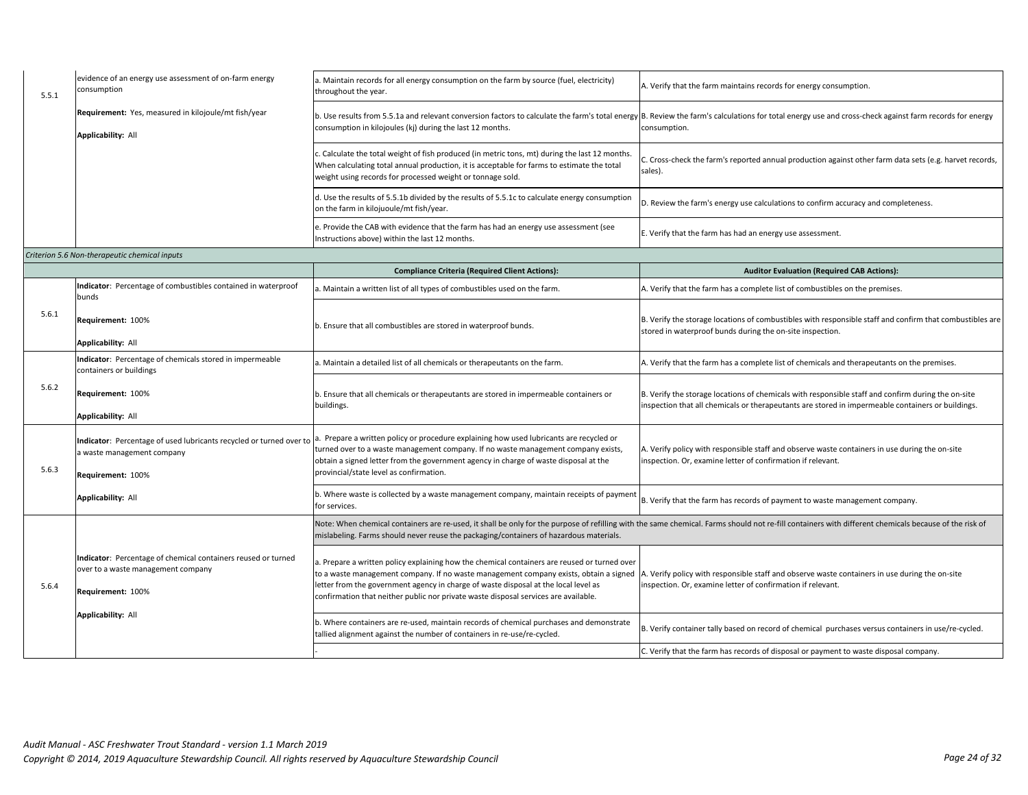| 5.5.1 | evidence of an energy use assessment of on-farm energy<br>consumption      | a. Maintain records for all energy consumption on the farm by source (fuel, electricity)<br>throughout the year.                                                                                                                                           | A. Verify that the farm maintains records for energy consumption.                                                                                                                                                      |
|-------|----------------------------------------------------------------------------|------------------------------------------------------------------------------------------------------------------------------------------------------------------------------------------------------------------------------------------------------------|------------------------------------------------------------------------------------------------------------------------------------------------------------------------------------------------------------------------|
|       | Requirement: Yes, measured in kilojoule/mt fish/year<br>Applicability: All | consumption in kilojoules (kj) during the last 12 months.                                                                                                                                                                                                  | b. Use results from 5.5.1a and relevant conversion factors to calculate the farm's total energy B. Review the farm's calculations for total energy use and cross-check against farm records for energy<br>consumption. |
|       |                                                                            | c. Calculate the total weight of fish produced (in metric tons, mt) during the last 12 months.<br>When calculating total annual production, it is acceptable for farms to estimate the total<br>weight using records for processed weight or tonnage sold. | C. Cross-check the farm's reported annual production against other farm data sets (e.g. harvet records,<br>sales).                                                                                                     |
|       |                                                                            | d. Use the results of 5.5.1b divided by the results of 5.5.1c to calculate energy consumption<br>on the farm in kilojuoule/mt fish/year.                                                                                                                   | D. Review the farm's energy use calculations to confirm accuracy and completeness.                                                                                                                                     |
|       |                                                                            | e. Provide the CAB with evidence that the farm has had an energy use assessment (see<br>Instructions above) within the last 12 months.                                                                                                                     | E. Verify that the farm has had an energy use assessment.                                                                                                                                                              |

## *Criterion 5.6 Non-therapeutic chemical inputs*

|       |                                                                                                                          | <b>Compliance Criteria (Required Client Actions):</b>                                                                                                                                                                                                                                                                                                               | <b>Auditor Evaluation (Required CAB Actions):</b>                                                                                                                                                       |
|-------|--------------------------------------------------------------------------------------------------------------------------|---------------------------------------------------------------------------------------------------------------------------------------------------------------------------------------------------------------------------------------------------------------------------------------------------------------------------------------------------------------------|---------------------------------------------------------------------------------------------------------------------------------------------------------------------------------------------------------|
|       | Indicator: Percentage of combustibles contained in waterproof<br>bunds                                                   | a. Maintain a written list of all types of combustibles used on the farm.                                                                                                                                                                                                                                                                                           | A. Verify that the farm has a complete list of combustibles on the premises.                                                                                                                            |
| 5.6.1 | Requirement: 100%<br><b>Applicability: All</b>                                                                           | b. Ensure that all combustibles are stored in waterproof bunds.                                                                                                                                                                                                                                                                                                     | B. Verify the storage locations of combustibles with responsible staff and confirm that combustibles are<br>stored in waterproof bunds during the on-site inspection.                                   |
|       | Indicator: Percentage of chemicals stored in impermeable<br>containers or buildings                                      | a. Maintain a detailed list of all chemicals or therapeutants on the farm.                                                                                                                                                                                                                                                                                          | A. Verify that the farm has a complete list of chemicals and therapeutants on the premises.                                                                                                             |
| 5.6.2 | Requirement: 100%<br>Applicability: All                                                                                  | b. Ensure that all chemicals or therapeutants are stored in impermeable containers or<br>buildings.                                                                                                                                                                                                                                                                 | B. Verify the storage locations of chemicals with responsible staff and confirm during the on-site<br>inspection that all chemicals or therapeutants are stored in impermeable containers or buildings. |
| 5.6.3 | Indicator: Percentage of used lubricants recycled or turned over to<br>a waste management company<br>Requirement: 100%   | Prepare a written policy or procedure explaining how used lubricants are recycled or<br>turned over to a waste management company. If no waste management company exists,<br>obtain a signed letter from the government agency in charge of waste disposal at the<br>provincial/state level as confirmation.                                                        | A. Verify policy with responsible staff and observe waste containers in use during the on-site<br>inspection. Or, examine letter of confirmation if relevant.                                           |
|       | <b>Applicability: All</b>                                                                                                | b. Where waste is collected by a waste management company, maintain receipts of paymen<br>for services.                                                                                                                                                                                                                                                             | B. Verify that the farm has records of payment to waste management company.                                                                                                                             |
|       |                                                                                                                          | mislabeling. Farms should never reuse the packaging/containers of hazardous materials.                                                                                                                                                                                                                                                                              | Note: When chemical containers are re-used, it shall be only for the purpose of refilling with the same chemical. Farms should not re-fill containers with different chemicals because of the risk of   |
| 5.6.4 | Indicator: Percentage of chemical containers reused or turned<br>over to a waste management company<br>Requirement: 100% | a. Prepare a written policy explaining how the chemical containers are reused or turned over<br>to a waste management company. If no waste management company exists, obtain a signed<br>letter from the government agency in charge of waste disposal at the local level as<br>confirmation that neither public nor private waste disposal services are available. | A. Verify policy with responsible staff and observe waste containers in use during the on-site<br>inspection. Or, examine letter of confirmation if relevant.                                           |
|       | <b>Applicability: All</b>                                                                                                | b. Where containers are re-used, maintain records of chemical purchases and demonstrate<br>tallied alignment against the number of containers in re-use/re-cycled.                                                                                                                                                                                                  | B. Verify container tally based on record of chemical purchases versus containers in use/re-cycled.                                                                                                     |
|       |                                                                                                                          |                                                                                                                                                                                                                                                                                                                                                                     | C. Verify that the farm has records of disposal or payment to waste disposal company.                                                                                                                   |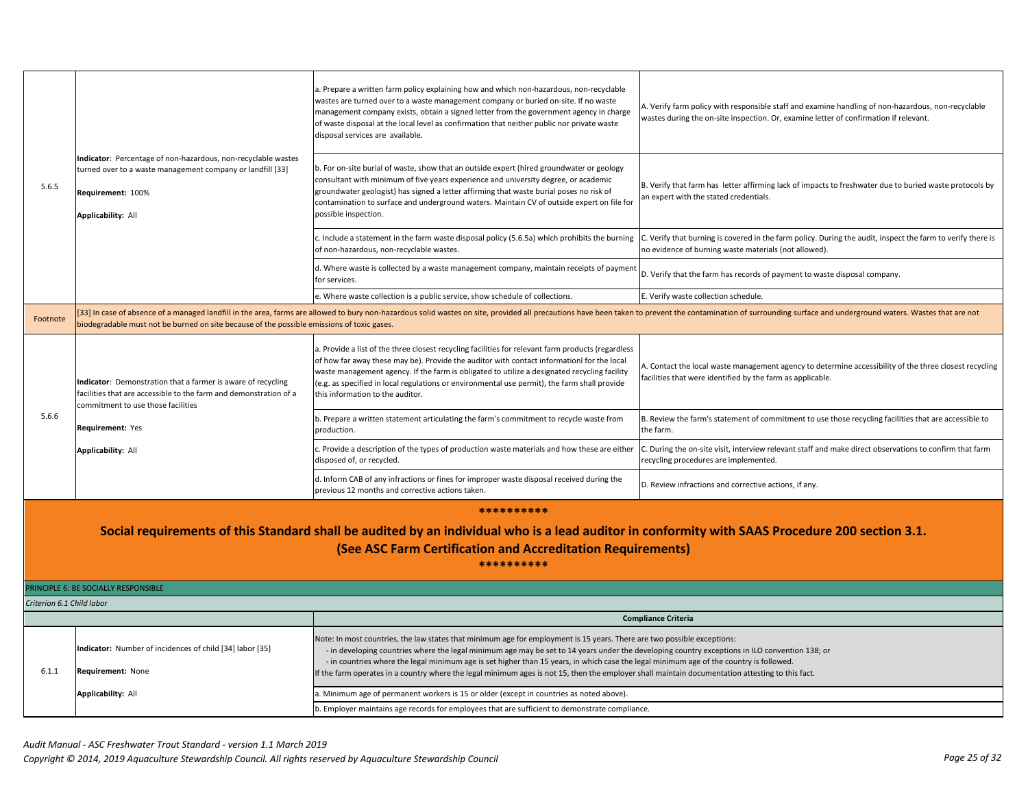| 5.6.5                                                                                                                                                                                                                                      | Indicator: Percentage of non-hazardous, non-recyclable wastes<br>turned over to a waste management company or landfill [33]<br>Requirement: 100%<br><b>Applicability: All</b> | a. Prepare a written farm policy explaining how and which non-hazardous, non-recyclable<br>wastes are turned over to a waste management company or buried on-site. If no waste<br>management company exists, obtain a signed letter from the government agency in charge<br>of waste disposal at the local level as confirmation that neither public nor private waste<br>disposal services are available.<br>b. For on-site burial of waste, show that an outside expert (hired groundwater or geology<br>consultant with minimum of five years experience and university degree, or academic<br>groundwater geologist) has signed a letter affirming that waste burial poses no risk of<br>contamination to surface and underground waters. Maintain CV of outside expert on file for<br>possible inspection.<br>c. Include a statement in the farm waste disposal policy (5.6.5a) which prohibits the burning | A. Verify farm policy with responsible staff and examine handling of non-hazardous, non-recyclable<br>wastes during the on-site inspection. Or, examine letter of confirmation if relevant.<br>B. Verify that farm has letter affirming lack of impacts to freshwater due to buried waste protocols by<br>an expert with the stated credentials.<br>C. Verify that burning is covered in the farm policy. During the audit, inspect the farm to verify there is |
|--------------------------------------------------------------------------------------------------------------------------------------------------------------------------------------------------------------------------------------------|-------------------------------------------------------------------------------------------------------------------------------------------------------------------------------|------------------------------------------------------------------------------------------------------------------------------------------------------------------------------------------------------------------------------------------------------------------------------------------------------------------------------------------------------------------------------------------------------------------------------------------------------------------------------------------------------------------------------------------------------------------------------------------------------------------------------------------------------------------------------------------------------------------------------------------------------------------------------------------------------------------------------------------------------------------------------------------------------------------|-----------------------------------------------------------------------------------------------------------------------------------------------------------------------------------------------------------------------------------------------------------------------------------------------------------------------------------------------------------------------------------------------------------------------------------------------------------------|
|                                                                                                                                                                                                                                            |                                                                                                                                                                               | of non-hazardous, non-recyclable wastes.                                                                                                                                                                                                                                                                                                                                                                                                                                                                                                                                                                                                                                                                                                                                                                                                                                                                         | no evidence of burning waste materials (not allowed).                                                                                                                                                                                                                                                                                                                                                                                                           |
|                                                                                                                                                                                                                                            |                                                                                                                                                                               | d. Where waste is collected by a waste management company, maintain receipts of payment<br>for services.                                                                                                                                                                                                                                                                                                                                                                                                                                                                                                                                                                                                                                                                                                                                                                                                         | D. Verify that the farm has records of payment to waste disposal company.                                                                                                                                                                                                                                                                                                                                                                                       |
|                                                                                                                                                                                                                                            |                                                                                                                                                                               | e. Where waste collection is a public service, show schedule of collections.                                                                                                                                                                                                                                                                                                                                                                                                                                                                                                                                                                                                                                                                                                                                                                                                                                     | E. Verify waste collection schedule.                                                                                                                                                                                                                                                                                                                                                                                                                            |
| Footnote                                                                                                                                                                                                                                   | biodegradable must not be burned on site because of the possible emissions of toxic gases.                                                                                    |                                                                                                                                                                                                                                                                                                                                                                                                                                                                                                                                                                                                                                                                                                                                                                                                                                                                                                                  | [33] In case of absence of a managed landfill in the area, farms are allowed to bury non-hazardous solid wastes on site, provided all precautions have been taken to prevent the contamination of surrounding surface and unde                                                                                                                                                                                                                                  |
|                                                                                                                                                                                                                                            | Indicator: Demonstration that a farmer is aware of recycling<br>facilities that are accessible to the farm and demonstration of a<br>commitment to use those facilities       | a. Provide a list of the three closest recycling facilities for relevant farm products (regardless<br>of how far away these may be). Provide the auditor with contact informationl for the local<br>waste management agency. If the farm is obligated to utilize a designated recycling facility<br>(e.g. as specified in local regulations or environmental use permit), the farm shall provide<br>this information to the auditor.                                                                                                                                                                                                                                                                                                                                                                                                                                                                             | A. Contact the local waste management agency to determine accessibility of the three closest recycling<br>facilities that were identified by the farm as applicable.                                                                                                                                                                                                                                                                                            |
| 5.6.6                                                                                                                                                                                                                                      | Requirement: Yes                                                                                                                                                              | b. Prepare a written statement articulating the farm's commitment to recycle waste from<br>production.                                                                                                                                                                                                                                                                                                                                                                                                                                                                                                                                                                                                                                                                                                                                                                                                           | B. Review the farm's statement of commitment to use those recycling facilities that are accessible to<br>the farm.                                                                                                                                                                                                                                                                                                                                              |
|                                                                                                                                                                                                                                            | <b>Applicability: All</b>                                                                                                                                                     | c. Provide a description of the types of production waste materials and how these are either<br>disposed of, or recycled.                                                                                                                                                                                                                                                                                                                                                                                                                                                                                                                                                                                                                                                                                                                                                                                        | During the on-site visit, interview relevant staff and make direct observations to confirm that farm<br>recycling procedures are implemented.                                                                                                                                                                                                                                                                                                                   |
|                                                                                                                                                                                                                                            |                                                                                                                                                                               | d. Inform CAB of any infractions or fines for improper waste disposal received during the<br>previous 12 months and corrective actions taken.                                                                                                                                                                                                                                                                                                                                                                                                                                                                                                                                                                                                                                                                                                                                                                    | D. Review infractions and corrective actions, if any.                                                                                                                                                                                                                                                                                                                                                                                                           |
| **********<br>Social requirements of this Standard shall be audited by an individual who is a lead auditor in conformity with SAAS Procedure 200 section 3.1.<br>(See ASC Farm Certification and Accreditation Requirements)<br>********** |                                                                                                                                                                               |                                                                                                                                                                                                                                                                                                                                                                                                                                                                                                                                                                                                                                                                                                                                                                                                                                                                                                                  |                                                                                                                                                                                                                                                                                                                                                                                                                                                                 |
|                                                                                                                                                                                                                                            | PRINCIPLE 6: BE SOCIALLY RESPONSIBLE                                                                                                                                          |                                                                                                                                                                                                                                                                                                                                                                                                                                                                                                                                                                                                                                                                                                                                                                                                                                                                                                                  |                                                                                                                                                                                                                                                                                                                                                                                                                                                                 |
| Criterion 6.1 Child labor                                                                                                                                                                                                                  |                                                                                                                                                                               |                                                                                                                                                                                                                                                                                                                                                                                                                                                                                                                                                                                                                                                                                                                                                                                                                                                                                                                  |                                                                                                                                                                                                                                                                                                                                                                                                                                                                 |
|                                                                                                                                                                                                                                            |                                                                                                                                                                               |                                                                                                                                                                                                                                                                                                                                                                                                                                                                                                                                                                                                                                                                                                                                                                                                                                                                                                                  | <b>Compliance Criteria</b>                                                                                                                                                                                                                                                                                                                                                                                                                                      |
| 6.1.1                                                                                                                                                                                                                                      | Indicator: Number of incidences of child [34] labor [35]<br>Requirement: None                                                                                                 | Note: In most countries, the law states that minimum age for employment is 15 years. There are two possible exceptions:<br>- in developing countries where the legal minimum age may be set to 14 years under the developing country exceptions in ILO convention 138; or<br>- in countries where the legal minimum age is set higher than 15 years, in which case the legal minimum age of the country is followed.<br>f the farm operates in a country where the legal minimum ages is not 15, then the employer shall maintain documentation attesting to this fact.                                                                                                                                                                                                                                                                                                                                          |                                                                                                                                                                                                                                                                                                                                                                                                                                                                 |
|                                                                                                                                                                                                                                            | <b>Applicability: All</b>                                                                                                                                                     | . Minimum age of permanent workers is 15 or older (except in countries as noted above).                                                                                                                                                                                                                                                                                                                                                                                                                                                                                                                                                                                                                                                                                                                                                                                                                          |                                                                                                                                                                                                                                                                                                                                                                                                                                                                 |
|                                                                                                                                                                                                                                            |                                                                                                                                                                               | b. Employer maintains age records for employees that are sufficient to demonstrate compliance.                                                                                                                                                                                                                                                                                                                                                                                                                                                                                                                                                                                                                                                                                                                                                                                                                   |                                                                                                                                                                                                                                                                                                                                                                                                                                                                 |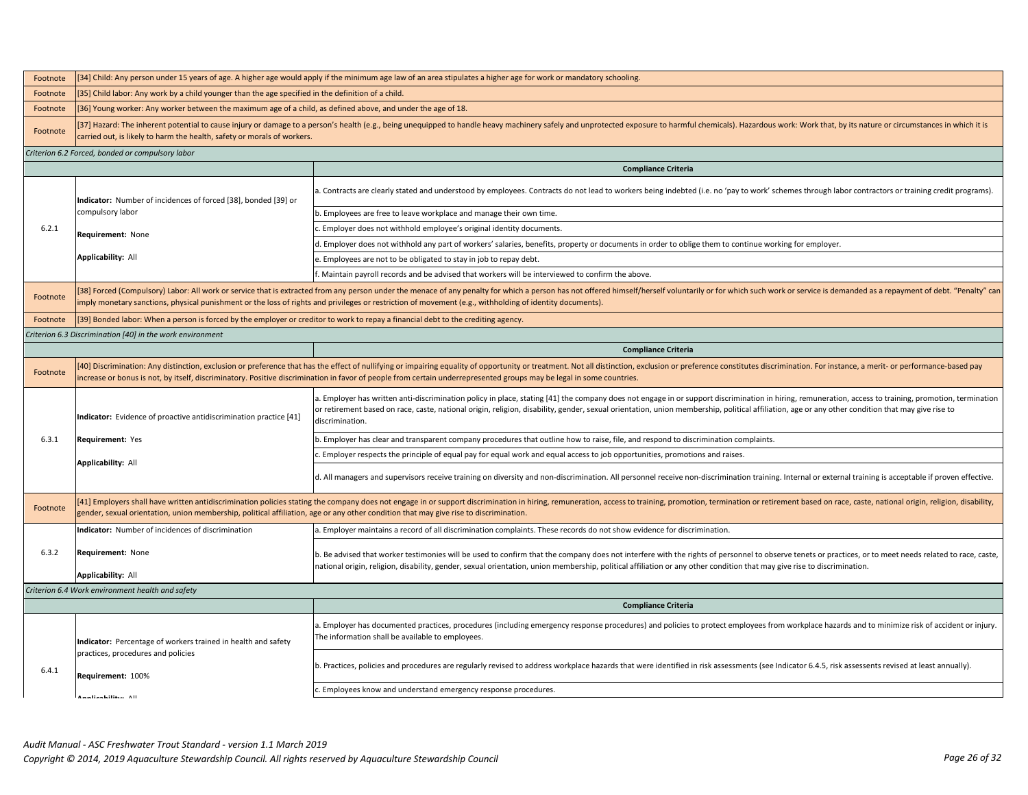| Footnote | [34] Child: Any person under 15 years of age. A higher age would apply if the minimum age law of an area stipulates a higher age for work or mandatory schooling                                                                                                                                                                                                        |                                                                                                                                                                                                                                                                                                                                                                                                                              |  |
|----------|-------------------------------------------------------------------------------------------------------------------------------------------------------------------------------------------------------------------------------------------------------------------------------------------------------------------------------------------------------------------------|------------------------------------------------------------------------------------------------------------------------------------------------------------------------------------------------------------------------------------------------------------------------------------------------------------------------------------------------------------------------------------------------------------------------------|--|
| Footnote | [35] Child labor: Any work by a child younger than the age specified in the definition of a child.                                                                                                                                                                                                                                                                      |                                                                                                                                                                                                                                                                                                                                                                                                                              |  |
| Footnote | [36] Young worker: Any worker between the maximum age of a child, as defined above, and under the age of 18.                                                                                                                                                                                                                                                            |                                                                                                                                                                                                                                                                                                                                                                                                                              |  |
| Footnote | [37] Hazard: The inherent potential to cause injury or damage to a person's health (e.g., being unequipped to handle heavy machinery safely and unprotected exposure to harmful chemicals). Hazardous work: Work that, by its<br>carried out, is likely to harm the health, safety or morals of workers.                                                                |                                                                                                                                                                                                                                                                                                                                                                                                                              |  |
|          | Criterion 6.2 Forced, bonded or compulsory labor                                                                                                                                                                                                                                                                                                                        |                                                                                                                                                                                                                                                                                                                                                                                                                              |  |
|          |                                                                                                                                                                                                                                                                                                                                                                         | <b>Compliance Criteria</b>                                                                                                                                                                                                                                                                                                                                                                                                   |  |
|          | Indicator: Number of incidences of forced [38], bonded [39] or                                                                                                                                                                                                                                                                                                          | . Contracts are clearly stated and understood by employees. Contracts do not lead to workers being indebted (i.e. no 'pay to work' schemes through labor contractors or training credit programs).                                                                                                                                                                                                                           |  |
|          | compulsory labor                                                                                                                                                                                                                                                                                                                                                        | b. Employees are free to leave workplace and manage their own time.                                                                                                                                                                                                                                                                                                                                                          |  |
| 6.2.1    | Requirement: None                                                                                                                                                                                                                                                                                                                                                       | Employer does not withhold employee's original identity documents.                                                                                                                                                                                                                                                                                                                                                           |  |
|          |                                                                                                                                                                                                                                                                                                                                                                         | d. Employer does not withhold any part of workers' salaries, benefits, property or documents in order to oblige them to continue working for employer.                                                                                                                                                                                                                                                                       |  |
|          | Applicability: All                                                                                                                                                                                                                                                                                                                                                      | . Employees are not to be obligated to stay in job to repay debt.                                                                                                                                                                                                                                                                                                                                                            |  |
|          |                                                                                                                                                                                                                                                                                                                                                                         | . Maintain payroll records and be advised that workers will be interviewed to confirm the above.                                                                                                                                                                                                                                                                                                                             |  |
| Footnote |                                                                                                                                                                                                                                                                                                                                                                         | [38] Forced (Compulsory) Labor: All work or service that is extracted from any person under the menace of any penalty for which a person has not offered himself/herself voluntarily or for which such work or service is dema<br>mply monetary sanctions, physical punishment or the loss of rights and privileges or restriction of movement (e.g., withholding of identity documents).                                    |  |
| Footnote | [39] Bonded labor: When a person is forced by the employer or creditor to work to repay a financial debt to the crediting agency.                                                                                                                                                                                                                                       |                                                                                                                                                                                                                                                                                                                                                                                                                              |  |
|          | Criterion 6.3 Discrimination [40] in the work environment                                                                                                                                                                                                                                                                                                               |                                                                                                                                                                                                                                                                                                                                                                                                                              |  |
|          |                                                                                                                                                                                                                                                                                                                                                                         | <b>Compliance Criteria</b>                                                                                                                                                                                                                                                                                                                                                                                                   |  |
| Footnote |                                                                                                                                                                                                                                                                                                                                                                         | [40] Discrimination: Any distinction, exclusion or preference that has the effect of nullifying or impairing equality of opportunity or treatment. Not all distinction, exclusion or preference constitutes discrimination. Fo<br>ncrease or bonus is not, by itself, discriminatory. Positive discrimination in favor of people from certain underrepresented groups may be legal in some countries.                        |  |
|          | Indicator: Evidence of proactive antidiscrimination practice [41]                                                                                                                                                                                                                                                                                                       | . Employer has written anti-discrimination policy in place, stating [41] the company does not engage in or support discrimination in hiring, remuneration, access to training, promotion, termination<br>or retirement based on race, caste, national origin, religion, disability, gender, sexual orientation, union membership, political affiliation, age or any other condition that may give rise to<br>discrimination. |  |
| 6.3.1    | Requirement: Yes                                                                                                                                                                                                                                                                                                                                                        | . Employer has clear and transparent company procedures that outline how to raise, file, and respond to discrimination complaints.                                                                                                                                                                                                                                                                                           |  |
|          |                                                                                                                                                                                                                                                                                                                                                                         | Employer respects the principle of equal pay for equal work and equal access to job opportunities, promotions and raises.                                                                                                                                                                                                                                                                                                    |  |
|          | Applicability: All                                                                                                                                                                                                                                                                                                                                                      | d. All managers and supervisors receive training on diversity and non-discrimination. All personnel receive non-discrimination training. Internal or external training is acceptable if proven effective.                                                                                                                                                                                                                    |  |
| Footnote | [41] Employers shall have written antidiscrimination policies stating the company does not engage in or support discrimination in hiring, remuneration, access to training, promotion, termination or retirement based on race<br>gender, sexual orientation, union membership, political affiliation, age or any other condition that may give rise to discrimination. |                                                                                                                                                                                                                                                                                                                                                                                                                              |  |
|          | Indicator: Number of incidences of discrimination                                                                                                                                                                                                                                                                                                                       | . Employer maintains a record of all discrimination complaints. These records do not show evidence for discrimination.                                                                                                                                                                                                                                                                                                       |  |
| 6.3.2    | Requirement: None<br>Applicability: All                                                                                                                                                                                                                                                                                                                                 | ). Be advised that worker testimonies will be used to confirm that the company does not interfere with the rights of personnel to observe tenets or practices, or to meet needs related to race, caste,<br>national origin, religion, disability, gender, sexual orientation, union membership, political affiliation or any other condition that may give rise to discrimination.                                           |  |
|          | Criterion 6.4 Work environment health and safety                                                                                                                                                                                                                                                                                                                        |                                                                                                                                                                                                                                                                                                                                                                                                                              |  |
|          | <b>Compliance Criteria</b>                                                                                                                                                                                                                                                                                                                                              |                                                                                                                                                                                                                                                                                                                                                                                                                              |  |
|          | Indicator: Percentage of workers trained in health and safety                                                                                                                                                                                                                                                                                                           | . Employer has documented practices, procedures (including emergency response procedures) and policies to protect employees from workplace hazards and to minimize risk of accident or injury.<br>The information shall be available to employees.                                                                                                                                                                           |  |
| 6.4.1    | practices, procedures and policies<br>Requirement: 100%                                                                                                                                                                                                                                                                                                                 | . Practices, policies and procedures are regularly revised to address workplace hazards that were identified in risk assessments (see Indicator 6.4.5, risk assessents revised at least annually).                                                                                                                                                                                                                           |  |
|          | Annisobilian All                                                                                                                                                                                                                                                                                                                                                        | . Employees know and understand emergency response procedures.                                                                                                                                                                                                                                                                                                                                                               |  |
|          |                                                                                                                                                                                                                                                                                                                                                                         |                                                                                                                                                                                                                                                                                                                                                                                                                              |  |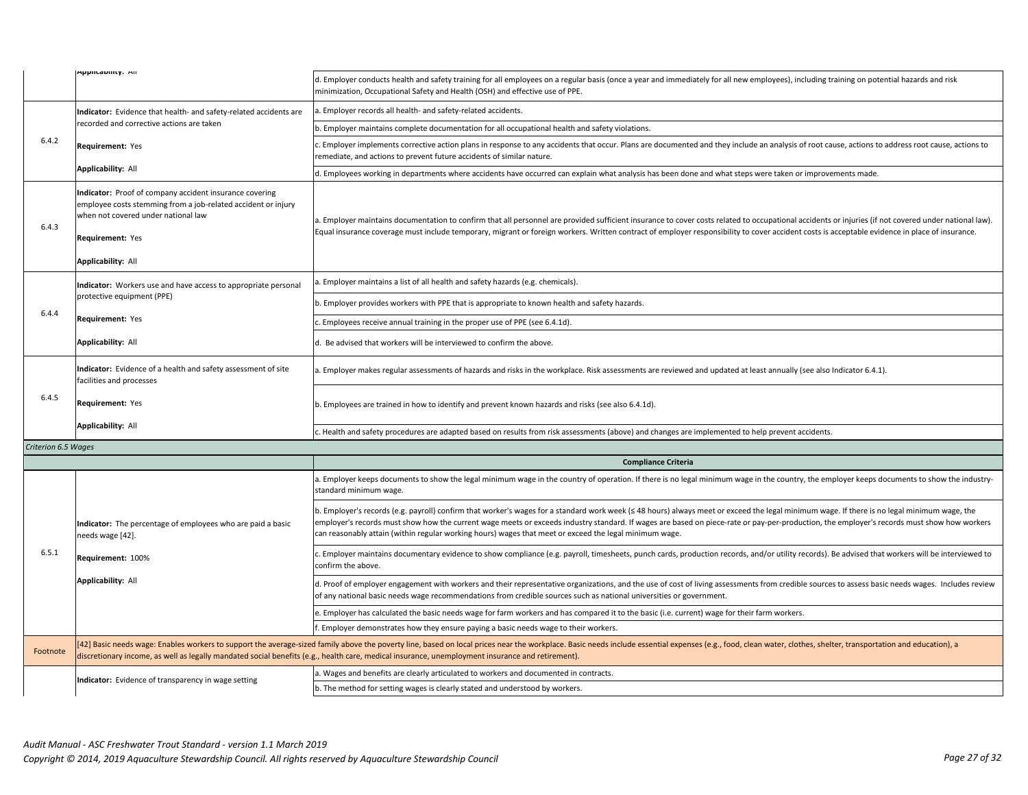|                     | <b>Аррисарніту:</b> Ан                                                                                                                                                                                    | d. Employer conducts health and safety training for all employees on a regular basis (once a year and immediately for all new employees), including training on potential hazards and risk<br>minimization, Occupational Safety and Health (OSH) and effective use of PPE.                                                                                                                                                                                                                          |
|---------------------|-----------------------------------------------------------------------------------------------------------------------------------------------------------------------------------------------------------|-----------------------------------------------------------------------------------------------------------------------------------------------------------------------------------------------------------------------------------------------------------------------------------------------------------------------------------------------------------------------------------------------------------------------------------------------------------------------------------------------------|
|                     | Indicator: Evidence that health- and safety-related accidents are                                                                                                                                         | . Employer records all health- and safety-related accidents.                                                                                                                                                                                                                                                                                                                                                                                                                                        |
|                     | recorded and corrective actions are taken                                                                                                                                                                 | b. Employer maintains complete documentation for all occupational health and safety violations.                                                                                                                                                                                                                                                                                                                                                                                                     |
| 6.4.2               | Requirement: Yes                                                                                                                                                                                          | Employer implements corrective action plans in response to any accidents that occur. Plans are documented and they include an analysis of root cause, actions to address root cause, actions to<br>remediate, and actions to prevent future accidents of similar nature.                                                                                                                                                                                                                            |
|                     | Applicability: All                                                                                                                                                                                        | d. Employees working in departments where accidents have occurred can explain what analysis has been done and what steps were taken or improvements made.                                                                                                                                                                                                                                                                                                                                           |
| 6.4.3               | Indicator: Proof of company accident insurance covering<br>employee costs stemming from a job-related accident or injury<br>when not covered under national law<br>Requirement: Yes<br>Applicability: All | . Employer maintains documentation to confirm that all personnel are provided sufficient insurance to cover costs related to occupational accidents or injuries (if not covered under national law).<br>Equal insurance coverage must include temporary, migrant or foreign workers. Written contract of employer responsibility to cover accident costs is acceptable evidence in place of insurance.                                                                                              |
|                     | Indicator: Workers use and have access to appropriate personal                                                                                                                                            | . Employer maintains a list of all health and safety hazards (e.g. chemicals).                                                                                                                                                                                                                                                                                                                                                                                                                      |
|                     | protective equipment (PPE)                                                                                                                                                                                | . Employer provides workers with PPE that is appropriate to known health and safety hazards.                                                                                                                                                                                                                                                                                                                                                                                                        |
| 6.4.4               | Requirement: Yes                                                                                                                                                                                          | Employees receive annual training in the proper use of PPE (see 6.4.1d).                                                                                                                                                                                                                                                                                                                                                                                                                            |
|                     | Applicability: All                                                                                                                                                                                        | Be advised that workers will be interviewed to confirm the above.                                                                                                                                                                                                                                                                                                                                                                                                                                   |
|                     | Indicator: Evidence of a health and safety assessment of site<br>facilities and processes                                                                                                                 | Employer makes regular assessments of hazards and risks in the workplace. Risk assessments are reviewed and updated at least annually (see also Indicator 6.4.1).                                                                                                                                                                                                                                                                                                                                   |
| 6.4.5               | Requirement: Yes                                                                                                                                                                                          | . Employees are trained in how to identify and prevent known hazards and risks (see also 6.4.1d).                                                                                                                                                                                                                                                                                                                                                                                                   |
|                     | Applicability: All                                                                                                                                                                                        | . Health and safety procedures are adapted based on results from risk assessments (above) and changes are implemented to help prevent accidents.                                                                                                                                                                                                                                                                                                                                                    |
| Criterion 6.5 Wages |                                                                                                                                                                                                           |                                                                                                                                                                                                                                                                                                                                                                                                                                                                                                     |
|                     |                                                                                                                                                                                                           | <b>Compliance Criteria</b>                                                                                                                                                                                                                                                                                                                                                                                                                                                                          |
|                     |                                                                                                                                                                                                           | . Employer keeps documents to show the legal minimum wage in the country of operation. If there is no legal minimum wage in the country, the employer keeps documents to show the industry-<br>tandard minimum wage.                                                                                                                                                                                                                                                                                |
|                     | Indicator: The percentage of employees who are paid a basic<br>needs wage [42].                                                                                                                           | b. Employer's records (e.g. payroll) confirm that worker's wages for a standard work week (≤ 48 hours) always meet or exceed the legal minimum wage. If there is no legal minimum wage, the<br>employer's records must show how the current wage meets or exceeds industry standard. If wages are based on piece-rate or pay-per-production, the employer's records must show how workers<br>can reasonably attain (within regular working hours) wages that meet or exceed the legal minimum wage. |
| 6.5.1               | Requirement: 100%                                                                                                                                                                                         | Employer maintains documentary evidence to show compliance (e.g. payroll, timesheets, punch cards, production records, and/or utility records). Be advised that workers will be interviewed to<br>confirm the above.                                                                                                                                                                                                                                                                                |
|                     | Applicability: All                                                                                                                                                                                        | d. Proof of employer engagement with workers and their representative organizations, and the use of cost of living assessments from credible sources to assess basic needs wages. Includes review<br>of any national basic needs wage recommendations from credible sources such as national universities or government.                                                                                                                                                                            |
|                     |                                                                                                                                                                                                           | e. Employer has calculated the basic needs wage for farm workers and has compared it to the basic (i.e. current) wage for their farm workers.                                                                                                                                                                                                                                                                                                                                                       |
|                     |                                                                                                                                                                                                           | Employer demonstrates how they ensure paying a basic needs wage to their workers.                                                                                                                                                                                                                                                                                                                                                                                                                   |
| Footnote            |                                                                                                                                                                                                           | [42] Basic needs wage: Enables workers to support the average-sized family above the poverty line, based on local prices near the workplace. Basic needs include essential expenses (e.g., food, clean water, clothes, shelter<br>discretionary income, as well as legally mandated social benefits (e.g., health care, medical insurance, unemployment insurance and retirement).                                                                                                                  |
|                     |                                                                                                                                                                                                           |                                                                                                                                                                                                                                                                                                                                                                                                                                                                                                     |
|                     | Indicator: Evidence of transparency in wage setting                                                                                                                                                       | a. Wages and benefits are clearly articulated to workers and documented in contracts.<br>b. The method for setting wages is clearly stated and understood by workers.                                                                                                                                                                                                                                                                                                                               |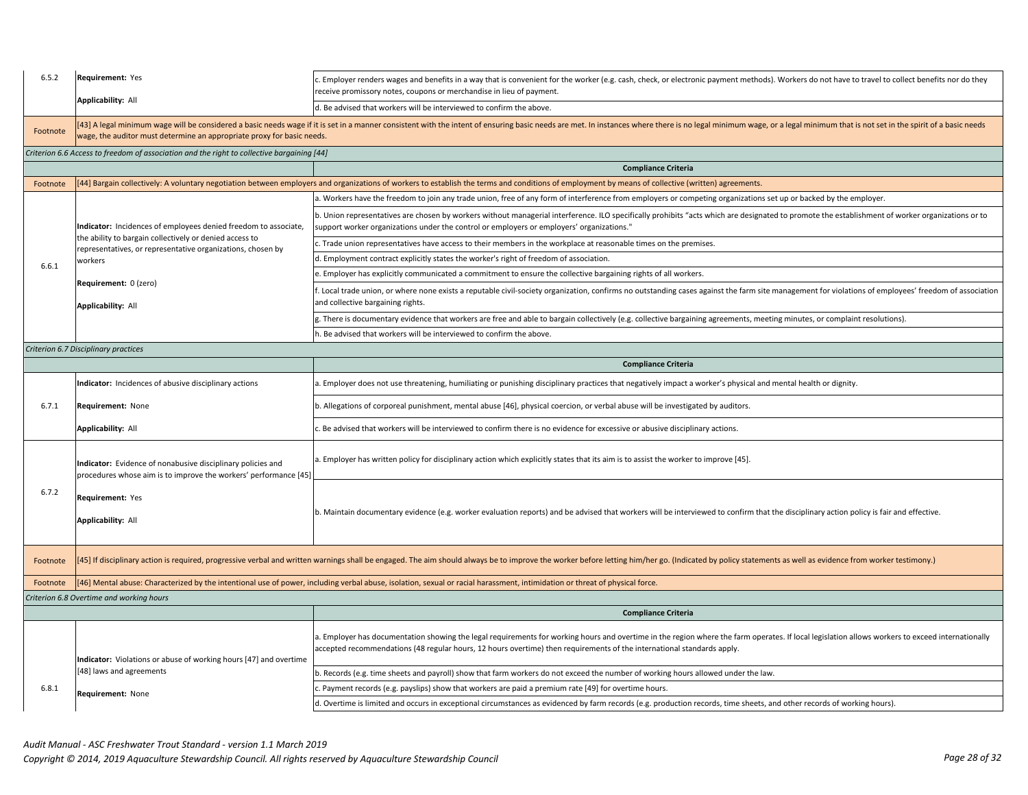| 6.5.2    | Requirement: Yes                                                                                                                | . Employer renders wages and benefits in a way that is convenient for the worker (e.g. cash, check, or electronic payment methods). Workers do not have to travel to collect benefits nor do they<br>receive promissory notes, coupons or merchandise in lieu of payment.                                                  |  |
|----------|---------------------------------------------------------------------------------------------------------------------------------|----------------------------------------------------------------------------------------------------------------------------------------------------------------------------------------------------------------------------------------------------------------------------------------------------------------------------|--|
|          | <b>Applicability: All</b>                                                                                                       | d. Be advised that workers will be interviewed to confirm the above.                                                                                                                                                                                                                                                       |  |
| Footnote | wage, the auditor must determine an appropriate proxy for basic needs.                                                          | [43] A legal minimum wage will be considered a basic needs wage if it is set in a manner consistent with the intent of ensuring basic needs are met. In instances where there is no legal minimum wage, or a legal minimum tha                                                                                             |  |
|          | Criterion 6.6 Access to freedom of association and the right to collective bargaining [44]                                      |                                                                                                                                                                                                                                                                                                                            |  |
|          |                                                                                                                                 | <b>Compliance Criteria</b>                                                                                                                                                                                                                                                                                                 |  |
| Footnote |                                                                                                                                 | [44] Bargain collectively: A voluntary negotiation between employers and organizations of workers to establish the terms and conditions of employment by means of collective (written) agreements.                                                                                                                         |  |
|          |                                                                                                                                 | . Workers have the freedom to join any trade union, free of any form of interference from employers or competing organizations set up or backed by the employer.                                                                                                                                                           |  |
|          | Indicator: Incidences of employees denied freedom to associate,                                                                 | b. Union representatives are chosen by workers without managerial interference. ILO specifically prohibits "acts which are designated to promote the establishment of worker organizations or to<br>upport worker organizations under the control or employers or employers' organizations."                               |  |
|          | the ability to bargain collectively or denied access to<br>representatives, or representative organizations, chosen by          | . Trade union representatives have access to their members in the workplace at reasonable times on the premises.                                                                                                                                                                                                           |  |
| 6.6.1    | workers                                                                                                                         | d. Employment contract explicitly states the worker's right of freedom of association                                                                                                                                                                                                                                      |  |
|          |                                                                                                                                 | e. Employer has explicitly communicated a commitment to ensure the collective bargaining rights of all workers.                                                                                                                                                                                                            |  |
|          | Requirement: 0 (zero)<br>Applicability: All                                                                                     | Local trade union, or where none exists a reputable civil-society organization, confirms no outstanding cases against the farm site management for violations of employees' freedom of association<br>and collective bargaining rights.                                                                                    |  |
|          |                                                                                                                                 | There is documentary evidence that workers are free and able to bargain collectively (e.g. collective bargaining agreements, meeting minutes, or complaint resolutions).                                                                                                                                                   |  |
|          |                                                                                                                                 | . Be advised that workers will be interviewed to confirm the above.                                                                                                                                                                                                                                                        |  |
|          | Criterion 6.7 Disciplinary practices                                                                                            |                                                                                                                                                                                                                                                                                                                            |  |
|          |                                                                                                                                 | <b>Compliance Criteria</b>                                                                                                                                                                                                                                                                                                 |  |
|          | Indicator: Incidences of abusive disciplinary actions                                                                           | a. Employer does not use threatening, humiliating or punishing disciplinary practices that negatively impact a worker's physical and mental health or dignity.                                                                                                                                                             |  |
| 6.7.1    | Requirement: None                                                                                                               | b. Allegations of corporeal punishment, mental abuse [46], physical coercion, or verbal abuse will be investigated by auditors.                                                                                                                                                                                            |  |
|          | Applicability: All                                                                                                              | . Be advised that workers will be interviewed to confirm there is no evidence for excessive or abusive disciplinary actions.                                                                                                                                                                                               |  |
|          | Indicator: Evidence of nonabusive disciplinary policies and<br>procedures whose aim is to improve the workers' performance [45] | a. Employer has written policy for disciplinary action which explicitly states that its aim is to assist the worker to improve [45].                                                                                                                                                                                       |  |
| 6.7.2    | Requirement: Yes<br>Applicability: All                                                                                          | b. Maintain documentary evidence (e.g. worker evaluation reports) and be advised that workers will be interviewed to confirm that the disciplinary action policy is fair and effective.                                                                                                                                    |  |
| Footnote |                                                                                                                                 | [45] If disciplinary action is required, progressive verbal and written warnings shall be engaged. The aim should always be to improve the worker before letting him/her go. (Indicated by policy statements as well as eviden                                                                                             |  |
| Footnote |                                                                                                                                 | [46] Mental abuse: Characterized by the intentional use of power, including verbal abuse, isolation, sexual or racial harassment, intimidation or threat of physical force.                                                                                                                                                |  |
|          | Criterion 6.8 Overtime and working hours                                                                                        |                                                                                                                                                                                                                                                                                                                            |  |
|          |                                                                                                                                 | <b>Compliance Criteria</b>                                                                                                                                                                                                                                                                                                 |  |
|          | Indicator: Violations or abuse of working hours [47] and overtime                                                               | a. Employer has documentation showing the legal requirements for working hours and overtime in the region where the farm operates. If local legislation allows workers to exceed internationally<br>accepted recommendations (48 regular hours, 12 hours overtime) then requirements of the international standards apply. |  |
|          | 48] laws and agreements                                                                                                         |                                                                                                                                                                                                                                                                                                                            |  |
|          |                                                                                                                                 | b. Records (e.g. time sheets and payroll) show that farm workers do not exceed the number of working hours allowed under the law.                                                                                                                                                                                          |  |
| 6.8.1    | Requirement: None                                                                                                               | . Payment records (e.g. payslips) show that workers are paid a premium rate [49] for overtime hours.                                                                                                                                                                                                                       |  |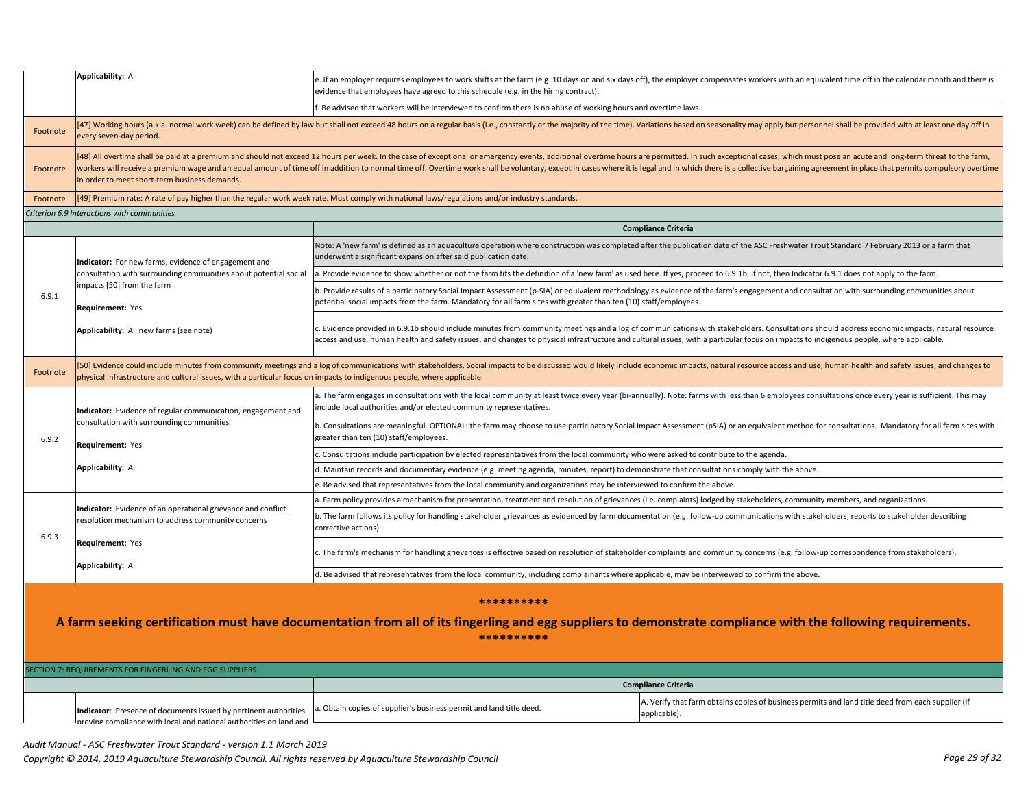|                                                                                                                                                                                          | <b>Applicability: All</b>                                                                                                                                                                                                                                 | e. If an employer requires employees to work shifts at the farm (e.g. 10 days on and six days off), the employer compensates workers with an equivalent time off in the calendar month and there is<br>evidence that employees have agreed to this schedule (e.g. in the hiring contract).                                                                                                                                                                       |  |  |
|------------------------------------------------------------------------------------------------------------------------------------------------------------------------------------------|-----------------------------------------------------------------------------------------------------------------------------------------------------------------------------------------------------------------------------------------------------------|------------------------------------------------------------------------------------------------------------------------------------------------------------------------------------------------------------------------------------------------------------------------------------------------------------------------------------------------------------------------------------------------------------------------------------------------------------------|--|--|
|                                                                                                                                                                                          |                                                                                                                                                                                                                                                           | f. Be advised that workers will be interviewed to confirm there is no abuse of working hours and overtime laws.                                                                                                                                                                                                                                                                                                                                                  |  |  |
| Footnote                                                                                                                                                                                 | [47] Working hours (a.k.a. normal work week) can be defined by law but shall not exceed 48 hours on a regular basis (i.e., constantly or the majority of the time). Variations based on seasonality may apply but personnel sh<br>every seven-day period. |                                                                                                                                                                                                                                                                                                                                                                                                                                                                  |  |  |
| Footnote                                                                                                                                                                                 | in order to meet short-term business demands.                                                                                                                                                                                                             | [48] All overtime shall be paid at a premium and should not exceed 12 hours per week. In the case of exceptional or emergency events, additional overtime hours are permitted. In such exceptional cases, which must pose an a<br>workers will receive a premium wage and an equal amount of time off in addition to normal time off. Overtime work shall be voluntary, except in cases where it is legal and in which there is a collective bargaining agreemen |  |  |
| Footnote                                                                                                                                                                                 |                                                                                                                                                                                                                                                           | [49] Premium rate: A rate of pay higher than the regular work week rate. Must comply with national laws/regulations and/or industry standards.                                                                                                                                                                                                                                                                                                                   |  |  |
|                                                                                                                                                                                          | Criterion 6.9 Interactions with communities                                                                                                                                                                                                               |                                                                                                                                                                                                                                                                                                                                                                                                                                                                  |  |  |
|                                                                                                                                                                                          |                                                                                                                                                                                                                                                           | <b>Compliance Criteria</b>                                                                                                                                                                                                                                                                                                                                                                                                                                       |  |  |
|                                                                                                                                                                                          | Indicator: For new farms, evidence of engagement and                                                                                                                                                                                                      | Note: A 'new farm' is defined as an aquaculture operation where construction was completed after the publication date of the ASC Freshwater Trout Standard 7 February 2013 or a farm that<br>underwent a significant expansion after said publication date.                                                                                                                                                                                                      |  |  |
|                                                                                                                                                                                          | consultation with surrounding communities about potential social                                                                                                                                                                                          | . Provide evidence to show whether or not the farm fits the definition of a 'new farm' as used here. If yes, proceed to 6.9.1b. If not, then Indicator 6.9.1 does not apply to the farm.                                                                                                                                                                                                                                                                         |  |  |
| 6.9.1                                                                                                                                                                                    | impacts [50] from the farm<br>Requirement: Yes                                                                                                                                                                                                            | . Provide results of a participatory Social Impact Assessment (p-SIA) or equivalent methodology as evidence of the farm's engagement and consultation with surrounding communities about<br>potential social impacts from the farm. Mandatory for all farm sites with greater than ten (10) staff/employees.                                                                                                                                                     |  |  |
|                                                                                                                                                                                          | Applicability: All new farms (see note)                                                                                                                                                                                                                   | c. Evidence provided in 6.9.1b should include minutes from community meetings and a log of communications with stakeholders. Consultations should address economic impacts, natural resource<br>access and use, human health and safety issues, and changes to physical infrastructure and cultural issues, with a particular focus on impacts to indigenous people, where applicable.                                                                           |  |  |
| Footnote                                                                                                                                                                                 | physical infrastructure and cultural issues, with a particular focus on impacts to indigenous people, where applicable.                                                                                                                                   | 50] Evidence could include minutes from community meetings and a log of communications with stakeholders. Social impacts to be discussed would likely include economic impacts, natural resource access and use, human health                                                                                                                                                                                                                                    |  |  |
|                                                                                                                                                                                          | Indicator: Evidence of regular communication, engagement and<br>consultation with surrounding communities<br>Requirement: Yes                                                                                                                             | a. The farm engages in consultations with the local community at least twice every year (bi-annually). Note: farms with less than 6 employees consultations once every year is sufficient. This may<br>include local authorities and/or elected community representatives.                                                                                                                                                                                       |  |  |
| 6.9.2                                                                                                                                                                                    |                                                                                                                                                                                                                                                           | b. Consultations are meaningful. OPTIONAL: the farm may choose to use participatory Social Impact Assessment (pSIA) or an equivalent method for consultations. Mandatory for all farm sites with<br>greater than ten (10) staff/employees.                                                                                                                                                                                                                       |  |  |
|                                                                                                                                                                                          |                                                                                                                                                                                                                                                           | Consultations include participation by elected representatives from the local community who were asked to contribute to the agenda.                                                                                                                                                                                                                                                                                                                              |  |  |
|                                                                                                                                                                                          | <b>Applicability: All</b>                                                                                                                                                                                                                                 | d. Maintain records and documentary evidence (e.g. meeting agenda, minutes, report) to demonstrate that consultations comply with the above.                                                                                                                                                                                                                                                                                                                     |  |  |
|                                                                                                                                                                                          |                                                                                                                                                                                                                                                           | . Be advised that representatives from the local community and organizations may be interviewed to confirm the above.                                                                                                                                                                                                                                                                                                                                            |  |  |
|                                                                                                                                                                                          |                                                                                                                                                                                                                                                           | a. Farm policy provides a mechanism for presentation, treatment and resolution of grievances (i.e. complaints) lodged by stakeholders, community members, and organizations.                                                                                                                                                                                                                                                                                     |  |  |
| 6.9.3                                                                                                                                                                                    | Indicator: Evidence of an operational grievance and conflict<br>esolution mechanism to address community concerns                                                                                                                                         | b. The farm follows its policy for handling stakeholder grievances as evidenced by farm documentation (e.g. follow-up communications with stakeholders, reports to stakeholder describing<br>corrective actions).                                                                                                                                                                                                                                                |  |  |
|                                                                                                                                                                                          | Requirement: Yes<br><b>Applicability: All</b>                                                                                                                                                                                                             | c. The farm's mechanism for handling grievances is effective based on resolution of stakeholder complaints and community concerns (e.g. follow-up correspondence from stakeholders).                                                                                                                                                                                                                                                                             |  |  |
|                                                                                                                                                                                          |                                                                                                                                                                                                                                                           | d. Be advised that representatives from the local community, including complainants where applicable, may be interviewed to confirm the above.                                                                                                                                                                                                                                                                                                                   |  |  |
| **********<br>A farm seeking certification must have documentation from all of its fingerling and egg suppliers to demonstrate compliance with the following requirements.<br>********** |                                                                                                                                                                                                                                                           |                                                                                                                                                                                                                                                                                                                                                                                                                                                                  |  |  |
|                                                                                                                                                                                          | SECTION 7: REQUIREMENTS FOR FINGERLING AND EGG SUPPLIERS                                                                                                                                                                                                  |                                                                                                                                                                                                                                                                                                                                                                                                                                                                  |  |  |
|                                                                                                                                                                                          |                                                                                                                                                                                                                                                           | <b>Compliance Criteria</b>                                                                                                                                                                                                                                                                                                                                                                                                                                       |  |  |
|                                                                                                                                                                                          | Indicator: Presence of documents issued by pertinent authorities<br>proving compliance with local and national authorities on land and                                                                                                                    | A. Verify that farm obtains copies of business permits and land title deed from each supplier (if<br>. Obtain copies of supplier's business permit and land title deed.<br>applicable).                                                                                                                                                                                                                                                                          |  |  |
|                                                                                                                                                                                          |                                                                                                                                                                                                                                                           |                                                                                                                                                                                                                                                                                                                                                                                                                                                                  |  |  |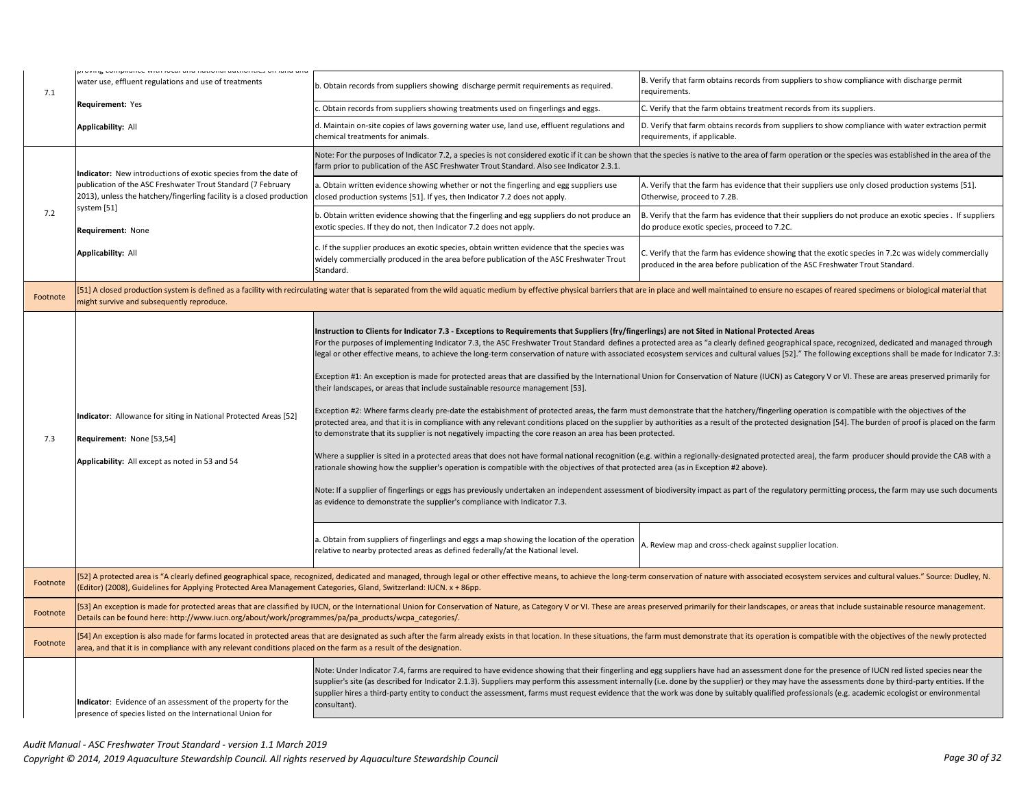| 7.1      | אסטיווי <mark>ם כ</mark> שווקוומוזכם שונו וטכמו מוזע וומנושוומו מענווטוונום שווי ומוזע מוזע<br>water use, effluent regulations and use of treatments                                                                                                                                                                                                 | b. Obtain records from suppliers showing discharge permit requirements as required.                                                                                                                                                                                                                                                                                                                                                                                                                                                                                                                                                                                                                                                                | B. Verify that farm obtains records from suppliers to show compliance with discharge permit<br>requirements.                                                                                                                                                                                                                                                                                                                                                                                                                                                                                                                                                                                                                                                                                                                                                                                                                                                                                                                                                                                                                                                                                                                                                                                                                                                                                                                                                                                         |
|----------|------------------------------------------------------------------------------------------------------------------------------------------------------------------------------------------------------------------------------------------------------------------------------------------------------------------------------------------------------|----------------------------------------------------------------------------------------------------------------------------------------------------------------------------------------------------------------------------------------------------------------------------------------------------------------------------------------------------------------------------------------------------------------------------------------------------------------------------------------------------------------------------------------------------------------------------------------------------------------------------------------------------------------------------------------------------------------------------------------------------|------------------------------------------------------------------------------------------------------------------------------------------------------------------------------------------------------------------------------------------------------------------------------------------------------------------------------------------------------------------------------------------------------------------------------------------------------------------------------------------------------------------------------------------------------------------------------------------------------------------------------------------------------------------------------------------------------------------------------------------------------------------------------------------------------------------------------------------------------------------------------------------------------------------------------------------------------------------------------------------------------------------------------------------------------------------------------------------------------------------------------------------------------------------------------------------------------------------------------------------------------------------------------------------------------------------------------------------------------------------------------------------------------------------------------------------------------------------------------------------------------|
|          | Requirement: Yes                                                                                                                                                                                                                                                                                                                                     | Obtain records from suppliers showing treatments used on fingerlings and eggs.                                                                                                                                                                                                                                                                                                                                                                                                                                                                                                                                                                                                                                                                     | C. Verify that the farm obtains treatment records from its suppliers.                                                                                                                                                                                                                                                                                                                                                                                                                                                                                                                                                                                                                                                                                                                                                                                                                                                                                                                                                                                                                                                                                                                                                                                                                                                                                                                                                                                                                                |
|          | <b>Applicability: All</b>                                                                                                                                                                                                                                                                                                                            | d. Maintain on-site copies of laws governing water use, land use, effluent regulations and<br>chemical treatments for animals.                                                                                                                                                                                                                                                                                                                                                                                                                                                                                                                                                                                                                     | D. Verify that farm obtains records from suppliers to show compliance with water extraction permit<br>requirements, if applicable.                                                                                                                                                                                                                                                                                                                                                                                                                                                                                                                                                                                                                                                                                                                                                                                                                                                                                                                                                                                                                                                                                                                                                                                                                                                                                                                                                                   |
|          | Indicator: New introductions of exotic species from the date of<br>publication of the ASC Freshwater Trout Standard (7 February<br>2013), unless the hatchery/fingerling facility is a closed production                                                                                                                                             | farm prior to publication of the ASC Freshwater Trout Standard. Also see Indicator 2.3.1.                                                                                                                                                                                                                                                                                                                                                                                                                                                                                                                                                                                                                                                          | Note: For the purposes of Indicator 7.2, a species is not considered exotic if it can be shown that the species is native to the area of farm operation or the species was established in the area of the                                                                                                                                                                                                                                                                                                                                                                                                                                                                                                                                                                                                                                                                                                                                                                                                                                                                                                                                                                                                                                                                                                                                                                                                                                                                                            |
|          |                                                                                                                                                                                                                                                                                                                                                      | a. Obtain written evidence showing whether or not the fingerling and egg suppliers use<br>closed production systems [51]. If yes, then Indicator 7.2 does not apply.                                                                                                                                                                                                                                                                                                                                                                                                                                                                                                                                                                               | A. Verify that the farm has evidence that their suppliers use only closed production systems [51].<br>Otherwise, proceed to 7.2B.                                                                                                                                                                                                                                                                                                                                                                                                                                                                                                                                                                                                                                                                                                                                                                                                                                                                                                                                                                                                                                                                                                                                                                                                                                                                                                                                                                    |
| 7.2      | system [51]<br>Requirement: None                                                                                                                                                                                                                                                                                                                     | b. Obtain written evidence showing that the fingerling and egg suppliers do not produce an<br>exotic species. If they do not, then Indicator 7.2 does not apply.                                                                                                                                                                                                                                                                                                                                                                                                                                                                                                                                                                                   | B. Verify that the farm has evidence that their suppliers do not produce an exotic species . If suppliers<br>do produce exotic species, proceed to 7.2C.                                                                                                                                                                                                                                                                                                                                                                                                                                                                                                                                                                                                                                                                                                                                                                                                                                                                                                                                                                                                                                                                                                                                                                                                                                                                                                                                             |
|          | Applicability: All                                                                                                                                                                                                                                                                                                                                   | c. If the supplier produces an exotic species, obtain written evidence that the species was<br>widely commercially produced in the area before publication of the ASC Freshwater Trout<br>Standard.                                                                                                                                                                                                                                                                                                                                                                                                                                                                                                                                                | C. Verify that the farm has evidence showing that the exotic species in 7.2c was widely commercially<br>produced in the area before publication of the ASC Freshwater Trout Standard.                                                                                                                                                                                                                                                                                                                                                                                                                                                                                                                                                                                                                                                                                                                                                                                                                                                                                                                                                                                                                                                                                                                                                                                                                                                                                                                |
| Footnote | 51] A closed production system is defined as a facility with recirculating water that is separated from the wild aquatic medium by effective physical barriers that are in place and well maintained to ensure no escapes of r<br>night survive and subsequently reproduce.                                                                          |                                                                                                                                                                                                                                                                                                                                                                                                                                                                                                                                                                                                                                                                                                                                                    |                                                                                                                                                                                                                                                                                                                                                                                                                                                                                                                                                                                                                                                                                                                                                                                                                                                                                                                                                                                                                                                                                                                                                                                                                                                                                                                                                                                                                                                                                                      |
| 7.3      | Indicator: Allowance for siting in National Protected Areas [52]<br>Requirement: None [53,54]<br>Applicability: All except as noted in 53 and 54                                                                                                                                                                                                     | Instruction to Clients for Indicator 7.3 - Exceptions to Requirements that Suppliers (fry/fingerlings) are not Sited in National Protected Areas<br>their landscapes, or areas that include sustainable resource management [53].<br>to demonstrate that its supplier is not negatively impacting the core reason an area has been protected.<br>rationale showing how the supplier's operation is compatible with the objectives of that protected area (as in Exception #2 above).<br>as evidence to demonstrate the supplier's compliance with Indicator 7.3.<br>a. Obtain from suppliers of fingerlings and eggs a map showing the location of the operation<br>relative to nearby protected areas as defined federally/at the National level. | For the purposes of implementing Indicator 7.3, the ASC Freshwater Trout Standard defines a protected area as "a clearly defined geographical space, recognized, dedicated and managed through<br>legal or other effective means, to achieve the long-term conservation of nature with associated ecosystem services and cultural values [52]." The following exceptions shall be made for Indicator 7.3:<br>Exception #1: An exception is made for protected areas that are classified by the International Union for Conservation of Nature (IUCN) as Category V or VI. These are areas preserved primarily for<br>Exception #2: Where farms clearly pre-date the estabishment of protected areas, the farm must demonstrate that the hatchery/fingerling operation is compatible with the objectives of the<br>protected area, and that it is in compliance with any relevant conditions placed on the supplier by authorities as a result of the protected designation [54]. The burden of proof is placed on the farm<br>Where a supplier is sited in a protected areas that does not have formal national recognition (e.g. within a regionally-designated protected area), the farm producer should provide the CAB with a<br>Note: If a supplier of fingerlings or eggs has previously undertaken an independent assessment of biodiversity impact as part of the regulatory permitting process, the farm may use such documents<br>A. Review map and cross-check against supplier location. |
| Footnote | [52] A protected area is "A clearly defined geographical space, recognized, dedicated and managed, through legal or other effective means, to achieve the long-term conservation of nature with associated ecosystem services<br>Editor) (2008), Guidelines for Applying Protected Area Management Categories, Gland, Switzerland: IUCN. x + 86pp.   |                                                                                                                                                                                                                                                                                                                                                                                                                                                                                                                                                                                                                                                                                                                                                    |                                                                                                                                                                                                                                                                                                                                                                                                                                                                                                                                                                                                                                                                                                                                                                                                                                                                                                                                                                                                                                                                                                                                                                                                                                                                                                                                                                                                                                                                                                      |
| Footnote | [53] An exception is made for protected areas that are classified by IUCN, or the International Union for Conservation of Nature, as Category V or VI. These are areas preserved primarily for their landscapes, or areas that<br>Details can be found here: http://www.iucn.org/about/work/programmes/pa/pa_products/wcpa_categories/.              |                                                                                                                                                                                                                                                                                                                                                                                                                                                                                                                                                                                                                                                                                                                                                    |                                                                                                                                                                                                                                                                                                                                                                                                                                                                                                                                                                                                                                                                                                                                                                                                                                                                                                                                                                                                                                                                                                                                                                                                                                                                                                                                                                                                                                                                                                      |
| Footnote | [54] An exception is also made for farms located in protected areas that are designated as such after the farm already exists in that location. In these situations, the farm must demonstrate that its operation is compatibl<br>area, and that it is in compliance with any relevant conditions placed on the farm as a result of the designation. |                                                                                                                                                                                                                                                                                                                                                                                                                                                                                                                                                                                                                                                                                                                                                    |                                                                                                                                                                                                                                                                                                                                                                                                                                                                                                                                                                                                                                                                                                                                                                                                                                                                                                                                                                                                                                                                                                                                                                                                                                                                                                                                                                                                                                                                                                      |
|          | Indicator: Evidence of an assessment of the property for the<br>presence of species listed on the International Union for                                                                                                                                                                                                                            | consultant).                                                                                                                                                                                                                                                                                                                                                                                                                                                                                                                                                                                                                                                                                                                                       | Note: Under Indicator 7.4, farms are required to have evidence showing that their fingerling and egg suppliers have had an assessment done for the presence of IUCN red listed species near the<br>supplier's site (as described for Indicator 2.1.3). Suppliers may perform this assessment internally (i.e. done by the supplier) or they may have the assessments done by third-party entities. If the<br>supplier hires a third-party entity to conduct the assessment, farms must request evidence that the work was done by suitably qualified professionals (e.g. academic ecologist or environmental                                                                                                                                                                                                                                                                                                                                                                                                                                                                                                                                                                                                                                                                                                                                                                                                                                                                                         |
|          |                                                                                                                                                                                                                                                                                                                                                      |                                                                                                                                                                                                                                                                                                                                                                                                                                                                                                                                                                                                                                                                                                                                                    |                                                                                                                                                                                                                                                                                                                                                                                                                                                                                                                                                                                                                                                                                                                                                                                                                                                                                                                                                                                                                                                                                                                                                                                                                                                                                                                                                                                                                                                                                                      |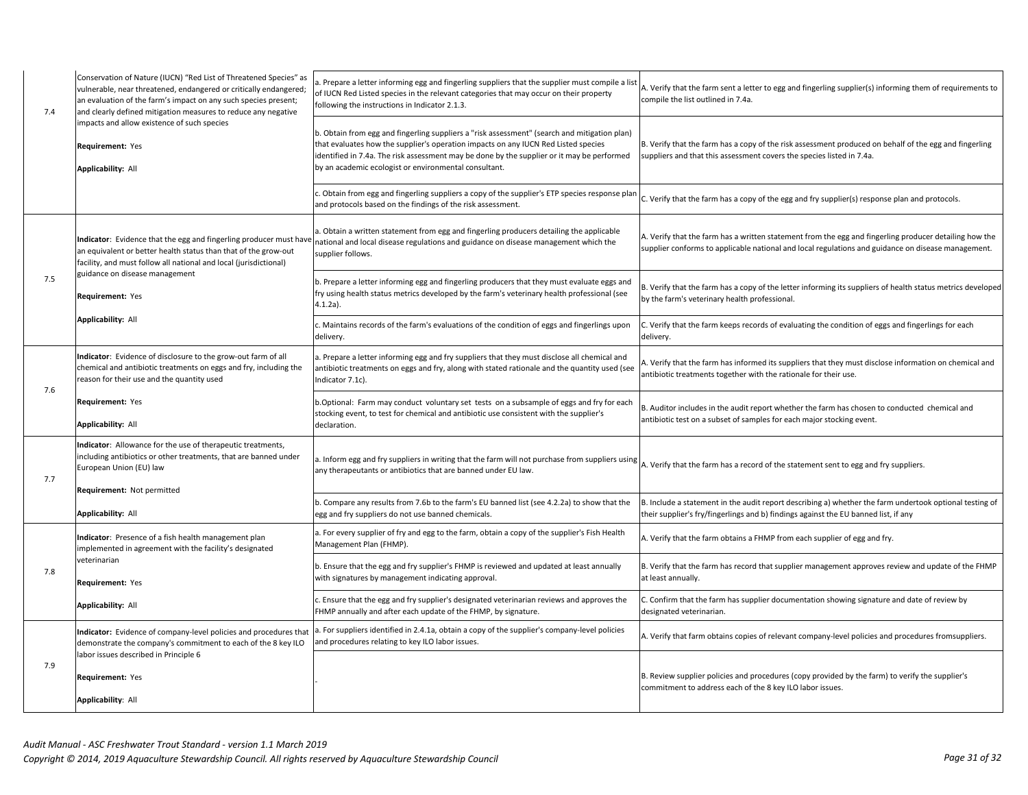| 7.4 | Conservation of Nature (IUCN) "Red List of Threatened Species" as<br>vulnerable, near threatened, endangered or critically endangered;<br>an evaluation of the farm's impact on any such species present;<br>and clearly defined mitigation measures to reduce any negative | a. Prepare a letter informing egg and fingerling suppliers that the supplier must compile a list<br>of IUCN Red Listed species in the relevant categories that may occur on their property<br>following the instructions in Indicator 2.1.3.                                                                                              | A. Verify that the farm sent a letter to egg and fingerling supplier(s) informing them of requirements to<br>compile the list outlined in 7.4a.                                                              |
|-----|-----------------------------------------------------------------------------------------------------------------------------------------------------------------------------------------------------------------------------------------------------------------------------|-------------------------------------------------------------------------------------------------------------------------------------------------------------------------------------------------------------------------------------------------------------------------------------------------------------------------------------------|--------------------------------------------------------------------------------------------------------------------------------------------------------------------------------------------------------------|
|     | impacts and allow existence of such species<br>Requirement: Yes<br>Applicability: All                                                                                                                                                                                       | b. Obtain from egg and fingerling suppliers a "risk assessment" (search and mitigation plan)<br>that evaluates how the supplier's operation impacts on any IUCN Red Listed species<br>identified in 7.4a. The risk assessment may be done by the supplier or it may be performed<br>by an academic ecologist or environmental consultant. | B. Verify that the farm has a copy of the risk assessment produced on behalf of the egg and fingerling<br>suppliers and that this assessment covers the species listed in 7.4a.                              |
|     |                                                                                                                                                                                                                                                                             | Obtain from egg and fingerling suppliers a copy of the supplier's ETP species response plan<br>and protocols based on the findings of the risk assessment.                                                                                                                                                                                | C. Verify that the farm has a copy of the egg and fry supplier(s) response plan and protocols.                                                                                                               |
|     | Indicator: Evidence that the egg and fingerling producer must hav<br>an equivalent or better health status than that of the grow-out<br>facility, and must follow all national and local (jurisdictional)                                                                   | a. Obtain a written statement from egg and fingerling producers detailing the applicable<br>national and local disease regulations and guidance on disease management which the<br>supplier follows.                                                                                                                                      | A. Verify that the farm has a written statement from the egg and fingerling producer detailing how the<br>supplier conforms to applicable national and local regulations and guidance on disease management. |
| 7.5 | guidance on disease management<br>Requirement: Yes                                                                                                                                                                                                                          | b. Prepare a letter informing egg and fingerling producers that they must evaluate eggs and<br>iry using health status metrics developed by the farm's veterinary health professional (see<br>$4.1.2a$ ).                                                                                                                                 | B. Verify that the farm has a copy of the letter informing its suppliers of health status metrics developed<br>by the farm's veterinary health professional.                                                 |
|     | Applicability: All                                                                                                                                                                                                                                                          | c. Maintains records of the farm's evaluations of the condition of eggs and fingerlings upon<br>delivery.                                                                                                                                                                                                                                 | C. Verify that the farm keeps records of evaluating the condition of eggs and fingerlings for each<br>delivery.                                                                                              |
| 7.6 | Indicator: Evidence of disclosure to the grow-out farm of all<br>chemical and antibiotic treatments on eggs and fry, including the<br>reason for their use and the quantity used                                                                                            | a. Prepare a letter informing egg and fry suppliers that they must disclose all chemical and<br>antibiotic treatments on eggs and fry, along with stated rationale and the quantity used (see<br>Indicator 7.1c).                                                                                                                         | A. Verify that the farm has informed its suppliers that they must disclose information on chemical and<br>antibiotic treatments together with the rationale for their use.                                   |
|     | Requirement: Yes<br>Applicability: All                                                                                                                                                                                                                                      | b.Optional: Farm may conduct voluntary set tests on a subsample of eggs and fry for each<br>stocking event, to test for chemical and antibiotic use consistent with the supplier's<br>declaration.                                                                                                                                        | B. Auditor includes in the audit report whether the farm has chosen to conducted chemical and<br>antibiotic test on a subset of samples for each major stocking event.                                       |
| 7.7 | Indicator: Allowance for the use of therapeutic treatments,<br>including antibiotics or other treatments, that are banned under<br>European Union (EU) law                                                                                                                  | a. Inform egg and fry suppliers in writing that the farm will not purchase from suppliers using<br>any therapeutants or antibiotics that are banned under EU law.                                                                                                                                                                         | A. Verify that the farm has a record of the statement sent to egg and fry suppliers.                                                                                                                         |
|     | Requirement: Not permitted<br>Applicability: All                                                                                                                                                                                                                            | o. Compare any results from 7.6b to the farm's EU banned list (see 4.2.2a) to show that the<br>egg and fry suppliers do not use banned chemicals.                                                                                                                                                                                         | B. Include a statement in the audit report describing a) whether the farm undertook optional testing of<br>their supplier's fry/fingerlings and b) findings against the EU banned list, if any               |
|     | Indicator: Presence of a fish health management plan<br>implemented in agreement with the facility's designated                                                                                                                                                             | a. For every supplier of fry and egg to the farm, obtain a copy of the supplier's Fish Health<br>Management Plan (FHMP).                                                                                                                                                                                                                  | A. Verify that the farm obtains a FHMP from each supplier of egg and fry.                                                                                                                                    |
| 7.8 | veterinarian<br>Requirement: Yes                                                                                                                                                                                                                                            | b. Ensure that the egg and fry supplier's FHMP is reviewed and updated at least annually<br>with signatures by management indicating approval.                                                                                                                                                                                            | B. Verify that the farm has record that supplier management approves review and update of the FHMP<br>at least annually.                                                                                     |
|     | Applicability: All                                                                                                                                                                                                                                                          | Ensure that the egg and fry supplier's designated veterinarian reviews and approves the<br>FHMP annually and after each update of the FHMP, by signature.                                                                                                                                                                                 | C. Confirm that the farm has supplier documentation showing signature and date of review by<br>designated veterinarian.                                                                                      |
| 7.9 | Indicator: Evidence of company-level policies and procedures tha<br>demonstrate the company's commitment to each of the 8 key ILO                                                                                                                                           | a. For suppliers identified in 2.4.1a, obtain a copy of the supplier's company-level policies<br>and procedures relating to key ILO labor issues.                                                                                                                                                                                         | A. Verify that farm obtains copies of relevant company-level policies and procedures fromsuppliers.                                                                                                          |
|     | labor issues described in Principle 6<br>Requirement: Yes                                                                                                                                                                                                                   |                                                                                                                                                                                                                                                                                                                                           | B. Review supplier policies and procedures (copy provided by the farm) to verify the supplier's<br>commitment to address each of the 8 key ILO labor issues.                                                 |
|     | Applicability: All                                                                                                                                                                                                                                                          |                                                                                                                                                                                                                                                                                                                                           |                                                                                                                                                                                                              |